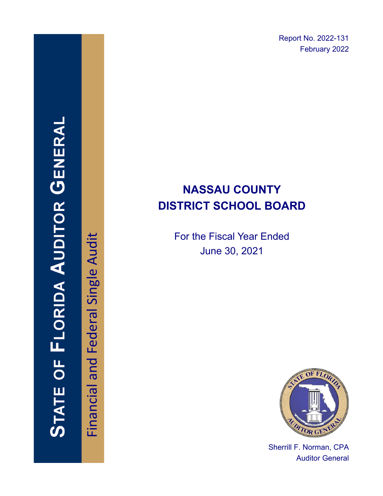Report No. 2022-131 February 2022

# **NASSAU COUNTY DISTRICT SCHOOL BOARD**

For the Fiscal Year Ended June 30, 2021



Sherrill F. Norman, CPA Auditor General

Financial and Federal Single Audit Financial and Federal Single Audit

STATE OF FLORIDA AUDITOR GENERAI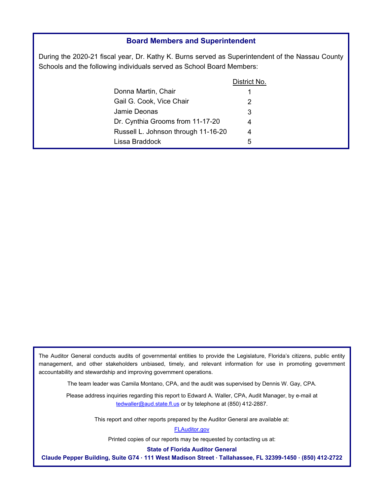#### **Board Members and Superintendent**

During the 2020-21 fiscal year, Dr. Kathy K. Burns served as Superintendent of the Nassau County Schools and the following individuals served as School Board Members:

| District No. |
|--------------|
|              |
| 2            |
| 3            |
|              |
|              |
| :5           |
|              |

The Auditor General conducts audits of governmental entities to provide the Legislature, Florida's citizens, public entity management, and other stakeholders unbiased, timely, and relevant information for use in promoting government accountability and stewardship and improving government operations.

The team leader was Camila Montano, CPA, and the audit was supervised by Dennis W. Gay, CPA.

Please address inquiries regarding this report to Edward A. Waller, CPA, Audit Manager, by e-mail at tedwaller@aud.state.fl.us or by telephone at (850) 412-2887.

This report and other reports prepared by the Auditor General are available at:

[FLAuditor.gov](http://flauditor.gov/)

Printed copies of our reports may be requested by contacting us at:

**State of Florida Auditor General** 

**Claude Pepper Building, Suite G74 · 111 West Madison Street · Tallahassee, FL 32399-1450 · (850) 412-2722**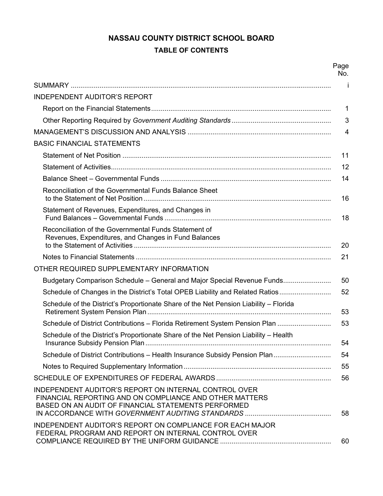### **NASSAU COUNTY DISTRICT SCHOOL BOARD TABLE OF CONTENTS**

|                                                                                                                                                                         | Page<br>No. |
|-------------------------------------------------------------------------------------------------------------------------------------------------------------------------|-------------|
|                                                                                                                                                                         | -i          |
| <b>INDEPENDENT AUDITOR'S REPORT</b>                                                                                                                                     |             |
|                                                                                                                                                                         | 1           |
|                                                                                                                                                                         | 3           |
|                                                                                                                                                                         | 4           |
| <b>BASIC FINANCIAL STATEMENTS</b>                                                                                                                                       |             |
|                                                                                                                                                                         | 11          |
|                                                                                                                                                                         | 12          |
|                                                                                                                                                                         | 14          |
| Reconciliation of the Governmental Funds Balance Sheet                                                                                                                  | 16          |
| Statement of Revenues, Expenditures, and Changes in                                                                                                                     | 18          |
| Reconciliation of the Governmental Funds Statement of<br>Revenues, Expenditures, and Changes in Fund Balances                                                           | 20          |
|                                                                                                                                                                         | 21          |
| OTHER REQUIRED SUPPLEMENTARY INFORMATION                                                                                                                                |             |
| Budgetary Comparison Schedule – General and Major Special Revenue Funds                                                                                                 | 50          |
| Schedule of Changes in the District's Total OPEB Liability and Related Ratios                                                                                           | 52          |
| Schedule of the District's Proportionate Share of the Net Pension Liability – Florida                                                                                   | 53          |
| Schedule of District Contributions - Florida Retirement System Pension Plan                                                                                             | 53          |
| Schedule of the District's Proportionate Share of the Net Pension Liability – Health                                                                                    | 54          |
| Schedule of District Contributions - Health Insurance Subsidy Pension Plan                                                                                              | 54          |
|                                                                                                                                                                         | 55          |
|                                                                                                                                                                         | 56          |
| INDEPENDENT AUDITOR'S REPORT ON INTERNAL CONTROL OVER<br>FINANCIAL REPORTING AND ON COMPLIANCE AND OTHER MATTERS<br>BASED ON AN AUDIT OF FINANCIAL STATEMENTS PERFORMED | 58          |
| INDEPENDENT AUDITOR'S REPORT ON COMPLIANCE FOR EACH MAJOR<br>FEDERAL PROGRAM AND REPORT ON INTERNAL CONTROL OVER                                                        | 60          |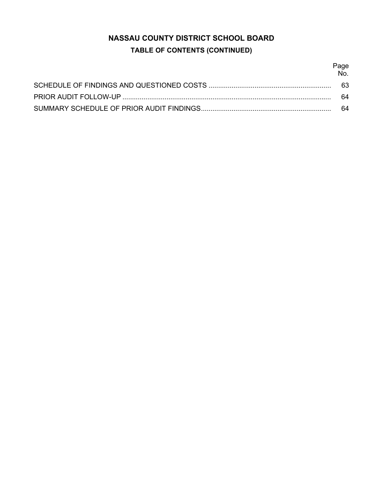### **NASSAU COUNTY DISTRICT SCHOOL BOARD TABLE OF CONTENTS (CONTINUED)**

| Page<br>No. |
|-------------|
|             |
| 64          |
| -64         |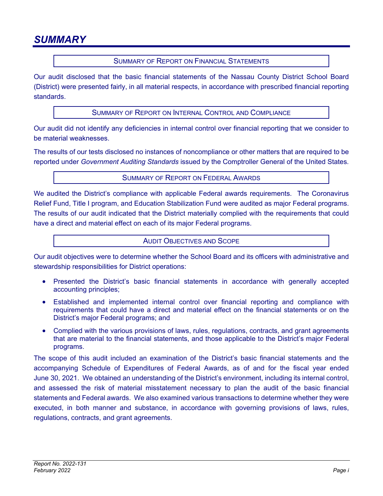#### SUMMARY OF REPORT ON FINANCIAL STATEMENTS

<span id="page-4-0"></span>Our audit disclosed that the basic financial statements of the Nassau County District School Board (District) were presented fairly, in all material respects, in accordance with prescribed financial reporting standards.

SUMMARY OF REPORT ON INTERNAL CONTROL AND COMPLIANCE

Our audit did not identify any deficiencies in internal control over financial reporting that we consider to be material weaknesses.

The results of our tests disclosed no instances of noncompliance or other matters that are required to be reported under *Government Auditing Standards* issued by the Comptroller General of the United States*.* 

SUMMARY OF REPORT ON FEDERAL AWARDS

We audited the District's compliance with applicable Federal awards requirements. The Coronavirus Relief Fund, Title I program, and Education Stabilization Fund were audited as major Federal programs. The results of our audit indicated that the District materially complied with the requirements that could have a direct and material effect on each of its major Federal programs.

#### AUDIT OBJECTIVES AND SCOPE

Our audit objectives were to determine whether the School Board and its officers with administrative and stewardship responsibilities for District operations:

- Presented the District's basic financial statements in accordance with generally accepted accounting principles;
- Established and implemented internal control over financial reporting and compliance with requirements that could have a direct and material effect on the financial statements or on the District's major Federal programs; and
- Complied with the various provisions of laws, rules, regulations, contracts, and grant agreements that are material to the financial statements, and those applicable to the District's major Federal programs.

The scope of this audit included an examination of the District's basic financial statements and the accompanying Schedule of Expenditures of Federal Awards, as of and for the fiscal year ended June 30, 2021. We obtained an understanding of the District's environment, including its internal control, and assessed the risk of material misstatement necessary to plan the audit of the basic financial statements and Federal awards. We also examined various transactions to determine whether they were executed, in both manner and substance, in accordance with governing provisions of laws, rules, regulations, contracts, and grant agreements.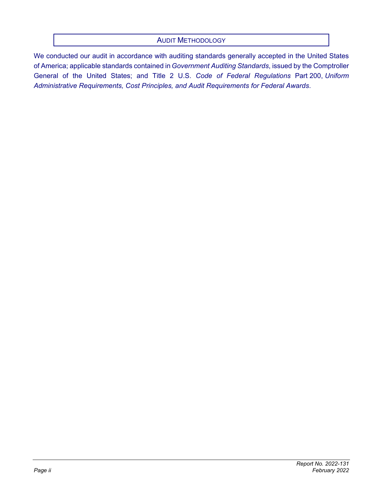#### AUDIT METHODOLOGY

We conducted our audit in accordance with auditing standards generally accepted in the United States of America; applicable standards contained in *Government Auditing Standards*, issued by the Comptroller General of the United States; and Title 2 U.S. *Code of Federal Regulations* Part 200, *Uniform Administrative Requirements, Cost Principles, and Audit Requirements for Federal Awards*.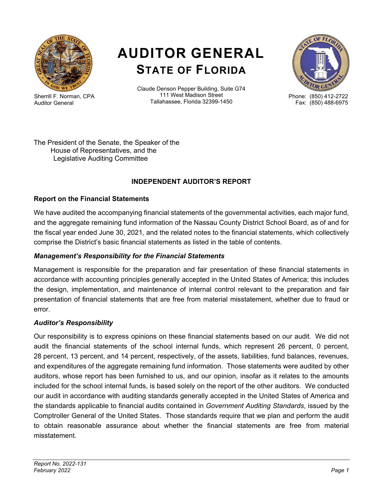<span id="page-6-0"></span>

Sherrill F. Norman, CPA Auditor General

# **AUDITOR GENERAL STATE OF FLORIDA**

Claude Denson Pepper Building, Suite G74 111 West Madison Street Tallahassee, Florida 32399-1450



Phone: (850) 412-2722 Fax: (850) 488-6975

The President of the Senate, the Speaker of the House of Representatives, and the Legislative Auditing Committee

### **INDEPENDENT AUDITOR'S REPORT**

#### **Report on the Financial Statements**

We have audited the accompanying financial statements of the governmental activities, each major fund, and the aggregate remaining fund information of the Nassau County District School Board, as of and for the fiscal year ended June 30, 2021, and the related notes to the financial statements, which collectively comprise the District's basic financial statements as listed in the table of contents.

#### *Management's Responsibility for the Financial Statements*

Management is responsible for the preparation and fair presentation of these financial statements in accordance with accounting principles generally accepted in the United States of America; this includes the design, implementation, and maintenance of internal control relevant to the preparation and fair presentation of financial statements that are free from material misstatement, whether due to fraud or error.

### *Auditor's Responsibility*

Our responsibility is to express opinions on these financial statements based on our audit. We did not audit the financial statements of the school internal funds, which represent 26 percent, 0 percent, 28 percent, 13 percent, and 14 percent, respectively, of the assets, liabilities, fund balances, revenues, and expenditures of the aggregate remaining fund information. Those statements were audited by other auditors, whose report has been furnished to us, and our opinion, insofar as it relates to the amounts included for the school internal funds, is based solely on the report of the other auditors. We conducted our audit in accordance with auditing standards generally accepted in the United States of America and the standards applicable to financial audits contained in *Government Auditing Standards*, issued by the Comptroller General of the United States. Those standards require that we plan and perform the audit to obtain reasonable assurance about whether the financial statements are free from material misstatement.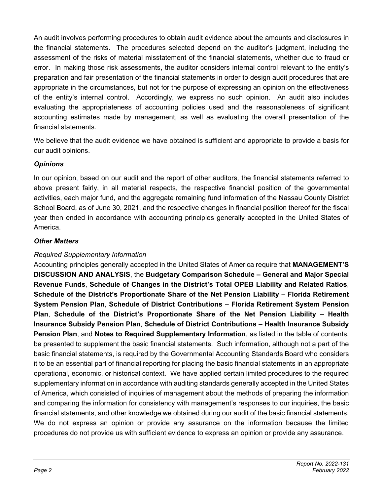An audit involves performing procedures to obtain audit evidence about the amounts and disclosures in the financial statements. The procedures selected depend on the auditor's judgment, including the assessment of the risks of material misstatement of the financial statements, whether due to fraud or error. In making those risk assessments, the auditor considers internal control relevant to the entity's preparation and fair presentation of the financial statements in order to design audit procedures that are appropriate in the circumstances, but not for the purpose of expressing an opinion on the effectiveness of the entity's internal control. Accordingly, we express no such opinion. An audit also includes evaluating the appropriateness of accounting policies used and the reasonableness of significant accounting estimates made by management, as well as evaluating the overall presentation of the financial statements.

We believe that the audit evidence we have obtained is sufficient and appropriate to provide a basis for our audit opinions.

#### *Opinions*

In our opinion, based on our audit and the report of other auditors, the financial statements referred to above present fairly, in all material respects, the respective financial position of the governmental activities, each major fund, and the aggregate remaining fund information of the Nassau County District School Board, as of June 30, 2021, and the respective changes in financial position thereof for the fiscal year then ended in accordance with accounting principles generally accepted in the United States of America.

### *Other Matters*

#### *Required Supplementary Information*

Accounting principles generally accepted in the United States of America require that **MANAGEMENT'S DISCUSSION AND ANALYSIS**, the **Budgetary Comparison Schedule – General and Major Special Revenue Funds**, **Schedule of Changes in the District's Total OPEB Liability and Related Ratios**, **Schedule of the District's Proportionate Share of the Net Pension Liability – Florida Retirement System Pension Plan**, **Schedule of District Contributions – Florida Retirement System Pension Plan**, **Schedule of the District's Proportionate Share of the Net Pension Liability – Health Insurance Subsidy Pension Plan**, **Schedule of District Contributions – Health Insurance Subsidy Pension Plan**, and **Notes to Required Supplementary Information**, as listed in the table of contents, be presented to supplement the basic financial statements. Such information, although not a part of the basic financial statements, is required by the Governmental Accounting Standards Board who considers it to be an essential part of financial reporting for placing the basic financial statements in an appropriate operational, economic, or historical context. We have applied certain limited procedures to the required supplementary information in accordance with auditing standards generally accepted in the United States of America, which consisted of inquiries of management about the methods of preparing the information and comparing the information for consistency with management's responses to our inquiries, the basic financial statements, and other knowledge we obtained during our audit of the basic financial statements. We do not express an opinion or provide any assurance on the information because the limited procedures do not provide us with sufficient evidence to express an opinion or provide any assurance.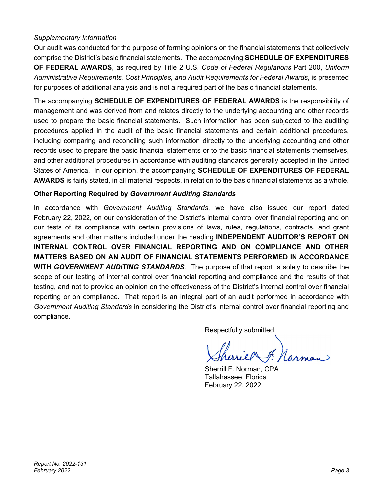#### <span id="page-8-0"></span>*Supplementary Information*

Our audit was conducted for the purpose of forming opinions on the financial statements that collectively comprise the District's basic financial statements. The accompanying **SCHEDULE OF EXPENDITURES OF FEDERAL AWARDS**, as required by Title 2 U.S. *Code of Federal Regulations* Part 200, *Uniform Administrative Requirements, Cost Principles, and Audit Requirements for Federal Awards*, is presented for purposes of additional analysis and is not a required part of the basic financial statements.

The accompanying **SCHEDULE OF EXPENDITURES OF FEDERAL AWARDS** is the responsibility of management and was derived from and relates directly to the underlying accounting and other records used to prepare the basic financial statements. Such information has been subjected to the auditing procedures applied in the audit of the basic financial statements and certain additional procedures, including comparing and reconciling such information directly to the underlying accounting and other records used to prepare the basic financial statements or to the basic financial statements themselves, and other additional procedures in accordance with auditing standards generally accepted in the United States of America. In our opinion, the accompanying **SCHEDULE OF EXPENDITURES OF FEDERAL AWARDS** is fairly stated, in all material respects, in relation to the basic financial statements as a whole.

#### **Other Reporting Required by** *Government Auditing Standards*

In accordance with *Government Auditing Standards*, we have also issued our report dated February 22, 2022, on our consideration of the District's internal control over financial reporting and on our tests of its compliance with certain provisions of laws, rules, regulations, contracts, and grant agreements and other matters included under the heading **INDEPENDENT AUDITOR'S REPORT ON INTERNAL CONTROL OVER FINANCIAL REPORTING AND ON COMPLIANCE AND OTHER MATTERS BASED ON AN AUDIT OF FINANCIAL STATEMENTS PERFORMED IN ACCORDANCE WITH** *GOVERNMENT AUDITING STANDARDS*. The purpose of that report is solely to describe the scope of our testing of internal control over financial reporting and compliance and the results of that testing, and not to provide an opinion on the effectiveness of the District's internal control over financial reporting or on compliance. That report is an integral part of an audit performed in accordance with *Government Auditing Standards* in considering the District's internal control over financial reporting and compliance.

Respectfully submitted,

Sherrill F. Norman, CPA Tallahassee, Florida February 22, 2022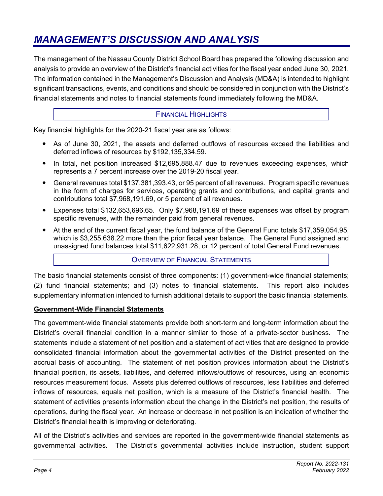# <span id="page-9-0"></span>*MANAGEMENT'S DISCUSSION AND ANALYSIS*

The management of the Nassau County District School Board has prepared the following discussion and analysis to provide an overview of the District's financial activities for the fiscal year ended June 30, 2021. The information contained in the Management's Discussion and Analysis (MD&A) is intended to highlight significant transactions, events, and conditions and should be considered in conjunction with the District's financial statements and notes to financial statements found immediately following the MD&A.

#### FINANCIAL HIGHLIGHTS

Key financial highlights for the 2020-21 fiscal year are as follows:

- As of June 30, 2021, the assets and deferred outflows of resources exceed the liabilities and deferred inflows of resources by \$192,135,334.59.
- In total, net position increased \$12,695,888.47 due to revenues exceeding expenses, which represents a 7 percent increase over the 2019-20 fiscal year.
- General revenues total \$137,381,393.43, or 95 percent of all revenues. Program specific revenues in the form of charges for services, operating grants and contributions, and capital grants and contributions total \$7,968,191.69, or 5 percent of all revenues.
- Expenses total \$132,653,696.65. Only \$7,968,191.69 of these expenses was offset by program specific revenues, with the remainder paid from general revenues.
- At the end of the current fiscal year, the fund balance of the General Fund totals \$17,359,054.95, which is \$3,255,638.22 more than the prior fiscal year balance. The General Fund assigned and unassigned fund balances total \$11,622,931.28, or 12 percent of total General Fund revenues.

#### OVERVIEW OF FINANCIAL STATEMENTS

The basic financial statements consist of three components: (1) government-wide financial statements; (2) fund financial statements; and (3) notes to financial statements. This report also includes supplementary information intended to furnish additional details to support the basic financial statements.

#### **Government-Wide Financial Statements**

The government-wide financial statements provide both short-term and long-term information about the District's overall financial condition in a manner similar to those of a private-sector business. The statements include a statement of net position and a statement of activities that are designed to provide consolidated financial information about the governmental activities of the District presented on the accrual basis of accounting. The statement of net position provides information about the District's financial position, its assets, liabilities, and deferred inflows/outflows of resources, using an economic resources measurement focus. Assets plus deferred outflows of resources, less liabilities and deferred inflows of resources, equals net position, which is a measure of the District's financial health. The statement of activities presents information about the change in the District's net position, the results of operations, during the fiscal year. An increase or decrease in net position is an indication of whether the District's financial health is improving or deteriorating.

All of the District's activities and services are reported in the government-wide financial statements as governmental activities. The District's governmental activities include instruction, student support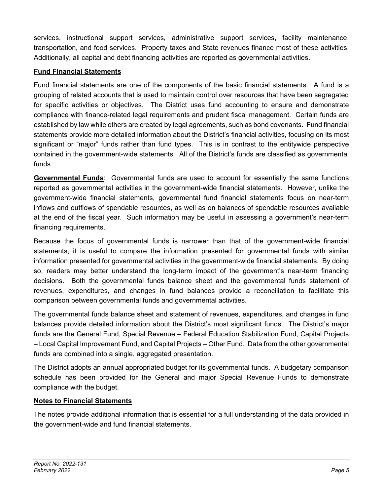services, instructional support services, administrative support services, facility maintenance, transportation, and food services. Property taxes and State revenues finance most of these activities. Additionally, all capital and debt financing activities are reported as governmental activities.

#### **Fund Financial Statements**

Fund financial statements are one of the components of the basic financial statements. A fund is a grouping of related accounts that is used to maintain control over resources that have been segregated for specific activities or objectives. The District uses fund accounting to ensure and demonstrate compliance with finance-related legal requirements and prudent fiscal management. Certain funds are established by law while others are created by legal agreements, such as bond covenants. Fund financial statements provide more detailed information about the District's financial activities, focusing on its most significant or "major" funds rather than fund types. This is in contrast to the entitywide perspective contained in the government-wide statements. All of the District's funds are classified as governmental funds.

**Governmental Funds**: Governmental funds are used to account for essentially the same functions reported as governmental activities in the government-wide financial statements. However, unlike the government-wide financial statements, governmental fund financial statements focus on near-term inflows and outflows of spendable resources, as well as on balances of spendable resources available at the end of the fiscal year. Such information may be useful in assessing a government's near-term financing requirements.

Because the focus of governmental funds is narrower than that of the government-wide financial statements, it is useful to compare the information presented for governmental funds with similar information presented for governmental activities in the government-wide financial statements. By doing so, readers may better understand the long-term impact of the government's near-term financing decisions. Both the governmental funds balance sheet and the governmental funds statement of revenues, expenditures, and changes in fund balances provide a reconciliation to facilitate this comparison between governmental funds and governmental activities.

The governmental funds balance sheet and statement of revenues, expenditures, and changes in fund balances provide detailed information about the District's most significant funds. The District's major funds are the General Fund, Special Revenue – Federal Education Stabilization Fund, Capital Projects – Local Capital Improvement Fund, and Capital Projects – Other Fund. Data from the other governmental funds are combined into a single, aggregated presentation.

The District adopts an annual appropriated budget for its governmental funds. A budgetary comparison schedule has been provided for the General and major Special Revenue Funds to demonstrate compliance with the budget.

#### **Notes to Financial Statements**

The notes provide additional information that is essential for a full understanding of the data provided in the government-wide and fund financial statements.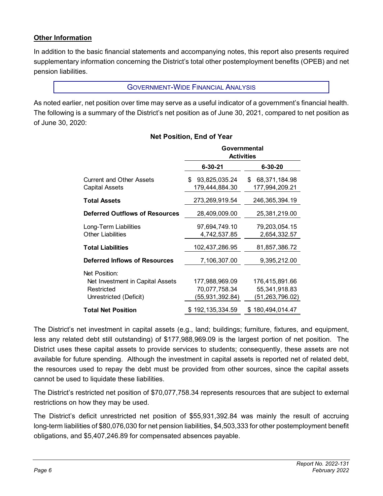#### **Other Information**

In addition to the basic financial statements and accompanying notes, this report also presents required supplementary information concerning the District's total other postemployment benefits (OPEB) and net pension liabilities.

#### GOVERNMENT-WIDE FINANCIAL ANALYSIS

As noted earlier, net position over time may serve as a useful indicator of a government's financial health. The following is a summary of the District's net position as of June 30, 2021, compared to net position as of June 30, 2020:

|                                                                                           | Governmental<br><b>Activities</b>                 |                                                      |  |  |  |
|-------------------------------------------------------------------------------------------|---------------------------------------------------|------------------------------------------------------|--|--|--|
|                                                                                           | $6 - 30 - 21$                                     | 6-30-20                                              |  |  |  |
| <b>Current and Other Assets</b><br><b>Capital Assets</b>                                  | 93,825,035.24<br>\$.<br>179,444,884.30            | \$<br>68,371,184.98<br>177,994,209.21                |  |  |  |
| Total Assets                                                                              | 273,269,919.54                                    | 246,365,394.19                                       |  |  |  |
| <b>Deferred Outflows of Resources</b>                                                     | 28,409,009.00                                     | 25,381,219.00                                        |  |  |  |
| Long-Term Liabilities<br>Other Liabilities                                                | 97,694,749.10<br>4,742,537.85                     | 79,203,054.15<br>2,654,332.57                        |  |  |  |
| Total Liabilities                                                                         | 102,437,286.95                                    | 81,857,386.72                                        |  |  |  |
| <b>Deferred Inflows of Resources</b>                                                      | 7,106,307.00                                      | 9,395,212.00                                         |  |  |  |
| Net Position:<br>Net Investment in Capital Assets<br>Restricted<br>Unrestricted (Deficit) | 177,988,969.09<br>70,077,758.34<br>55,931,392.84) | 176,415,891.66<br>55,341,918.83<br>(51, 263, 796.02) |  |  |  |
| <b>Total Net Position</b>                                                                 | \$192,135,334.59                                  | \$180,494,014.47                                     |  |  |  |

#### **Net Position, End of Year**

The District's net investment in capital assets (e.g., land; buildings; furniture, fixtures, and equipment, less any related debt still outstanding) of \$177,988,969.09 is the largest portion of net position. The District uses these capital assets to provide services to students; consequently, these assets are not available for future spending. Although the investment in capital assets is reported net of related debt, the resources used to repay the debt must be provided from other sources, since the capital assets cannot be used to liquidate these liabilities.

The District's restricted net position of \$70,077,758.34 represents resources that are subject to external restrictions on how they may be used.

The District's deficit unrestricted net position of \$55,931,392.84 was mainly the result of accruing long-term liabilities of \$80,076,030 for net pension liabilities, \$4,503,333 for other postemployment benefit obligations, and \$5,407,246.89 for compensated absences payable.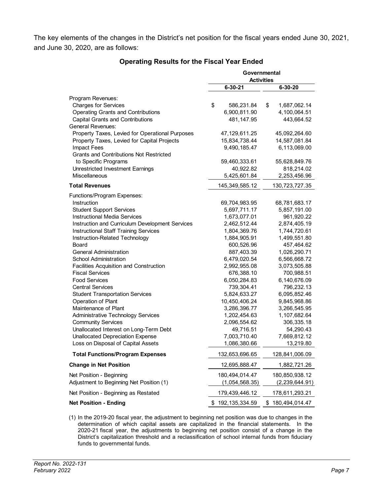The key elements of the changes in the District's net position for the fiscal years ended June 30, 2021, and June 30, 2020, are as follows:

|                                                 | Governmental          |                      |  |  |  |
|-------------------------------------------------|-----------------------|----------------------|--|--|--|
|                                                 |                       | <b>Activities</b>    |  |  |  |
|                                                 | 6-30-21               | $6 - 30 - 20$        |  |  |  |
| Program Revenues:                               |                       |                      |  |  |  |
| <b>Charges for Services</b>                     | \$<br>586,231.84      | 1,687,062.14<br>\$   |  |  |  |
| <b>Operating Grants and Contributions</b>       | 6,900,811.90          | 4,100,064.51         |  |  |  |
| <b>Capital Grants and Contributions</b>         | 481,147.95            | 443,664.52           |  |  |  |
| <b>General Revenues:</b>                        |                       |                      |  |  |  |
| Property Taxes, Levied for Operational Purposes | 47,129,611.25         | 45,092,264.60        |  |  |  |
| Property Taxes, Levied for Capital Projects     | 15,834,738.44         | 14,587,081.84        |  |  |  |
| <b>Impact Fees</b>                              | 9,490,185.47          | 6,113,069.00         |  |  |  |
| <b>Grants and Contributions Not Restricted</b>  |                       |                      |  |  |  |
| to Specific Programs                            | 59,460,333.61         | 55,628,849.76        |  |  |  |
| <b>Unrestricted Investment Earnings</b>         | 40,922.82             | 818,214.02           |  |  |  |
| Miscellaneous                                   | 5,425,601.84          | 2,253,456.96         |  |  |  |
|                                                 |                       |                      |  |  |  |
| <b>Total Revenues</b>                           | 145,349,585.12        | 130,723,727.35       |  |  |  |
| Functions/Program Expenses:                     |                       |                      |  |  |  |
| Instruction                                     | 69,704,983.95         | 68,781,683.17        |  |  |  |
| <b>Student Support Services</b>                 | 5,697,711.17          | 5,857,191.00         |  |  |  |
| <b>Instructional Media Services</b>             | 1,673,077.01          | 961,920.22           |  |  |  |
| Instruction and Curriculum Development Services | 2,462,512.44          | 2,874,405.19         |  |  |  |
| <b>Instructional Staff Training Services</b>    | 1,804,369.76          | 1,744,720.61         |  |  |  |
| Instruction-Related Technology                  | 1,884,905.91          | 1,499,551.80         |  |  |  |
| Board                                           | 600,526.96            | 457,464.62           |  |  |  |
| <b>General Administration</b>                   | 887,403.39            | 1,026,290.71         |  |  |  |
| <b>School Administration</b>                    | 6,479,020.54          | 6,566,668.72         |  |  |  |
| <b>Facilities Acquisition and Construction</b>  | 2,992,955.08          | 3,073,505.88         |  |  |  |
| <b>Fiscal Services</b>                          | 676,388.10            | 700,988.51           |  |  |  |
| <b>Food Services</b>                            | 6,050,284.83          | 6,140,676.09         |  |  |  |
| <b>Central Services</b>                         | 739,304.41            | 796,232.13           |  |  |  |
| <b>Student Transportation Services</b>          | 5,824,633.27          | 6,095,852.46         |  |  |  |
| Operation of Plant                              | 10,450,406.24         | 9,845,968.86         |  |  |  |
| Maintenance of Plant                            | 3,286,396.77          | 3,266,545.95         |  |  |  |
| Administrative Technology Services              | 1,202,454.63          | 1,107,682.64         |  |  |  |
| <b>Community Services</b>                       | 2,096,554.62          | 306,335.18           |  |  |  |
| Unallocated Interest on Long-Term Debt          | 49,716.51             | 54,290.43            |  |  |  |
| <b>Unallocated Depreciation Expense</b>         | 7,003,710.40          | 7,669,812.12         |  |  |  |
| Loss on Disposal of Capital Assets              | 1,086,380.66          | 13,219.80            |  |  |  |
| <b>Total Functions/Program Expenses</b>         | 132,653,696.65        | 128,841,006.09       |  |  |  |
| <b>Change in Net Position</b>                   | 12,695,888.47         | 1,882,721.26         |  |  |  |
| Net Position - Beginning                        | 180,494,014.47        | 180,850,938.12       |  |  |  |
| Adjustment to Beginning Net Position (1)        | (1,054,568.35)        | (2,239,644.91)       |  |  |  |
| Net Position - Beginning as Restated            | 179,439,446.12        | 178,611,293.21       |  |  |  |
| <b>Net Position - Ending</b>                    | 192, 135, 334.59<br>S | \$<br>180,494,014.47 |  |  |  |

#### **Operating Results for the Fiscal Year Ended**

(1) In the 2019-20 fiscal year, the adjustment to beginning net position was due to changes in the determination of which capital assets are capitalized in the financial statements. In the 2020-21 fiscal year, the adjustments to beginning net position consist of a change in the District's capitalization threshold and a reclassification of school internal funds from fiduciary funds to governmental funds.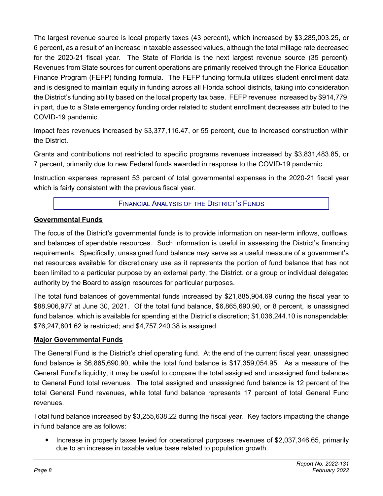The largest revenue source is local property taxes (43 percent), which increased by \$3,285,003.25, or 6 percent, as a result of an increase in taxable assessed values, although the total millage rate decreased for the 2020-21 fiscal year. The State of Florida is the next largest revenue source (35 percent). Revenues from State sources for current operations are primarily received through the Florida Education Finance Program (FEFP) funding formula. The FEFP funding formula utilizes student enrollment data and is designed to maintain equity in funding across all Florida school districts, taking into consideration the District's funding ability based on the local property tax base. FEFP revenues increased by \$914,779, in part, due to a State emergency funding order related to student enrollment decreases attributed to the COVID-19 pandemic.

Impact fees revenues increased by \$3,377,116.47, or 55 percent, due to increased construction within the District.

Grants and contributions not restricted to specific programs revenues increased by \$3,831,483.85, or 7 percent, primarily due to new Federal funds awarded in response to the COVID-19 pandemic.

Instruction expenses represent 53 percent of total governmental expenses in the 2020-21 fiscal year which is fairly consistent with the previous fiscal year.

FINANCIAL ANALYSIS OF THE DISTRICT'S FUNDS

#### **Governmental Funds**

The focus of the District's governmental funds is to provide information on near-term inflows, outflows, and balances of spendable resources. Such information is useful in assessing the District's financing requirements. Specifically, unassigned fund balance may serve as a useful measure of a government's net resources available for discretionary use as it represents the portion of fund balance that has not been limited to a particular purpose by an external party, the District, or a group or individual delegated authority by the Board to assign resources for particular purposes.

The total fund balances of governmental funds increased by \$21,885,904.69 during the fiscal year to \$88,906,977 at June 30, 2021. Of the total fund balance, \$6,865,690.90, or 8 percent, is unassigned fund balance, which is available for spending at the District's discretion; \$1,036,244.10 is nonspendable; \$76,247,801.62 is restricted; and \$4,757,240.38 is assigned.

#### **Major Governmental Funds**

The General Fund is the District's chief operating fund. At the end of the current fiscal year, unassigned fund balance is \$6,865,690.90, while the total fund balance is \$17,359,054.95. As a measure of the General Fund's liquidity, it may be useful to compare the total assigned and unassigned fund balances to General Fund total revenues. The total assigned and unassigned fund balance is 12 percent of the total General Fund revenues, while total fund balance represents 17 percent of total General Fund revenues.

Total fund balance increased by \$3,255,638.22 during the fiscal year. Key factors impacting the change in fund balance are as follows:

• Increase in property taxes levied for operational purposes revenues of \$2,037,346.65, primarily due to an increase in taxable value base related to population growth.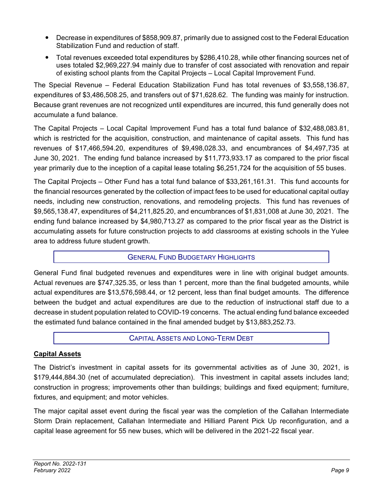- Decrease in expenditures of \$858,909.87, primarily due to assigned cost to the Federal Education Stabilization Fund and reduction of staff.
- Total revenues exceeded total expenditures by \$286,410.28, while other financing sources net of uses totaled \$2,969,227.94 mainly due to transfer of cost associated with renovation and repair of existing school plants from the Capital Projects – Local Capital Improvement Fund.

The Special Revenue – Federal Education Stabilization Fund has total revenues of \$3,558,136.87, expenditures of \$3,486,508.25, and transfers out of \$71,628.62. The funding was mainly for instruction. Because grant revenues are not recognized until expenditures are incurred, this fund generally does not accumulate a fund balance.

The Capital Projects – Local Capital Improvement Fund has a total fund balance of \$32,488,083.81, which is restricted for the acquisition, construction, and maintenance of capital assets. This fund has revenues of \$17,466,594.20, expenditures of \$9,498,028.33, and encumbrances of \$4,497,735 at June 30, 2021. The ending fund balance increased by \$11,773,933.17 as compared to the prior fiscal year primarily due to the inception of a capital lease totaling \$6,251,724 for the acquisition of 55 buses.

The Capital Projects – Other Fund has a total fund balance of \$33,261,161.31. This fund accounts for the financial resources generated by the collection of impact fees to be used for educational capital outlay needs, including new construction, renovations, and remodeling projects. This fund has revenues of \$9,565,138.47, expenditures of \$4,211,825.20, and encumbrances of \$1,831,008 at June 30, 2021. The ending fund balance increased by \$4,980,713.27 as compared to the prior fiscal year as the District is accumulating assets for future construction projects to add classrooms at existing schools in the Yulee area to address future student growth.

#### GENERAL FUND BUDGETARY HIGHLIGHTS

General Fund final budgeted revenues and expenditures were in line with original budget amounts. Actual revenues are \$747,325.35, or less than 1 percent, more than the final budgeted amounts, while actual expenditures are \$13,576,598.44, or 12 percent, less than final budget amounts. The difference between the budget and actual expenditures are due to the reduction of instructional staff due to a decrease in student population related to COVID-19 concerns. The actual ending fund balance exceeded the estimated fund balance contained in the final amended budget by \$13,883,252.73.

### CAPITAL ASSETS AND LONG-TERM DEBT

### **Capital Assets**

The District's investment in capital assets for its governmental activities as of June 30, 2021, is \$179,444,884.30 (net of accumulated depreciation). This investment in capital assets includes land; construction in progress; improvements other than buildings; buildings and fixed equipment; furniture, fixtures, and equipment; and motor vehicles.

The major capital asset event during the fiscal year was the completion of the Callahan Intermediate Storm Drain replacement, Callahan Intermediate and Hilliard Parent Pick Up reconfiguration, and a capital lease agreement for 55 new buses, which will be delivered in the 2021-22 fiscal year.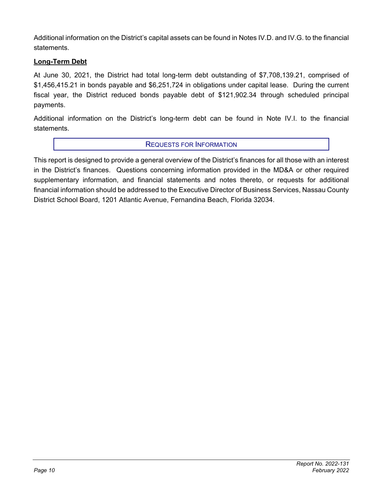Additional information on the District's capital assets can be found in Notes IV.D. and IV.G. to the financial statements.

#### **Long-Term Debt**

At June 30, 2021, the District had total long-term debt outstanding of \$7,708,139.21, comprised of \$1,456,415.21 in bonds payable and \$6,251,724 in obligations under capital lease. During the current fiscal year, the District reduced bonds payable debt of \$121,902.34 through scheduled principal payments.

Additional information on the District's long-term debt can be found in Note IV.I. to the financial statements.

#### REQUESTS FOR INFORMATION

This report is designed to provide a general overview of the District's finances for all those with an interest in the District's finances. Questions concerning information provided in the MD&A or other required supplementary information, and financial statements and notes thereto, or requests for additional financial information should be addressed to the Executive Director of Business Services, Nassau County District School Board, 1201 Atlantic Avenue, Fernandina Beach, Florida 32034.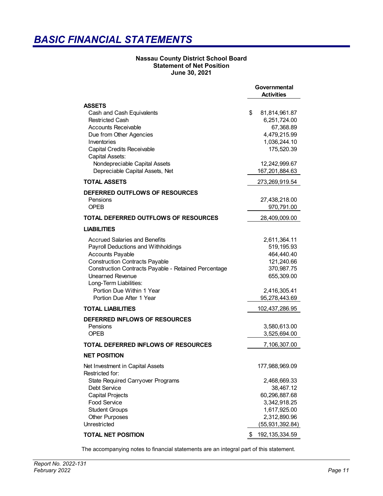# <span id="page-16-0"></span>*BASIC FINANCIAL STATEMENTS*

#### **Nassau County District School Board Statement of Net Position June 30, 2021**

|                                                      | Governmental<br><b>Activities</b> |
|------------------------------------------------------|-----------------------------------|
| <b>ASSETS</b>                                        |                                   |
| Cash and Cash Equivalents                            | \$<br>81,814,961.87               |
| <b>Restricted Cash</b>                               | 6,251,724.00                      |
| <b>Accounts Receivable</b>                           | 67,368.89                         |
| Due from Other Agencies                              | 4,479,215.99                      |
| Inventories                                          | 1,036,244.10                      |
| Capital Credits Receivable<br>Capital Assets:        | 175,520.39                        |
| Nondepreciable Capital Assets                        | 12,242,999.67                     |
| Depreciable Capital Assets, Net                      | 167,201,884.63                    |
| <b>TOTAL ASSETS</b>                                  | 273,269,919.54                    |
| DEFERRED OUTFLOWS OF RESOURCES                       |                                   |
| Pensions                                             | 27,438,218.00                     |
| <b>OPEB</b>                                          | 970,791.00                        |
| TOTAL DEFERRED OUTFLOWS OF RESOURCES                 | 28,409,009.00                     |
| <b>LIABILITIES</b>                                   |                                   |
| <b>Accrued Salaries and Benefits</b>                 | 2,611,364.11                      |
| Payroll Deductions and Withholdings                  | 519,195.93                        |
| <b>Accounts Payable</b>                              | 464,440.40                        |
| <b>Construction Contracts Payable</b>                | 121,240.66                        |
| Construction Contracts Payable - Retained Percentage | 370,987.75                        |
| <b>Unearned Revenue</b>                              | 655,309.00                        |
| Long-Term Liabilities:                               |                                   |
| Portion Due Within 1 Year                            | 2,416,305.41                      |
| Portion Due After 1 Year                             | 95,278,443.69                     |
| <b>TOTAL LIABILITIES</b>                             | 102,437,286.95                    |
| DEFERRED INFLOWS OF RESOURCES                        |                                   |
| Pensions                                             | 3,580,613.00                      |
| <b>OPEB</b>                                          | 3,525,694.00                      |
| <b>TOTAL DEFERRED INFLOWS OF RESOURCES</b>           | 7,106,307.00                      |
| <b>NET POSITION</b>                                  |                                   |
| Net Investment in Capital Assets<br>Restricted for:  | 177,988,969.09                    |
| State Required Carryover Programs                    | 2,468,669.33                      |
| Debt Service                                         | 38,467.12                         |
| <b>Capital Projects</b>                              | 60,296,887.68                     |
| <b>Food Service</b>                                  | 3,342,918.25                      |
| <b>Student Groups</b>                                | 1,617,925.00                      |
| <b>Other Purposes</b>                                | 2,312,890.96                      |
| Unrestricted                                         | (55, 931, 392.84)                 |
| <b>TOTAL NET POSITION</b>                            | 192, 135, 334.59<br>\$            |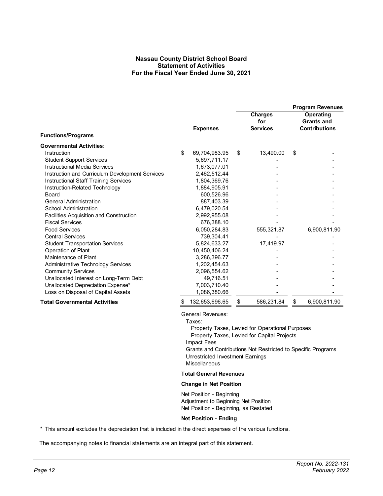#### **Nassau County District School Board Statement of Activities For the Fiscal Year Ended June 30, 2021**

<span id="page-17-0"></span>

|                                                 |                      | <b>Charges</b><br>for |                      | <b>Program Revenues</b><br>Operating<br><b>Grants and</b> |
|-------------------------------------------------|----------------------|-----------------------|----------------------|-----------------------------------------------------------|
|                                                 | <b>Expenses</b>      | <b>Services</b>       | <b>Contributions</b> |                                                           |
| <b>Functions/Programs</b>                       |                      |                       |                      |                                                           |
| <b>Governmental Activities:</b>                 |                      |                       |                      |                                                           |
| Instruction                                     | \$<br>69,704,983.95  | \$<br>13,490.00       | \$                   |                                                           |
| <b>Student Support Services</b>                 | 5,697,711.17         |                       |                      |                                                           |
| Instructional Media Services                    | 1,673,077.01         |                       |                      |                                                           |
| Instruction and Curriculum Development Services | 2,462,512.44         |                       |                      |                                                           |
| <b>Instructional Staff Training Services</b>    | 1,804,369.76         |                       |                      |                                                           |
| Instruction-Related Technology                  | 1,884,905.91         |                       |                      |                                                           |
| Board                                           | 600,526.96           |                       |                      |                                                           |
| <b>General Administration</b>                   | 887,403.39           |                       |                      |                                                           |
| <b>School Administration</b>                    | 6,479,020.54         |                       |                      |                                                           |
| Facilities Acquisition and Construction         | 2,992,955.08         |                       |                      |                                                           |
| <b>Fiscal Services</b>                          | 676,388.10           |                       |                      |                                                           |
| <b>Food Services</b>                            | 6,050,284.83         | 555,321.87            |                      | 6,900,811.90                                              |
| <b>Central Services</b>                         | 739,304.41           |                       |                      |                                                           |
| <b>Student Transportation Services</b>          | 5,824,633.27         | 17,419.97             |                      |                                                           |
| Operation of Plant                              | 10,450,406.24        |                       |                      |                                                           |
| Maintenance of Plant                            | 3,286,396.77         |                       |                      |                                                           |
| Administrative Technology Services              | 1,202,454.63         |                       |                      |                                                           |
| <b>Community Services</b>                       | 2,096,554.62         |                       |                      |                                                           |
| Unallocated Interest on Long-Term Debt          | 49,716.51            |                       |                      |                                                           |
| Unallocated Depreciation Expense*               | 7,003,710.40         |                       |                      |                                                           |
| Loss on Disposal of Capital Assets              | 1,086,380.66         |                       |                      |                                                           |
| <b>Total Governmental Activities</b>            | \$<br>132,653,696.65 | \$<br>586,231.84      | \$                   | 6,900,811.90                                              |

General Revenues:

Taxes:

 Property Taxes, Levied for Operational Purposes Property Taxes, Levied for Capital Projects Impact Fees Grants and Contributions Not Restricted to Specific Programs Unrestricted Investment Earnings **Miscellaneous** 

#### **Total General Revenues**

#### **Change in Net Position**

Net Position - Beginning Adjustment to Beginning Net Position Net Position - Beginning, as Restated

#### **Net Position - Ending**

\* This amount excludes the depreciation that is included in the direct expenses of the various functions.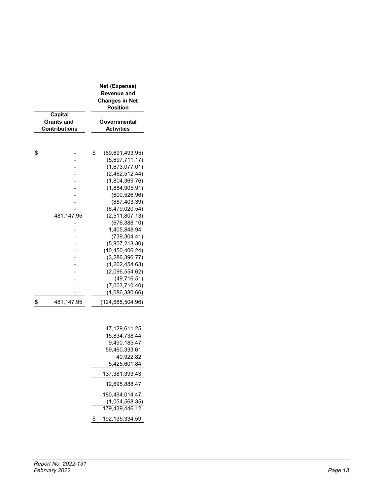|                                                      | Net (Expense)<br>Revenue and<br><b>Changes in Net</b><br><b>Position</b> |                                                                                                                              |  |  |
|------------------------------------------------------|--------------------------------------------------------------------------|------------------------------------------------------------------------------------------------------------------------------|--|--|
| Capital<br><b>Grants and</b><br><b>Contributions</b> |                                                                          | Governmental<br><b>Activities</b>                                                                                            |  |  |
|                                                      |                                                                          |                                                                                                                              |  |  |
| \$                                                   | \$                                                                       | (69, 691, 493.95)<br>(5,697,711.17)<br>(1,673,077.01)<br>(2,462,512.44)<br>(1,804,369.76)<br>(1,884,905.91)<br>(600, 526.96) |  |  |
| 481,147.95                                           |                                                                          | (887, 403.39)<br>(6,479,020.54)<br>(2, 511, 807.13)<br>(676, 388.10)                                                         |  |  |
|                                                      |                                                                          | 1,405,848.94<br>(739, 304.41)<br>(5,807,213.30)<br>(10, 450, 406.24)<br>(3, 286, 396.77)                                     |  |  |
|                                                      |                                                                          | (1,202,454.63)<br>(2,096,554.62)<br>(49, 716.51)<br>(7,003,710.40)<br>(1,086,380.66)                                         |  |  |
| \$<br>481,147.95                                     |                                                                          | (124,685,504.96)                                                                                                             |  |  |
|                                                      |                                                                          | 47,129,611.25<br>15,834,738.44                                                                                               |  |  |
|                                                      |                                                                          | 9,490,185.47<br>59,460,333.61<br>40,922.82<br>5,425,601.84                                                                   |  |  |
|                                                      |                                                                          | 137,381,393.43                                                                                                               |  |  |
|                                                      |                                                                          | 12,695,888.47                                                                                                                |  |  |
|                                                      |                                                                          | 180,494,014.47<br>(1,054,568.35)<br>179,439,446.12                                                                           |  |  |
|                                                      | \$                                                                       | 192, 135, 334.59                                                                                                             |  |  |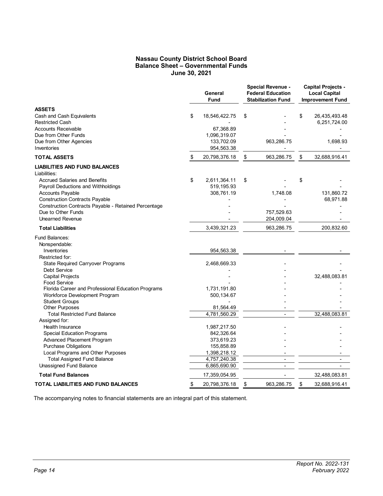#### **Nassau County District School Board Balance Sheet – Governmental Funds June 30, 2021**

<span id="page-19-0"></span>

|                                                                                                                                                                                                                                                                                                                  | General<br><b>Fund</b>                                                                                 | <b>Special Revenue -</b><br><b>Federal Education</b><br><b>Stabilization Fund</b> | <b>Capital Projects -</b><br><b>Local Capital</b><br><b>Improvement Fund</b> |
|------------------------------------------------------------------------------------------------------------------------------------------------------------------------------------------------------------------------------------------------------------------------------------------------------------------|--------------------------------------------------------------------------------------------------------|-----------------------------------------------------------------------------------|------------------------------------------------------------------------------|
| <b>ASSETS</b><br>Cash and Cash Equivalents<br><b>Restricted Cash</b><br><b>Accounts Receivable</b><br>Due from Other Funds<br>Due from Other Agencies<br>Inventories                                                                                                                                             | \$<br>18,546,422.75<br>67,368.89<br>1,096,319.07<br>133,702.09<br>954,563.38                           | \$<br>963,286.75                                                                  | \$<br>26,435,493.48<br>6,251,724.00<br>1,698.93                              |
| <b>TOTAL ASSETS</b>                                                                                                                                                                                                                                                                                              | \$<br>20,798,376.18                                                                                    | \$<br>963,286.75                                                                  | \$<br>32,688,916.41                                                          |
| <b>LIABILITIES AND FUND BALANCES</b><br>Liabilities:<br><b>Accrued Salaries and Benefits</b><br>Payroll Deductions and Withholdings<br><b>Accounts Payable</b><br><b>Construction Contracts Payable</b><br>Construction Contracts Payable - Retained Percentage<br>Due to Other Funds<br><b>Unearned Revenue</b> | \$<br>2,611,364.11<br>519, 195.93<br>308,761.19                                                        | \$<br>1,748.08<br>757,529.63<br>204,009.04                                        | \$<br>131,860.72<br>68,971.88                                                |
| <b>Total Liabilities</b>                                                                                                                                                                                                                                                                                         | 3,439,321.23                                                                                           | 963,286.75                                                                        | 200,832.60                                                                   |
| <b>Fund Balances:</b><br>Nonspendable:<br>Inventories<br>Restricted for:<br>State Required Carryover Programs<br><b>Debt Service</b>                                                                                                                                                                             | 954,563.38<br>2,468,669.33                                                                             |                                                                                   |                                                                              |
| <b>Capital Projects</b><br>Food Service<br>Florida Career and Professional Education Programs<br>Workforce Development Program<br><b>Student Groups</b><br><b>Other Purposes</b><br><b>Total Restricted Fund Balance</b>                                                                                         | 1,731,191.80<br>500, 134.67<br>81,564.49<br>4.781.560.29                                               |                                                                                   | 32,488,083.81<br>32.488.083.81                                               |
| Assigned for:<br><b>Health Insurance</b><br><b>Special Education Programs</b><br>Advanced Placement Program<br><b>Purchase Obligations</b><br>Local Programs and Other Purposes<br><b>Total Assigned Fund Balance</b><br>Unassigned Fund Balance                                                                 | 1,987,217.50<br>842,326.64<br>373,619.23<br>155,858.89<br>1,398,218.12<br>4,757,240.38<br>6,865,690.90 | $\overline{a}$                                                                    |                                                                              |
| <b>Total Fund Balances</b>                                                                                                                                                                                                                                                                                       | 17,359,054.95                                                                                          |                                                                                   | 32,488,083.81                                                                |
| TOTAL LIABILITIES AND FUND BALANCES                                                                                                                                                                                                                                                                              | \$<br>20,798,376.18                                                                                    | \$<br>963,286.75                                                                  | \$<br>32,688,916.41                                                          |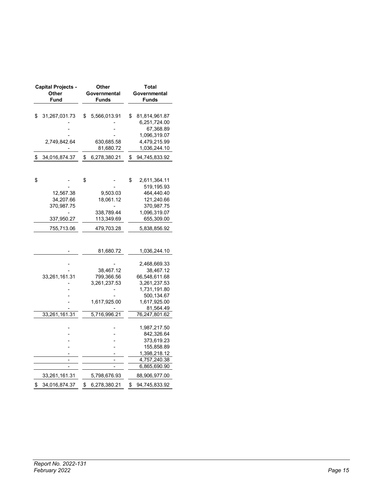| <b>Capital Projects -</b><br>Other<br>Fund |    | Other<br>Governmental<br><b>Funds</b> |    | Total<br>Governmental<br>Funds                             |
|--------------------------------------------|----|---------------------------------------|----|------------------------------------------------------------|
| \$<br>31,267,031.73                        | \$ | 5,566,013.91                          | \$ | 81,814,961.87<br>6,251,724.00<br>67,368.89<br>1,096,319.07 |
| 2,749,842.64                               |    | 630,685.58<br>81,680.72               |    | 4,479,215.99<br>1,036,244.10                               |
| \$<br>34,016,874.37                        | \$ | 6,278,380.21                          | \$ | 94,745,833.92                                              |
| \$<br>12,567.38                            | \$ | 9,503.03                              | \$ | 2,611,364.11<br>519,195.93<br>464,440.40                   |
| 34,207.66<br>370,987.75<br>337,950.27      |    | 18,061.12<br>338,789.44<br>113,349.69 |    | 121,240.66<br>370,987.75<br>1,096,319.07<br>655,309.00     |
| 755,713.06                                 |    | 479,703.28                            |    | 5,838,856.92                                               |
|                                            |    | 81,680.72                             |    | 1,036,244.10                                               |
| 33,261,161.31                              |    | 38,467.12<br>799,366.56               |    | 2,468,669.33<br>38,467.12<br>66,548,611.68                 |
|                                            |    | 3,261,237.53                          |    | 3,261,237.53<br>1,731,191.80<br>500,134.67                 |
| 33,261,161.31                              |    | 1,617,925.00<br>5,716,996.21          |    | 1,617,925.00<br>81,564.49<br>76,247,801.62                 |
|                                            |    |                                       |    | 1,987,217.50                                               |
|                                            |    |                                       |    | 842,326.64<br>373,619.23<br>155,858.89                     |
|                                            |    |                                       |    | 1,398,218.12<br>4,757,240.38<br>6,865,690.90               |
| 33,261,161.31                              |    | 5,798,676.93                          |    | 88,906,977.00                                              |
| \$<br>34,016,874.37                        | \$ | 6,278,380.21                          | \$ | 94,745,833.92                                              |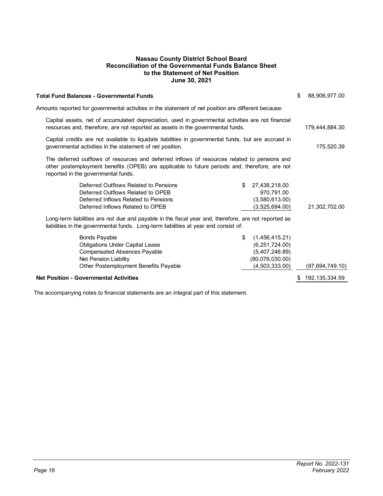#### **Nassau County District School Board Reconciliation of the Governmental Funds Balance Sheet to the Statement of Net Position June 30, 2021**

<span id="page-21-0"></span>

| <b>Total Fund Balances - Governmental Funds</b>                                                                                                                                                                                                                            | \$<br>88,906,977.00 |
|----------------------------------------------------------------------------------------------------------------------------------------------------------------------------------------------------------------------------------------------------------------------------|---------------------|
| Amounts reported for governmental activities in the statement of net position are different because:                                                                                                                                                                       |                     |
| Capital assets, net of accumulated depreciation, used in governmental activities are not financial<br>resources and, therefore, are not reported as assets in the governmental funds.                                                                                      | 179.444.884.30      |
| Capital credits are not available to liquidate liabilities in governmental funds, but are accrued in<br>governmental activities in the statement of net position.                                                                                                          | 175,520.39          |
| The deferred outflows of resources and deferred inflows of resources related to pensions and<br>other postemployment benefits (OPEB) are applicable to future periods and, therefore, are not<br>reported in the governmental funds.                                       |                     |
| Deferred Outflows Related to Pensions<br>\$<br>27,438,218.00<br>Deferred Outflows Related to OPEB<br>970,791.00<br>(3,580,613.00)<br>Deferred Inflows Related to Pensions<br>Deferred Inflows Related to OPEB<br>(3,525,694.00)                                            | 21,302,702.00       |
| Long-term liabilities are not due and payable in the fiscal year and, therefore, are not reported as<br>liabilities in the governmental funds. Long-term liabilities at year end consist of:                                                                               |                     |
| <b>Bonds Payable</b><br>\$<br>(1,456,415.21)<br>(6, 251, 724.00)<br><b>Obligations Under Capital Lease</b><br>(5,407,246.89)<br><b>Compensated Absences Payable</b><br>Net Pension Liability<br>(80,076,030.00)<br>(4,503,333.00)<br>Other Postemployment Benefits Payable | (97,694,749.10)     |
| <b>Net Position - Governmental Activities</b>                                                                                                                                                                                                                              | 192, 135, 334.59    |
|                                                                                                                                                                                                                                                                            |                     |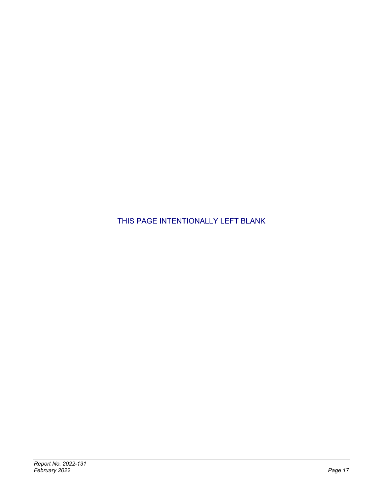THIS PAGE INTENTIONALLY LEFT BLANK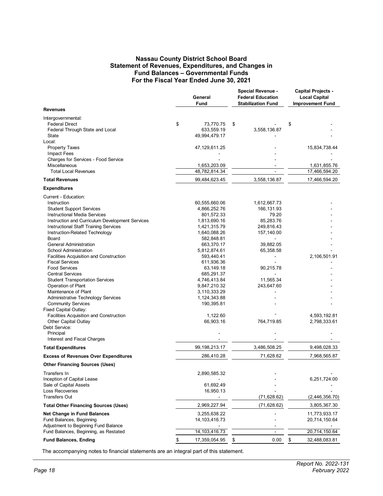#### **Nassau County District School Board Statement of Revenues, Expenditures, and Changes in Fund Balances – Governmental Funds For the Fiscal Year Ended June 30, 2021**

<span id="page-23-0"></span>

|                                                                                                                                                                                                                                                                                                                                                                                                                                                                                                                                                                                                                                                                                                                                                                          | General<br>Fund                                                                                                                                                                                                                                                                                       | Special Revenue -<br><b>Federal Education</b><br><b>Stabilization Fund</b>                                                                                    | <b>Capital Projects -</b><br><b>Local Capital</b><br><b>Improvement Fund</b> |
|--------------------------------------------------------------------------------------------------------------------------------------------------------------------------------------------------------------------------------------------------------------------------------------------------------------------------------------------------------------------------------------------------------------------------------------------------------------------------------------------------------------------------------------------------------------------------------------------------------------------------------------------------------------------------------------------------------------------------------------------------------------------------|-------------------------------------------------------------------------------------------------------------------------------------------------------------------------------------------------------------------------------------------------------------------------------------------------------|---------------------------------------------------------------------------------------------------------------------------------------------------------------|------------------------------------------------------------------------------|
| <b>Revenues</b>                                                                                                                                                                                                                                                                                                                                                                                                                                                                                                                                                                                                                                                                                                                                                          |                                                                                                                                                                                                                                                                                                       |                                                                                                                                                               |                                                                              |
| Intergovernmental:<br><b>Federal Direct</b><br>Federal Through State and Local<br>State                                                                                                                                                                                                                                                                                                                                                                                                                                                                                                                                                                                                                                                                                  | \$<br>73.770.75<br>633,559.19<br>49,994,479.17                                                                                                                                                                                                                                                        | \$<br>3,558,136.87                                                                                                                                            | \$                                                                           |
| Local:<br><b>Property Taxes</b><br><b>Impact Fees</b>                                                                                                                                                                                                                                                                                                                                                                                                                                                                                                                                                                                                                                                                                                                    | 47,129,611.25                                                                                                                                                                                                                                                                                         |                                                                                                                                                               | 15,834,738.44                                                                |
| Charges for Services - Food Service<br>Miscellaneous<br><b>Total Local Revenues</b>                                                                                                                                                                                                                                                                                                                                                                                                                                                                                                                                                                                                                                                                                      | 1,653,203.09<br>48,782,814.34                                                                                                                                                                                                                                                                         |                                                                                                                                                               | 1,631,855.76<br>17,466,594.20                                                |
| <b>Total Revenues</b>                                                                                                                                                                                                                                                                                                                                                                                                                                                                                                                                                                                                                                                                                                                                                    | 99,484,623.45                                                                                                                                                                                                                                                                                         | 3,558,136.87                                                                                                                                                  | 17,466,594.20                                                                |
| <b>Expenditures</b>                                                                                                                                                                                                                                                                                                                                                                                                                                                                                                                                                                                                                                                                                                                                                      |                                                                                                                                                                                                                                                                                                       |                                                                                                                                                               |                                                                              |
| Current - Education:<br>Instruction<br><b>Student Support Services</b><br><b>Instructional Media Services</b><br>Instruction and Curriculum Development Services<br>Instructional Staff Training Services<br>Instruction-Related Technology<br>Board<br><b>General Administration</b><br>School Administration<br><b>Facilities Acquisition and Construction</b><br><b>Fiscal Services</b><br><b>Food Services</b><br><b>Central Services</b><br><b>Student Transportation Services</b><br>Operation of Plant<br>Maintenance of Plant<br>Administrative Technology Services<br><b>Community Services</b><br>Fixed Capital Outlay:<br>Facilities Acquisition and Construction<br><b>Other Capital Outlay</b><br>Debt Service:<br>Principal<br>Interest and Fiscal Charges | 60,555,660.06<br>4,866,252.76<br>801,572.33<br>1,813,690.16<br>1,421,315.79<br>1,640,088.26<br>582,848.81<br>663,370.17<br>5,812,874.61<br>593,440.41<br>611,936.36<br>63,149.18<br>685,291.37<br>4,746,413.84<br>9,847,210.32<br>3,110,333.29<br>1,124,343.88<br>190,395.81<br>1,122.60<br>66,903.16 | 1,612,667.73<br>166, 131.93<br>79.20<br>85,283.76<br>249,816.43<br>157,140.00<br>39,882.05<br>65,358.58<br>90,215.78<br>11,565.34<br>243,647.60<br>764,719.85 | 2,106,501.91<br>4,593,192.81<br>2,798,333.61                                 |
| <b>Total Expenditures</b>                                                                                                                                                                                                                                                                                                                                                                                                                                                                                                                                                                                                                                                                                                                                                | 99, 198, 213. 17                                                                                                                                                                                                                                                                                      | 3,486,508.25                                                                                                                                                  | 9,498,028.33                                                                 |
| <b>Excess of Revenues Over Expenditures</b>                                                                                                                                                                                                                                                                                                                                                                                                                                                                                                                                                                                                                                                                                                                              | 286,410.28                                                                                                                                                                                                                                                                                            | 71,628.62                                                                                                                                                     | 7,968,565.87                                                                 |
| <b>Other Financing Sources (Uses)</b>                                                                                                                                                                                                                                                                                                                                                                                                                                                                                                                                                                                                                                                                                                                                    |                                                                                                                                                                                                                                                                                                       |                                                                                                                                                               |                                                                              |
| Transfers In<br>Inception of Capital Lease<br>Sale of Capital Assets<br><b>Loss Recoveries</b><br><b>Transfers Out</b>                                                                                                                                                                                                                                                                                                                                                                                                                                                                                                                                                                                                                                                   | 2,890,585.32<br>61,692.49<br>16,950.13                                                                                                                                                                                                                                                                | (71, 628.62)                                                                                                                                                  | 6,251,724.00<br>(2,446,356.70)                                               |
| <b>Total Other Financing Sources (Uses)</b>                                                                                                                                                                                                                                                                                                                                                                                                                                                                                                                                                                                                                                                                                                                              | 2,969,227.94                                                                                                                                                                                                                                                                                          | (71, 628.62)                                                                                                                                                  | 3,805,367.30                                                                 |
| <b>Net Change in Fund Balances</b><br>Fund Balances, Beginning<br>Adjustment to Beginning Fund Balance<br>Fund Balances, Beginning, as Restated                                                                                                                                                                                                                                                                                                                                                                                                                                                                                                                                                                                                                          | 3,255,638.22<br>14,103,416.73<br>14, 103, 416. 73                                                                                                                                                                                                                                                     |                                                                                                                                                               | 11,773,933.17<br>20,714,150.64<br>20,714,150.64                              |
| <b>Fund Balances, Ending</b>                                                                                                                                                                                                                                                                                                                                                                                                                                                                                                                                                                                                                                                                                                                                             | \$<br>17,359,054.95                                                                                                                                                                                                                                                                                   | \$<br>0.00                                                                                                                                                    | \$<br>32,488,083.81                                                          |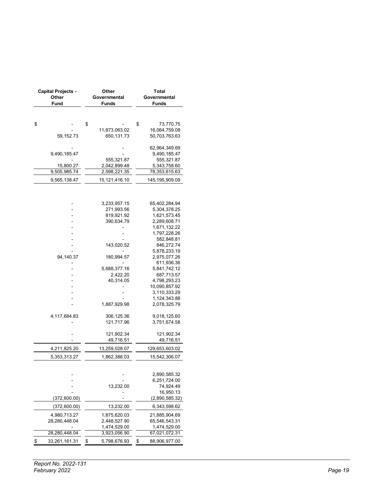| <b>Capital Projects -</b><br>Other<br>Fund |                              | Other<br>Governmental<br><b>Funds</b> | Total<br>Governmental<br><b>Funds</b> |                                |  |
|--------------------------------------------|------------------------------|---------------------------------------|---------------------------------------|--------------------------------|--|
|                                            |                              |                                       |                                       |                                |  |
| \$                                         |                              | \$                                    | \$                                    | 73,770.75                      |  |
|                                            |                              | 11,873,063.02                         |                                       | 16,064,759.08                  |  |
|                                            | 59, 152. 73                  | 650, 131.73                           |                                       | 50,703,763.63                  |  |
|                                            |                              |                                       |                                       | 62,964,349.69                  |  |
|                                            | 9,490,185.47                 |                                       |                                       | 9,490,185.47                   |  |
|                                            | 15,800.27                    | 555,321.87<br>2,042,899.48            |                                       | 555,321.87<br>5,343,758.60     |  |
|                                            | 9,505,985.74                 | 2,598,221.35                          |                                       | 78, 353, 615. 63               |  |
|                                            | 9,565,138.47                 | 15, 121, 416. 10                      |                                       | 145, 195, 909.09               |  |
|                                            |                              |                                       |                                       |                                |  |
|                                            |                              | 3,233,957.15                          |                                       | 65,402,284.94                  |  |
|                                            |                              | 271,993.56                            |                                       | 5,304,378.25                   |  |
|                                            |                              | 819,921.92                            |                                       | 1,621,573.45                   |  |
|                                            |                              | 390,634.79                            |                                       | 2,289,608.71<br>1,671,132.22   |  |
|                                            |                              |                                       |                                       | 1,797,228.26                   |  |
|                                            |                              |                                       |                                       | 582,848.81                     |  |
|                                            |                              | 143,020.52                            |                                       | 846,272.74                     |  |
|                                            |                              |                                       |                                       | 5,878,233.19                   |  |
|                                            | 94,140.37                    | 180,994.57                            |                                       | 2,975,077.26                   |  |
|                                            |                              |                                       |                                       | 611,936.36                     |  |
|                                            |                              | 5,688,377.16<br>2,422.20              |                                       | 5,841,742.12<br>687,713.57     |  |
|                                            |                              | 40,314.05                             |                                       | 4,798,293.23                   |  |
|                                            |                              |                                       |                                       | 10,090,857.92                  |  |
|                                            |                              |                                       |                                       | 3,110,333.29                   |  |
|                                            |                              |                                       |                                       | 1,124,343.88                   |  |
|                                            |                              | 1,887,929.98                          |                                       | 2,078,325.79                   |  |
|                                            | 4,117,684.83                 | 306,125.36                            |                                       | 9,018,125.60                   |  |
|                                            |                              | 121,717.96                            |                                       | 3,751,674.58                   |  |
|                                            |                              | 121,902.34                            |                                       | 121,902.34<br>49,716.51        |  |
|                                            | 4,211,825.20                 | 49,716.51<br>13,259,028.07            |                                       | 129,653,603.02                 |  |
|                                            | 5,353,313.27                 | 1,862,388.03                          |                                       | 15,542,306.07                  |  |
|                                            |                              |                                       |                                       |                                |  |
|                                            |                              |                                       |                                       | 2,890,585.32                   |  |
|                                            |                              |                                       |                                       | 6,251,724.00                   |  |
|                                            |                              | 13,232.00                             |                                       | 74,924.49                      |  |
|                                            |                              |                                       |                                       | 16,950.13                      |  |
|                                            | (372,600.00)<br>(372,600.00) | 13,232.00                             |                                       | (2,890,585.32)<br>6,343,598.62 |  |
|                                            |                              |                                       |                                       |                                |  |
|                                            | 4,980,713.27                 | 1,875,620.03                          |                                       | 21,885,904.69                  |  |
|                                            | 28,280,448.04                | 2,448,527.90<br>1,474,529.00          |                                       | 65,546,543.31<br>1,474,529.00  |  |
|                                            | 28,280,448.04                | 3,923,056.90                          |                                       | 67,021,072.31                  |  |
| \$                                         | 33,261,161.31                | \$<br>5,798,676.93                    | \$                                    | 88,906,977.00                  |  |
|                                            |                              |                                       |                                       |                                |  |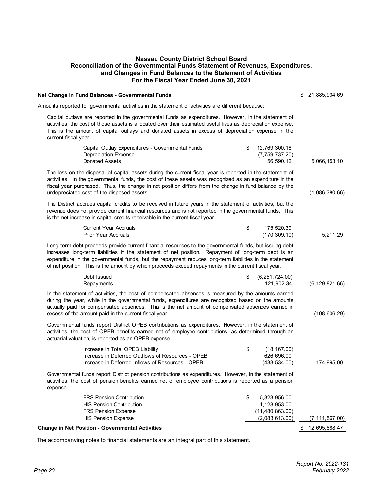#### <span id="page-25-0"></span>**Nassau County District School Board Reconciliation of the Governmental Funds Statement of Revenues, Expenditures, and Changes in Fund Balances to the Statement of Activities For the Fiscal Year Ended June 30, 2021**

#### **Net Change in Fund Balances - Governmental Funds 1.885,904.69 \$ 21,885,904.69**

(1,086,380.66)

(108,606.29)

Amounts reported for governmental activities in the statement of activities are different because:

Capital outlays are reported in the governmental funds as expenditures. However, in the statement of activities, the cost of those assets is allocated over their estimated useful lives as depreciation expense. This is the amount of capital outlays and donated assets in excess of depreciation expense in the current fiscal year.

| (7,759,737.20) |               |
|----------------|---------------|
| 56.590.12      | 5.066.153.10  |
|                | 12.769.300.18 |

The loss on the disposal of capital assets during the current fiscal year is reported in the statement of activities. In the governmental funds, the cost of these assets was recognized as an expenditure in the fiscal year purchased. Thus, the change in net position differs from the change in fund balance by the undepreciated cost of the disposed assets.

The District accrues capital credits to be received in future years in the statement of activities, but the revenue does not provide current financial resources and is not reported in the governmental funds. This is the net increase in capital credits receivable in the current fiscal year.

| Current Year Accruals      | 175.520.39   |          |
|----------------------------|--------------|----------|
| <b>Prior Year Accruals</b> | (170.309.10) | 5.211.29 |

Long-term debt proceeds provide current financial resources to the governmental funds, but issuing debt increases long-term liabilities in the statement of net position. Repayment of long-term debt is an expenditure in the governmental funds, but the repayment reduces long-term liabilities in the statement of net position. This is the amount by which proceeds exceed repayments in the current fiscal year.

| Debt Issued | \$ (6,251,724.00) |                  |
|-------------|-------------------|------------------|
| Repayments  | 121.902.34        | (6, 129, 821.66) |

In the statement of activities, the cost of compensated absences is measured by the amounts earned during the year, while in the governmental funds, expenditures are recognized based on the amounts actually paid for compensated absences. This is the net amount of compensated absences earned in excess of the amount paid in the current fiscal year.

Governmental funds report District OPEB contributions as expenditures. However, in the statement of activities, the cost of OPEB benefits earned net of employee contributions, as determined through an actuarial valuation, is reported as an OPEB expense.

| Increase in Total OPEB Liability<br>Increase in Deferred Outflows of Resources - OPEB<br>Increase in Deferred Inflows of Resources - OPEB                                                                                    | \$<br>(18, 167.00)<br>626,696.00<br>(433,534.00) | 174.995.00       |
|------------------------------------------------------------------------------------------------------------------------------------------------------------------------------------------------------------------------------|--------------------------------------------------|------------------|
| Governmental funds report District pension contributions as expenditures. However, in the statement of<br>activities, the cost of pension benefits earned net of employee contributions is reported as a pension<br>expense. |                                                  |                  |
| <b>FRS Pension Contribution</b><br><b>HIS Pension Contribution</b>                                                                                                                                                           | \$<br>5,323,956.00<br>1,128,953.00               |                  |
| <b>FRS Pension Expense</b><br><b>HIS Pension Expense</b>                                                                                                                                                                     | (11, 480, 863.00)<br>(2,083,613.00)              | (7, 111, 567.00) |

**Change in Net Position - Governmental Activities**  $\frac{1}{2}$  **sets and the set of the set of the set of the set of the set of the set of the set of the set of the set of the set of the set of the set of the set of the set of**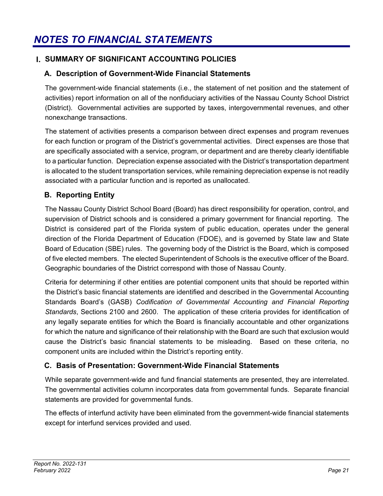### <span id="page-26-0"></span> **SUMMARY OF SIGNIFICANT ACCOUNTING POLICIES**

### **A. Description of Government-Wide Financial Statements**

The government-wide financial statements (i.e., the statement of net position and the statement of activities) report information on all of the nonfiduciary activities of the Nassau County School District (District). Governmental activities are supported by taxes, intergovernmental revenues, and other nonexchange transactions.

The statement of activities presents a comparison between direct expenses and program revenues for each function or program of the District's governmental activities. Direct expenses are those that are specifically associated with a service, program, or department and are thereby clearly identifiable to a particular function. Depreciation expense associated with the District's transportation department is allocated to the student transportation services, while remaining depreciation expense is not readily associated with a particular function and is reported as unallocated.

### **B. Reporting Entity**

The Nassau County District School Board (Board) has direct responsibility for operation, control, and supervision of District schools and is considered a primary government for financial reporting. The District is considered part of the Florida system of public education, operates under the general direction of the Florida Department of Education (FDOE), and is governed by State law and State Board of Education (SBE) rules. The governing body of the District is the Board, which is composed of five elected members. The elected Superintendent of Schools is the executive officer of the Board. Geographic boundaries of the District correspond with those of Nassau County.

Criteria for determining if other entities are potential component units that should be reported within the District's basic financial statements are identified and described in the Governmental Accounting Standards Board's (GASB) *Codification of Governmental Accounting and Financial Reporting Standards*, Sections 2100 and 2600. The application of these criteria provides for identification of any legally separate entities for which the Board is financially accountable and other organizations for which the nature and significance of their relationship with the Board are such that exclusion would cause the District's basic financial statements to be misleading. Based on these criteria, no component units are included within the District's reporting entity.

### **C. Basis of Presentation: Government-Wide Financial Statements**

While separate government-wide and fund financial statements are presented, they are interrelated. The governmental activities column incorporates data from governmental funds. Separate financial statements are provided for governmental funds.

The effects of interfund activity have been eliminated from the government-wide financial statements except for interfund services provided and used.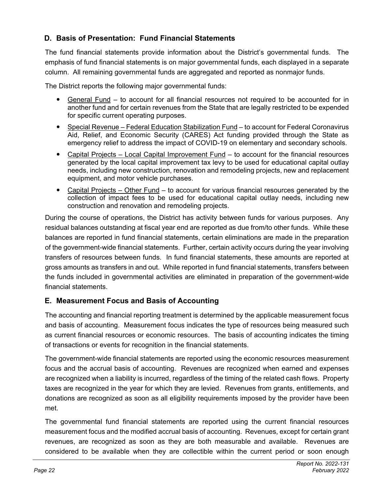### **D. Basis of Presentation: Fund Financial Statements**

The fund financial statements provide information about the District's governmental funds. The emphasis of fund financial statements is on major governmental funds, each displayed in a separate column. All remaining governmental funds are aggregated and reported as nonmajor funds.

The District reports the following major governmental funds:

- General Fund to account for all financial resources not required to be accounted for in another fund and for certain revenues from the State that are legally restricted to be expended for specific current operating purposes.
- Special Revenue Federal Education Stabilization Fund to account for Federal Coronavirus Aid, Relief, and Economic Security (CARES) Act funding provided through the State as emergency relief to address the impact of COVID-19 on elementary and secondary schools.
- Capital Projects Local Capital Improvement Fund to account for the financial resources generated by the local capital improvement tax levy to be used for educational capital outlay needs, including new construction, renovation and remodeling projects, new and replacement equipment, and motor vehicle purchases.
- Capital Projects Other Fund to account for various financial resources generated by the collection of impact fees to be used for educational capital outlay needs, including new construction and renovation and remodeling projects.

During the course of operations, the District has activity between funds for various purposes. Any residual balances outstanding at fiscal year end are reported as due from/to other funds. While these balances are reported in fund financial statements, certain eliminations are made in the preparation of the government-wide financial statements. Further, certain activity occurs during the year involving transfers of resources between funds. In fund financial statements, these amounts are reported at gross amounts as transfers in and out. While reported in fund financial statements, transfers between the funds included in governmental activities are eliminated in preparation of the government-wide financial statements.

### **E. Measurement Focus and Basis of Accounting**

The accounting and financial reporting treatment is determined by the applicable measurement focus and basis of accounting. Measurement focus indicates the type of resources being measured such as current financial resources or economic resources. The basis of accounting indicates the timing of transactions or events for recognition in the financial statements.

The government-wide financial statements are reported using the economic resources measurement focus and the accrual basis of accounting. Revenues are recognized when earned and expenses are recognized when a liability is incurred, regardless of the timing of the related cash flows. Property taxes are recognized in the year for which they are levied. Revenues from grants, entitlements, and donations are recognized as soon as all eligibility requirements imposed by the provider have been met.

The governmental fund financial statements are reported using the current financial resources measurement focus and the modified accrual basis of accounting. Revenues, except for certain grant revenues, are recognized as soon as they are both measurable and available. Revenues are considered to be available when they are collectible within the current period or soon enough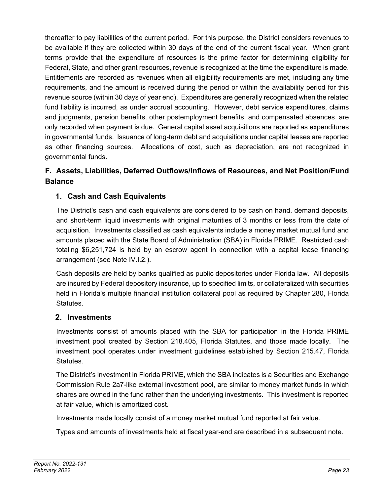thereafter to pay liabilities of the current period. For this purpose, the District considers revenues to be available if they are collected within 30 days of the end of the current fiscal year. When grant terms provide that the expenditure of resources is the prime factor for determining eligibility for Federal, State, and other grant resources, revenue is recognized at the time the expenditure is made. Entitlements are recorded as revenues when all eligibility requirements are met, including any time requirements, and the amount is received during the period or within the availability period for this revenue source (within 30 days of year end). Expenditures are generally recognized when the related fund liability is incurred, as under accrual accounting. However, debt service expenditures, claims and judgments, pension benefits, other postemployment benefits, and compensated absences, are only recorded when payment is due. General capital asset acquisitions are reported as expenditures in governmental funds. Issuance of long-term debt and acquisitions under capital leases are reported as other financing sources. Allocations of cost, such as depreciation, are not recognized in governmental funds.

### **F. Assets, Liabilities, Deferred Outflows/Inflows of Resources, and Net Position/Fund Balance**

### **Cash and Cash Equivalents**

The District's cash and cash equivalents are considered to be cash on hand, demand deposits, and short-term liquid investments with original maturities of 3 months or less from the date of acquisition. Investments classified as cash equivalents include a money market mutual fund and amounts placed with the State Board of Administration (SBA) in Florida PRIME. Restricted cash totaling \$6,251,724 is held by an escrow agent in connection with a capital lease financing arrangement (see Note IV.I.2.).

Cash deposits are held by banks qualified as public depositories under Florida law. All deposits are insured by Federal depository insurance, up to specified limits, or collateralized with securities held in Florida's multiple financial institution collateral pool as required by Chapter 280, Florida Statutes.

### **Investments**

Investments consist of amounts placed with the SBA for participation in the Florida PRIME investment pool created by Section 218.405, Florida Statutes, and those made locally. The investment pool operates under investment guidelines established by Section 215.47, Florida Statutes.

The District's investment in Florida PRIME, which the SBA indicates is a Securities and Exchange Commission Rule 2a7-like external investment pool, are similar to money market funds in which shares are owned in the fund rather than the underlying investments. This investment is reported at fair value, which is amortized cost.

Investments made locally consist of a money market mutual fund reported at fair value.

Types and amounts of investments held at fiscal year-end are described in a subsequent note.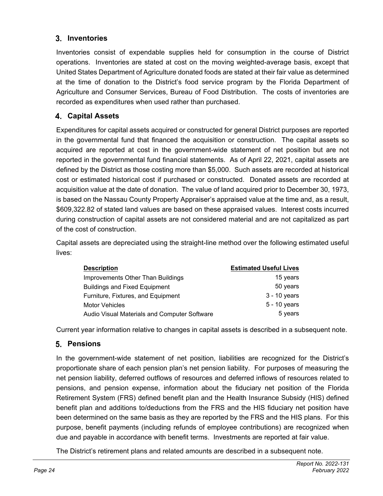### **Inventories**

Inventories consist of expendable supplies held for consumption in the course of District operations. Inventories are stated at cost on the moving weighted-average basis, except that United States Department of Agriculture donated foods are stated at their fair value as determined at the time of donation to the District's food service program by the Florida Department of Agriculture and Consumer Services, Bureau of Food Distribution. The costs of inventories are recorded as expenditures when used rather than purchased.

### **Capital Assets**

Expenditures for capital assets acquired or constructed for general District purposes are reported in the governmental fund that financed the acquisition or construction. The capital assets so acquired are reported at cost in the government-wide statement of net position but are not reported in the governmental fund financial statements. As of April 22, 2021, capital assets are defined by the District as those costing more than \$5,000. Such assets are recorded at historical cost or estimated historical cost if purchased or constructed. Donated assets are recorded at acquisition value at the date of donation. The value of land acquired prior to December 30, 1973, is based on the Nassau County Property Appraiser's appraised value at the time and, as a result, \$609,322.82 of stated land values are based on these appraised values. Interest costs incurred during construction of capital assets are not considered material and are not capitalized as part of the cost of construction.

Capital assets are depreciated using the straight-line method over the following estimated useful lives:

| <b>Description</b>                           | <b>Estimated Useful Lives</b> |
|----------------------------------------------|-------------------------------|
| Improvements Other Than Buildings            | 15 years                      |
| <b>Buildings and Fixed Equipment</b>         | 50 years                      |
| Furniture, Fixtures, and Equipment           | 3 - 10 years                  |
| <b>Motor Vehicles</b>                        | $5 - 10$ years                |
| Audio Visual Materials and Computer Software | 5 years                       |

Current year information relative to changes in capital assets is described in a subsequent note.

### **Pensions**

In the government-wide statement of net position, liabilities are recognized for the District's proportionate share of each pension plan's net pension liability. For purposes of measuring the net pension liability, deferred outflows of resources and deferred inflows of resources related to pensions, and pension expense, information about the fiduciary net position of the Florida Retirement System (FRS) defined benefit plan and the Health Insurance Subsidy (HIS) defined benefit plan and additions to/deductions from the FRS and the HIS fiduciary net position have been determined on the same basis as they are reported by the FRS and the HIS plans. For this purpose, benefit payments (including refunds of employee contributions) are recognized when due and payable in accordance with benefit terms. Investments are reported at fair value.

The District's retirement plans and related amounts are described in a subsequent note.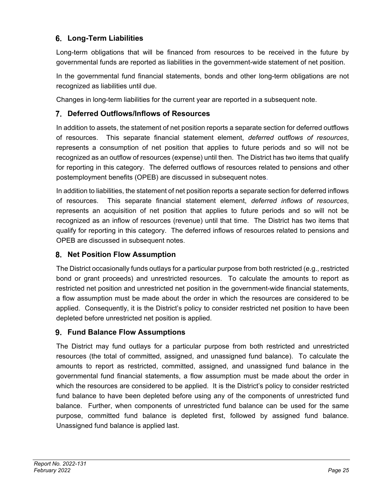### **Long-Term Liabilities**

Long-term obligations that will be financed from resources to be received in the future by governmental funds are reported as liabilities in the government-wide statement of net position.

In the governmental fund financial statements, bonds and other long-term obligations are not recognized as liabilities until due.

Changes in long-term liabilities for the current year are reported in a subsequent note.

### **Deferred Outflows/Inflows of Resources**

In addition to assets, the statement of net position reports a separate section for deferred outflows of resources. This separate financial statement element, *deferred outflows of resources*, represents a consumption of net position that applies to future periods and so will not be recognized as an outflow of resources (expense) until then. The District has two items that qualify for reporting in this category. The deferred outflows of resources related to pensions and other postemployment benefits (OPEB) are discussed in subsequent notes.

In addition to liabilities, the statement of net position reports a separate section for deferred inflows of resources. This separate financial statement element, *deferred inflows of resources*, represents an acquisition of net position that applies to future periods and so will not be recognized as an inflow of resources (revenue) until that time. The District has two items that qualify for reporting in this category. The deferred inflows of resources related to pensions and OPEB are discussed in subsequent notes.

### **Net Position Flow Assumption**

The District occasionally funds outlays for a particular purpose from both restricted (e.g., restricted bond or grant proceeds) and unrestricted resources. To calculate the amounts to report as restricted net position and unrestricted net position in the government-wide financial statements, a flow assumption must be made about the order in which the resources are considered to be applied. Consequently, it is the District's policy to consider restricted net position to have been depleted before unrestricted net position is applied.

### **Fund Balance Flow Assumptions**

The District may fund outlays for a particular purpose from both restricted and unrestricted resources (the total of committed, assigned, and unassigned fund balance). To calculate the amounts to report as restricted, committed, assigned, and unassigned fund balance in the governmental fund financial statements, a flow assumption must be made about the order in which the resources are considered to be applied. It is the District's policy to consider restricted fund balance to have been depleted before using any of the components of unrestricted fund balance. Further, when components of unrestricted fund balance can be used for the same purpose, committed fund balance is depleted first, followed by assigned fund balance. Unassigned fund balance is applied last.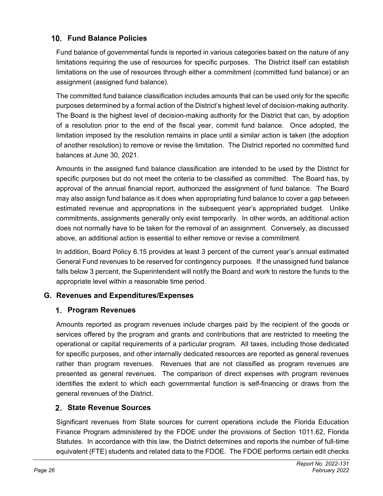### **Fund Balance Policies**

Fund balance of governmental funds is reported in various categories based on the nature of any limitations requiring the use of resources for specific purposes. The District itself can establish limitations on the use of resources through either a commitment (committed fund balance) or an assignment (assigned fund balance).

The committed fund balance classification includes amounts that can be used only for the specific purposes determined by a formal action of the District's highest level of decision-making authority. The Board is the highest level of decision-making authority for the District that can, by adoption of a resolution prior to the end of the fiscal year, commit fund balance. Once adopted, the limitation imposed by the resolution remains in place until a similar action is taken (the adoption of another resolution) to remove or revise the limitation. The District reported no committed fund balances at June 30, 2021.

Amounts in the assigned fund balance classification are intended to be used by the District for specific purposes but do not meet the criteria to be classified as committed. The Board has, by approval of the annual financial report, authorized the assignment of fund balance. The Board may also assign fund balance as it does when appropriating fund balance to cover a gap between estimated revenue and appropriations in the subsequent year's appropriated budget. Unlike commitments, assignments generally only exist temporarily. In other words, an additional action does not normally have to be taken for the removal of an assignment. Conversely, as discussed above, an additional action is essential to either remove or revise a commitment.

In addition, Board Policy 6.15 provides at least 3 percent of the current year's annual estimated General Fund revenues to be reserved for contingency purposes. If the unassigned fund balance falls below 3 percent, the Superintendent will notify the Board and work to restore the funds to the appropriate level within a reasonable time period.

### **G. Revenues and Expenditures/Expenses**

### **Program Revenues**

Amounts reported as program revenues include charges paid by the recipient of the goods or services offered by the program and grants and contributions that are restricted to meeting the operational or capital requirements of a particular program. All taxes, including those dedicated for specific purposes, and other internally dedicated resources are reported as general revenues rather than program revenues. Revenues that are not classified as program revenues are presented as general revenues. The comparison of direct expenses with program revenues identifies the extent to which each governmental function is self-financing or draws from the general revenues of the District.

### **State Revenue Sources**

Significant revenues from State sources for current operations include the Florida Education Finance Program administered by the FDOE under the provisions of Section 1011.62, Florida Statutes. In accordance with this law, the District determines and reports the number of full-time equivalent (FTE) students and related data to the FDOE. The FDOE performs certain edit checks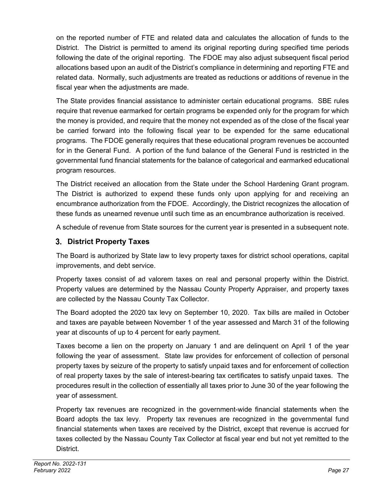on the reported number of FTE and related data and calculates the allocation of funds to the District. The District is permitted to amend its original reporting during specified time periods following the date of the original reporting. The FDOE may also adjust subsequent fiscal period allocations based upon an audit of the District's compliance in determining and reporting FTE and related data. Normally, such adjustments are treated as reductions or additions of revenue in the fiscal year when the adjustments are made.

The State provides financial assistance to administer certain educational programs. SBE rules require that revenue earmarked for certain programs be expended only for the program for which the money is provided, and require that the money not expended as of the close of the fiscal year be carried forward into the following fiscal year to be expended for the same educational programs. The FDOE generally requires that these educational program revenues be accounted for in the General Fund. A portion of the fund balance of the General Fund is restricted in the governmental fund financial statements for the balance of categorical and earmarked educational program resources.

The District received an allocation from the State under the School Hardening Grant program. The District is authorized to expend these funds only upon applying for and receiving an encumbrance authorization from the FDOE. Accordingly, the District recognizes the allocation of these funds as unearned revenue until such time as an encumbrance authorization is received.

A schedule of revenue from State sources for the current year is presented in a subsequent note.

### **District Property Taxes**

The Board is authorized by State law to levy property taxes for district school operations, capital improvements, and debt service.

Property taxes consist of ad valorem taxes on real and personal property within the District. Property values are determined by the Nassau County Property Appraiser, and property taxes are collected by the Nassau County Tax Collector.

The Board adopted the 2020 tax levy on September 10, 2020. Tax bills are mailed in October and taxes are payable between November 1 of the year assessed and March 31 of the following year at discounts of up to 4 percent for early payment.

Taxes become a lien on the property on January 1 and are delinquent on April 1 of the year following the year of assessment. State law provides for enforcement of collection of personal property taxes by seizure of the property to satisfy unpaid taxes and for enforcement of collection of real property taxes by the sale of interest-bearing tax certificates to satisfy unpaid taxes. The procedures result in the collection of essentially all taxes prior to June 30 of the year following the year of assessment.

Property tax revenues are recognized in the government-wide financial statements when the Board adopts the tax levy. Property tax revenues are recognized in the governmental fund financial statements when taxes are received by the District, except that revenue is accrued for taxes collected by the Nassau County Tax Collector at fiscal year end but not yet remitted to the District.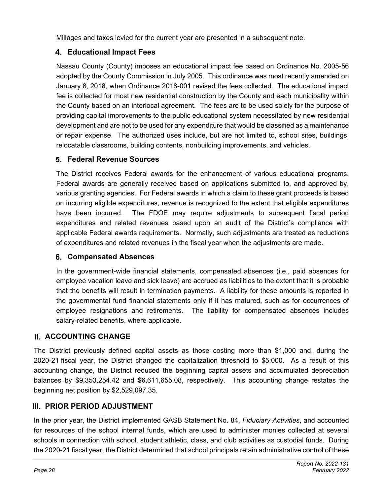Millages and taxes levied for the current year are presented in a subsequent note.

### **Educational Impact Fees**

Nassau County (County) imposes an educational impact fee based on Ordinance No. 2005-56 adopted by the County Commission in July 2005. This ordinance was most recently amended on January 8, 2018, when Ordinance 2018-001 revised the fees collected. The educational impact fee is collected for most new residential construction by the County and each municipality within the County based on an interlocal agreement. The fees are to be used solely for the purpose of providing capital improvements to the public educational system necessitated by new residential development and are not to be used for any expenditure that would be classified as a maintenance or repair expense. The authorized uses include, but are not limited to, school sites, buildings, relocatable classrooms, building contents, nonbuilding improvements, and vehicles.

### **Federal Revenue Sources**

The District receives Federal awards for the enhancement of various educational programs. Federal awards are generally received based on applications submitted to, and approved by, various granting agencies. For Federal awards in which a claim to these grant proceeds is based on incurring eligible expenditures, revenue is recognized to the extent that eligible expenditures have been incurred. The FDOE may require adjustments to subsequent fiscal period expenditures and related revenues based upon an audit of the District's compliance with applicable Federal awards requirements. Normally, such adjustments are treated as reductions of expenditures and related revenues in the fiscal year when the adjustments are made.

### **Compensated Absences**

In the government-wide financial statements, compensated absences (i.e., paid absences for employee vacation leave and sick leave) are accrued as liabilities to the extent that it is probable that the benefits will result in termination payments. A liability for these amounts is reported in the governmental fund financial statements only if it has matured, such as for occurrences of employee resignations and retirements. The liability for compensated absences includes salary-related benefits, where applicable.

### **ACCOUNTING CHANGE**

The District previously defined capital assets as those costing more than \$1,000 and, during the 2020-21 fiscal year, the District changed the capitalization threshold to \$5,000. As a result of this accounting change, the District reduced the beginning capital assets and accumulated depreciation balances by \$9,353,254.42 and \$6,611,655.08, respectively. This accounting change restates the beginning net position by \$2,529,097.35.

### **III. PRIOR PERIOD ADJUSTMENT**

In the prior year, the District implemented GASB Statement No. 84, *Fiduciary Activities*, and accounted for resources of the school internal funds, which are used to administer monies collected at several schools in connection with school, student athletic, class, and club activities as custodial funds. During the 2020-21 fiscal year, the District determined that school principals retain administrative control of these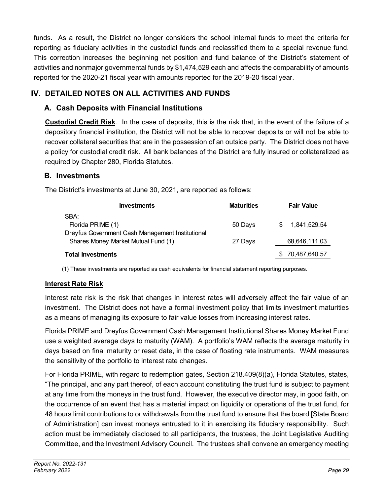funds. As a result, the District no longer considers the school internal funds to meet the criteria for reporting as fiduciary activities in the custodial funds and reclassified them to a special revenue fund. This correction increases the beginning net position and fund balance of the District's statement of activities and nonmajor governmental funds by \$1,474,529 each and affects the comparability of amounts reported for the 2020-21 fiscal year with amounts reported for the 2019-20 fiscal year.

### **DETAILED NOTES ON ALL ACTIVITIES AND FUNDS**

### **A. Cash Deposits with Financial Institutions**

**Custodial Credit Risk**. In the case of deposits, this is the risk that, in the event of the failure of a depository financial institution, the District will not be able to recover deposits or will not be able to recover collateral securities that are in the possession of an outside party. The District does not have a policy for custodial credit risk. All bank balances of the District are fully insured or collateralized as required by Chapter 280, Florida Statutes.

### **B. Investments**

The District's investments at June 30, 2021, are reported as follows:

| <b>Investments</b>                               | <b>Maturities</b> | <b>Fair Value</b> |
|--------------------------------------------------|-------------------|-------------------|
| SBA:                                             |                   |                   |
| Florida PRIME (1)                                | 50 Days           | \$1,841,529.54    |
| Dreyfus Government Cash Management Institutional |                   |                   |
| Shares Money Market Mutual Fund (1)              | 27 Days           | 68,646,111.03     |
| <b>Total Investments</b>                         |                   | 70,487,640.57     |

(1) These investments are reported as cash equivalents for financial statement reporting purposes.

### **Interest Rate Risk**

Interest rate risk is the risk that changes in interest rates will adversely affect the fair value of an investment. The District does not have a formal investment policy that limits investment maturities as a means of managing its exposure to fair value losses from increasing interest rates.

Florida PRIME and Dreyfus Government Cash Management Institutional Shares Money Market Fund use a weighted average days to maturity (WAM). A portfolio's WAM reflects the average maturity in days based on final maturity or reset date, in the case of floating rate instruments. WAM measures the sensitivity of the portfolio to interest rate changes.

For Florida PRIME, with regard to redemption gates, Section 218.409(8)(a), Florida Statutes, states, "The principal, and any part thereof, of each account constituting the trust fund is subject to payment at any time from the moneys in the trust fund. However, the executive director may, in good faith, on the occurrence of an event that has a material impact on liquidity or operations of the trust fund, for 48 hours limit contributions to or withdrawals from the trust fund to ensure that the board [State Board of Administration] can invest moneys entrusted to it in exercising its fiduciary responsibility. Such action must be immediately disclosed to all participants, the trustees, the Joint Legislative Auditing Committee, and the Investment Advisory Council. The trustees shall convene an emergency meeting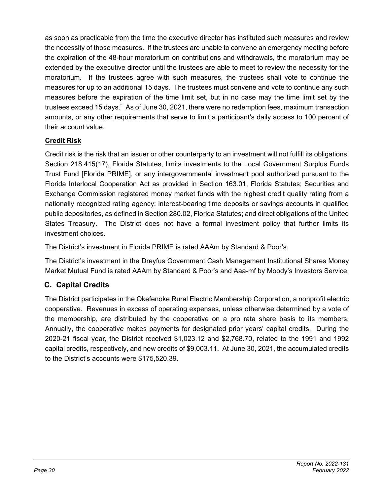as soon as practicable from the time the executive director has instituted such measures and review the necessity of those measures. If the trustees are unable to convene an emergency meeting before the expiration of the 48-hour moratorium on contributions and withdrawals, the moratorium may be extended by the executive director until the trustees are able to meet to review the necessity for the moratorium. If the trustees agree with such measures, the trustees shall vote to continue the measures for up to an additional 15 days. The trustees must convene and vote to continue any such measures before the expiration of the time limit set, but in no case may the time limit set by the trustees exceed 15 days." As of June 30, 2021, there were no redemption fees, maximum transaction amounts, or any other requirements that serve to limit a participant's daily access to 100 percent of their account value.

### **Credit Risk**

Credit risk is the risk that an issuer or other counterparty to an investment will not fulfill its obligations. Section 218.415(17), Florida Statutes, limits investments to the Local Government Surplus Funds Trust Fund [Florida PRIME], or any intergovernmental investment pool authorized pursuant to the Florida Interlocal Cooperation Act as provided in Section 163.01, Florida Statutes; Securities and Exchange Commission registered money market funds with the highest credit quality rating from a nationally recognized rating agency; interest-bearing time deposits or savings accounts in qualified public depositories, as defined in Section 280.02, Florida Statutes; and direct obligations of the United States Treasury. The District does not have a formal investment policy that further limits its investment choices.

The District's investment in Florida PRIME is rated AAAm by Standard & Poor's.

The District's investment in the Dreyfus Government Cash Management Institutional Shares Money Market Mutual Fund is rated AAAm by Standard & Poor's and Aaa-mf by Moody's Investors Service.

### **C. Capital Credits**

The District participates in the Okefenoke Rural Electric Membership Corporation, a nonprofit electric cooperative. Revenues in excess of operating expenses, unless otherwise determined by a vote of the membership, are distributed by the cooperative on a pro rata share basis to its members. Annually, the cooperative makes payments for designated prior years' capital credits. During the 2020-21 fiscal year, the District received \$1,023.12 and \$2,768.70, related to the 1991 and 1992 capital credits, respectively, and new credits of \$9,003.11. At June 30, 2021, the accumulated credits to the District's accounts were \$175,520.39.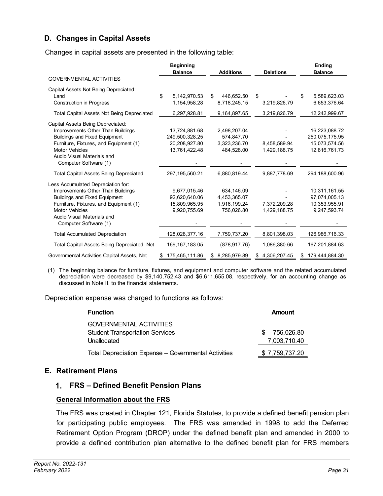### **D. Changes in Capital Assets**

Changes in capital assets are presented in the following table:

|                                                   | <b>Beginning</b><br><b>Balance</b> | <b>Additions</b>   | <b>Deletions</b>   | Ending<br><b>Balance</b>           |
|---------------------------------------------------|------------------------------------|--------------------|--------------------|------------------------------------|
| <b>GOVERNMENTAL ACTIVITIES</b>                    |                                    |                    |                    |                                    |
| Capital Assets Not Being Depreciated:             | \$<br>5,142,970.53                 | \$<br>446.652.50   | \$                 |                                    |
| Land<br><b>Construction in Progress</b>           | 1,154,958.28                       | 8,718,245.15       | 3,219,826.79       | \$<br>5,589,623.03<br>6,653,376.64 |
| <b>Total Capital Assets Not Being Depreciated</b> | 6,297,928.81                       | 9,164,897.65       | 3,219,826.79       | 12,242,999.67                      |
| Capital Assets Being Depreciated:                 |                                    |                    |                    |                                    |
| Improvements Other Than Buildings                 | 13,724,881.68                      | 2,498,207.04       |                    | 16,223,088.72                      |
| <b>Buildings and Fixed Equipment</b>              | 249,500,328.25                     | 574,847.70         |                    | 250,075,175.95                     |
| Furniture, Fixtures, and Equipment (1)            | 20,208,927.80                      | 3,323,236.70       | 8,458,589.94       | 15,073,574.56                      |
| <b>Motor Vehicles</b>                             | 13,761,422.48                      | 484,528.00         | 1,429,188.75       | 12,816,761.73                      |
| Audio Visual Materials and                        |                                    |                    |                    |                                    |
| Computer Software (1)                             |                                    |                    |                    |                                    |
| <b>Total Capital Assets Being Depreciated</b>     | 297, 195, 560. 21                  | 6,880,819.44       | 9,887,778.69       | 294,188,600.96                     |
| Less Accumulated Depreciation for:                |                                    |                    |                    |                                    |
| Improvements Other Than Buildings                 | 9.677.015.46                       | 634.146.09         |                    | 10,311,161.55                      |
| <b>Buildings and Fixed Equipment</b>              | 92,620,640.06                      | 4,453,365.07       |                    | 97,074,005.13                      |
| Furniture, Fixtures, and Equipment (1)            | 15,809,965.95                      | 1,916,199.24       | 7,372,209.28       | 10,353,955.91                      |
| <b>Motor Vehicles</b>                             | 9,920,755.69                       | 756,026.80         | 1,429,188.75       | 9,247,593.74                       |
| Audio Visual Materials and                        |                                    |                    |                    |                                    |
| Computer Software (1)                             |                                    |                    |                    |                                    |
| <b>Total Accumulated Depreciation</b>             | 128,028,377.16                     | 7,759,737.20       | 8,801,398.03       | 126,986,716.33                     |
| Total Capital Assets Being Depreciated, Net       | 169, 167, 183.05                   | (878, 917.76)      | 1,086,380.66       | 167,201,884.63                     |
| Governmental Activities Capital Assets, Net       | 175,465,111.86<br>\$               | 8,285,979.89<br>\$ | 4,306,207.45<br>\$ | 179,444,884.30<br>\$               |

(1) The beginning balance for furniture, fixtures, and equipment and computer software and the related accumulated depreciation were decreased by \$9,140,752.43 and \$6,611,655.08, respectively, for an accounting change as discussed in Note II. to the financial statements.

Depreciation expense was charged to functions as follows:

| <b>Function</b>                                      | <b>Amount</b>     |  |
|------------------------------------------------------|-------------------|--|
| <b>GOVERNMENTAL ACTIVITIES</b>                       |                   |  |
| <b>Student Transportation Services</b>               | 756.026.80<br>SS. |  |
| Unallocated                                          | 7,003,710.40      |  |
| Total Depreciation Expense - Governmental Activities | \$7,759,737.20    |  |
|                                                      |                   |  |

#### **E. Retirement Plans**

#### **FRS – Defined Benefit Pension Plans**

#### **General Information about the FRS**

The FRS was created in Chapter 121, Florida Statutes, to provide a defined benefit pension plan for participating public employees. The FRS was amended in 1998 to add the Deferred Retirement Option Program (DROP) under the defined benefit plan and amended in 2000 to provide a defined contribution plan alternative to the defined benefit plan for FRS members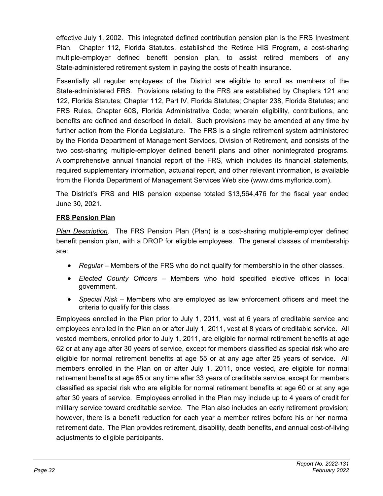effective July 1, 2002. This integrated defined contribution pension plan is the FRS Investment Plan. Chapter 112, Florida Statutes, established the Retiree HIS Program, a cost-sharing multiple-employer defined benefit pension plan, to assist retired members of any State-administered retirement system in paying the costs of health insurance.

Essentially all regular employees of the District are eligible to enroll as members of the State-administered FRS. Provisions relating to the FRS are established by Chapters 121 and 122, Florida Statutes; Chapter 112, Part IV, Florida Statutes; Chapter 238, Florida Statutes; and FRS Rules, Chapter 60S, Florida Administrative Code; wherein eligibility, contributions, and benefits are defined and described in detail. Such provisions may be amended at any time by further action from the Florida Legislature. The FRS is a single retirement system administered by the Florida Department of Management Services, Division of Retirement, and consists of the two cost-sharing multiple-employer defined benefit plans and other nonintegrated programs. A comprehensive annual financial report of the FRS, which includes its financial statements, required supplementary information, actuarial report, and other relevant information, is available from the Florida Department of Management Services Web site (www.dms.myflorida.com).

The District's FRS and HIS pension expense totaled \$13,564,476 for the fiscal year ended June 30, 2021.

#### **FRS Pension Plan**

*Plan Description*. The FRS Pension Plan (Plan) is a cost-sharing multiple-employer defined benefit pension plan, with a DROP for eligible employees. The general classes of membership are:

- *Regular* Members of the FRS who do not qualify for membership in the other classes.
- *Elected County Officers* Members who hold specified elective offices in local government.
- *Special Risk* Members who are employed as law enforcement officers and meet the criteria to qualify for this class.

Employees enrolled in the Plan prior to July 1, 2011, vest at 6 years of creditable service and employees enrolled in the Plan on or after July 1, 2011, vest at 8 years of creditable service. All vested members, enrolled prior to July 1, 2011, are eligible for normal retirement benefits at age 62 or at any age after 30 years of service, except for members classified as special risk who are eligible for normal retirement benefits at age 55 or at any age after 25 years of service. All members enrolled in the Plan on or after July 1, 2011, once vested, are eligible for normal retirement benefits at age 65 or any time after 33 years of creditable service, except for members classified as special risk who are eligible for normal retirement benefits at age 60 or at any age after 30 years of service. Employees enrolled in the Plan may include up to 4 years of credit for military service toward creditable service. The Plan also includes an early retirement provision; however, there is a benefit reduction for each year a member retires before his or her normal retirement date. The Plan provides retirement, disability, death benefits, and annual cost-of-living adjustments to eligible participants.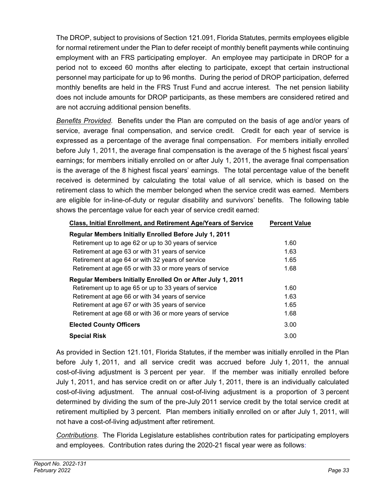The DROP, subject to provisions of Section 121.091, Florida Statutes, permits employees eligible for normal retirement under the Plan to defer receipt of monthly benefit payments while continuing employment with an FRS participating employer. An employee may participate in DROP for a period not to exceed 60 months after electing to participate, except that certain instructional personnel may participate for up to 96 months. During the period of DROP participation, deferred monthly benefits are held in the FRS Trust Fund and accrue interest. The net pension liability does not include amounts for DROP participants, as these members are considered retired and are not accruing additional pension benefits.

*Benefits Provided*. Benefits under the Plan are computed on the basis of age and/or years of service, average final compensation, and service credit. Credit for each year of service is expressed as a percentage of the average final compensation. For members initially enrolled before July 1, 2011, the average final compensation is the average of the 5 highest fiscal years' earnings; for members initially enrolled on or after July 1, 2011, the average final compensation is the average of the 8 highest fiscal years' earnings. The total percentage value of the benefit received is determined by calculating the total value of all service, which is based on the retirement class to which the member belonged when the service credit was earned. Members are eligible for in-line-of-duty or regular disability and survivors' benefits. The following table shows the percentage value for each year of service credit earned:

| Class, Initial Enrollment, and Retirement Age/Years of Service | <b>Percent Value</b> |
|----------------------------------------------------------------|----------------------|
| <b>Regular Members Initially Enrolled Before July 1, 2011</b>  |                      |
| Retirement up to age 62 or up to 30 years of service           | 1.60                 |
| Retirement at age 63 or with 31 years of service               | 1.63                 |
| Retirement at age 64 or with 32 years of service               | 1.65                 |
| Retirement at age 65 or with 33 or more years of service       | 1.68                 |
| Regular Members Initially Enrolled On or After July 1, 2011    |                      |
| Retirement up to age 65 or up to 33 years of service           | 1.60                 |
| Retirement at age 66 or with 34 years of service               | 1.63                 |
| Retirement at age 67 or with 35 years of service               | 1.65                 |
| Retirement at age 68 or with 36 or more years of service       | 1.68                 |
| <b>Elected County Officers</b>                                 | 3.00                 |
| <b>Special Risk</b>                                            | 3.00                 |

As provided in Section 121.101, Florida Statutes, if the member was initially enrolled in the Plan before July 1, 2011, and all service credit was accrued before July 1, 2011, the annual cost-of-living adjustment is 3 percent per year. If the member was initially enrolled before July 1, 2011, and has service credit on or after July 1, 2011, there is an individually calculated cost-of-living adjustment. The annual cost-of-living adjustment is a proportion of 3 percent determined by dividing the sum of the pre-July 2011 service credit by the total service credit at retirement multiplied by 3 percent. Plan members initially enrolled on or after July 1, 2011, will not have a cost-of-living adjustment after retirement.

*Contributions*. The Florida Legislature establishes contribution rates for participating employers and employees. Contribution rates during the 2020-21 fiscal year were as follows: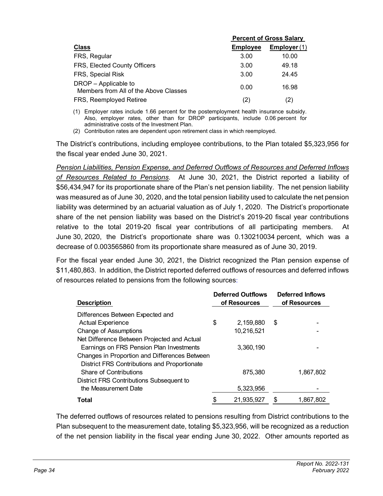|                                                               | <b>Percent of Gross Salary</b> |                |  |
|---------------------------------------------------------------|--------------------------------|----------------|--|
| <b>Class</b>                                                  | <b>Employee</b>                | Employer $(1)$ |  |
| FRS, Regular                                                  | 3.00                           | 10.00          |  |
| FRS, Elected County Officers                                  | 3.00                           | 49.18          |  |
| FRS, Special Risk                                             | 3.00                           | 24.45          |  |
| DROP - Applicable to<br>Members from All of the Above Classes | 0.00                           | 16.98          |  |
| FRS, Reemployed Retiree                                       | (2)                            | (2)            |  |

(1) Employer rates include 1.66 percent for the postemployment health insurance subsidy. Also, employer rates, other than for DROP participants, include 0.06 percent for administrative costs of the Investment Plan.

(2) Contribution rates are dependent upon retirement class in which reemployed.

The District's contributions, including employee contributions, to the Plan totaled \$5,323,956 for the fiscal year ended June 30, 2021.

*Pension Liabilities, Pension Expense, and Deferred Outflows of Resources and Deferred Inflows of Resources Related to Pensions*. At June 30, 2021, the District reported a liability of \$56,434,947 for its proportionate share of the Plan's net pension liability. The net pension liability was measured as of June 30, 2020, and the total pension liability used to calculate the net pension liability was determined by an actuarial valuation as of July 1, 2020. The District's proportionate share of the net pension liability was based on the District's 2019-20 fiscal year contributions relative to the total 2019-20 fiscal year contributions of all participating members. At June 30, 2020, the District's proportionate share was 0.130210034 percent, which was a decrease of 0.003565860 from its proportionate share measured as of June 30, 2019.

For the fiscal year ended June 30, 2021, the District recognized the Plan pension expense of \$11,480,863. In addition, the District reported deferred outflows of resources and deferred inflows of resources related to pensions from the following sources:

| <b>Description</b>                            |    | <b>Deferred Outflows</b><br>of Resources |    | <b>Deferred Inflows</b><br>of Resources |  |
|-----------------------------------------------|----|------------------------------------------|----|-----------------------------------------|--|
| Differences Between Expected and              |    |                                          |    |                                         |  |
| <b>Actual Experience</b>                      | \$ | 2,159,880                                | \$ |                                         |  |
| Change of Assumptions                         |    | 10,216,521                               |    |                                         |  |
| Net Difference Between Projected and Actual   |    |                                          |    |                                         |  |
| Earnings on FRS Pension Plan Investments      |    | 3,360,190                                |    |                                         |  |
| Changes in Proportion and Differences Between |    |                                          |    |                                         |  |
| District FRS Contributions and Proportionate  |    |                                          |    |                                         |  |
| Share of Contributions                        |    | 875,380                                  |    | 1,867,802                               |  |
| District FRS Contributions Subsequent to      |    |                                          |    |                                         |  |
| the Measurement Date                          |    | 5,323,956                                |    |                                         |  |
| Total                                         |    | 21,935,927                               |    | 1,867,802                               |  |

The deferred outflows of resources related to pensions resulting from District contributions to the Plan subsequent to the measurement date, totaling \$5,323,956, will be recognized as a reduction of the net pension liability in the fiscal year ending June 30, 2022. Other amounts reported as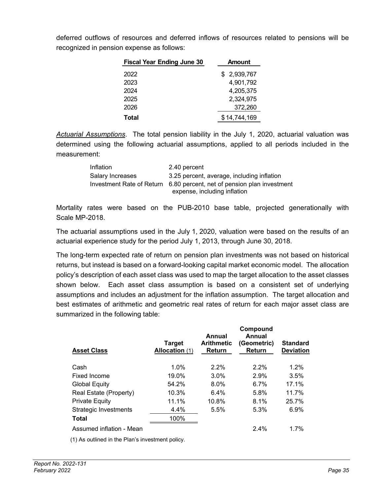deferred outflows of resources and deferred inflows of resources related to pensions will be recognized in pension expense as follows:

| <b>Fiscal Year Ending June 30</b><br><b>Amount</b> |              |
|----------------------------------------------------|--------------|
| 2022                                               | \$2,939,767  |
| 2023                                               | 4,901,792    |
| 2024                                               | 4,205,375    |
| 2025                                               | 2,324,975    |
| 2026                                               | 372,260      |
| Total                                              | \$14,744,169 |

*Actuarial Assumptions*. The total pension liability in the July 1, 2020, actuarial valuation was determined using the following actuarial assumptions, applied to all periods included in the measurement:

| Inflation        | 2.40 percent                                                           |
|------------------|------------------------------------------------------------------------|
| Salary Increases | 3.25 percent, average, including inflation                             |
|                  | Investment Rate of Return 6.80 percent, net of pension plan investment |
|                  | expense, including inflation                                           |

Mortality rates were based on the PUB-2010 base table, projected generationally with Scale MP-2018.

The actuarial assumptions used in the July 1, 2020, valuation were based on the results of an actuarial experience study for the period July 1, 2013, through June 30, 2018.

The long-term expected rate of return on pension plan investments was not based on historical returns, but instead is based on a forward-looking capital market economic model. The allocation policy's description of each asset class was used to map the target allocation to the asset classes shown below. Each asset class assumption is based on a consistent set of underlying assumptions and includes an adjustment for the inflation assumption. The target allocation and best estimates of arithmetic and geometric real rates of return for each major asset class are summarized in the following table:

| <b>Asset Class</b>           | <b>Target</b><br><b>Allocation (1)</b> | Annual<br><b>Arithmetic</b><br>Return | Compound<br>Annual<br>(Geometric)<br>Return | <b>Standard</b><br><b>Deviation</b> |
|------------------------------|----------------------------------------|---------------------------------------|---------------------------------------------|-------------------------------------|
| Cash                         | 1.0%                                   | $2.2\%$                               | $2.2\%$                                     | $1.2\%$                             |
| Fixed Income                 | 19.0%                                  | 3.0%                                  | 2.9%                                        | 3.5%                                |
| <b>Global Equity</b>         | 54.2%                                  | $8.0\%$                               | 6.7%                                        | $17.1\%$                            |
| Real Estate (Property)       | 10.3%                                  | $6.4\%$                               | 5.8%                                        | 11.7%                               |
| <b>Private Equity</b>        | 11.1%                                  | 10.8%                                 | 8.1%                                        | 25.7%                               |
| <b>Strategic Investments</b> | 4.4%                                   | 5.5%                                  | 5.3%                                        | 6.9%                                |
| <b>Total</b>                 | 100%                                   |                                       |                                             |                                     |
| Assumed inflation - Mean     |                                        |                                       | 2.4%                                        | 1.7%                                |

(1) As outlined in the Plan's investment policy.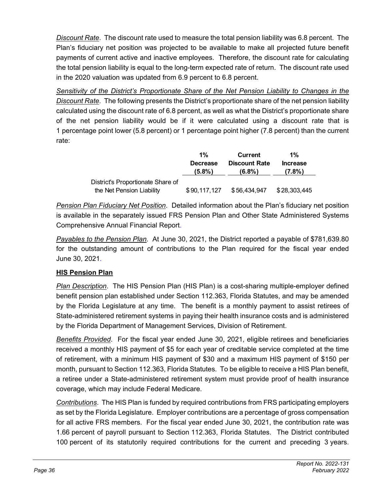*Discount Rate*. The discount rate used to measure the total pension liability was 6.8 percent. The Plan's fiduciary net position was projected to be available to make all projected future benefit payments of current active and inactive employees. Therefore, the discount rate for calculating the total pension liability is equal to the long-term expected rate of return. The discount rate used in the 2020 valuation was updated from 6.9 percent to 6.8 percent.

*Sensitivity of the District's Proportionate Share of the Net Pension Liability to Changes in the Discount Rate*. The following presents the District's proportionate share of the net pension liability calculated using the discount rate of 6.8 percent, as well as what the District's proportionate share of the net pension liability would be if it were calculated using a discount rate that is 1 percentage point lower (5.8 percent) or 1 percentage point higher (7.8 percent) than the current rate:

|                                   | $1\%$                     | <b>Current</b>                    | $1\%$                        |
|-----------------------------------|---------------------------|-----------------------------------|------------------------------|
|                                   | <b>Decrease</b><br>(5.8%) | <b>Discount Rate</b><br>$(6.8\%)$ | <b>Increase</b><br>$(7.8\%)$ |
| District's Proportionate Share of |                           |                                   |                              |
| the Net Pension Liability         | \$90,117,127              | \$56,434,947                      | \$28,303,445                 |

*Pension Plan Fiduciary Net Position*. Detailed information about the Plan's fiduciary net position is available in the separately issued FRS Pension Plan and Other State Administered Systems Comprehensive Annual Financial Report.

*Payables to the Pension Plan*. At June 30, 2021, the District reported a payable of \$781,639.80 for the outstanding amount of contributions to the Plan required for the fiscal year ended June 30, 2021.

### **HIS Pension Plan**

*Plan Description*. The HIS Pension Plan (HIS Plan) is a cost-sharing multiple-employer defined benefit pension plan established under Section 112.363, Florida Statutes, and may be amended by the Florida Legislature at any time. The benefit is a monthly payment to assist retirees of State-administered retirement systems in paying their health insurance costs and is administered by the Florida Department of Management Services, Division of Retirement.

*Benefits Provided*. For the fiscal year ended June 30, 2021, eligible retirees and beneficiaries received a monthly HIS payment of \$5 for each year of creditable service completed at the time of retirement, with a minimum HIS payment of \$30 and a maximum HIS payment of \$150 per month, pursuant to Section 112.363, Florida Statutes. To be eligible to receive a HIS Plan benefit, a retiree under a State-administered retirement system must provide proof of health insurance coverage, which may include Federal Medicare.

*Contributions*. The HIS Plan is funded by required contributions from FRS participating employers as set by the Florida Legislature. Employer contributions are a percentage of gross compensation for all active FRS members. For the fiscal year ended June 30, 2021, the contribution rate was 1.66 percent of payroll pursuant to Section 112.363, Florida Statutes. The District contributed 100 percent of its statutorily required contributions for the current and preceding 3 years.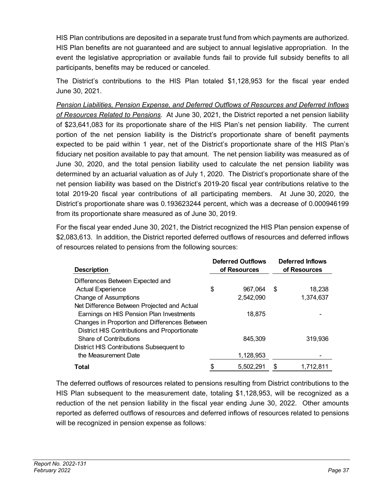HIS Plan contributions are deposited in a separate trust fund from which payments are authorized. HIS Plan benefits are not guaranteed and are subject to annual legislative appropriation. In the event the legislative appropriation or available funds fail to provide full subsidy benefits to all participants, benefits may be reduced or canceled.

The District's contributions to the HIS Plan totaled \$1,128,953 for the fiscal year ended June 30, 2021.

*Pension Liabilities, Pension Expense, and Deferred Outflows of Resources and Deferred Inflows of Resources Related to Pensions*. At June 30, 2021, the District reported a net pension liability of \$23,641,083 for its proportionate share of the HIS Plan's net pension liability. The current portion of the net pension liability is the District's proportionate share of benefit payments expected to be paid within 1 year, net of the District's proportionate share of the HIS Plan's fiduciary net position available to pay that amount. The net pension liability was measured as of June 30, 2020, and the total pension liability used to calculate the net pension liability was determined by an actuarial valuation as of July 1, 2020. The District's proportionate share of the net pension liability was based on the District's 2019-20 fiscal year contributions relative to the total 2019-20 fiscal year contributions of all participating members. At June 30, 2020, the District's proportionate share was 0.193623244 percent, which was a decrease of 0.000946199 from its proportionate share measured as of June 30, 2019.

For the fiscal year ended June 30, 2021, the District recognized the HIS Plan pension expense of \$2,083,613. In addition, the District reported deferred outflows of resources and deferred inflows of resources related to pensions from the following sources:

|                                               | <b>Deferred Outflows</b> | <b>Deferred Inflows</b> |
|-----------------------------------------------|--------------------------|-------------------------|
| <b>Description</b>                            | of Resources             | of Resources            |
| Differences Between Expected and              |                          |                         |
| <b>Actual Experience</b>                      | \$<br>967,064            | \$<br>18,238            |
| <b>Change of Assumptions</b>                  | 2,542,090                | 1,374,637               |
| Net Difference Between Projected and Actual   |                          |                         |
| Earnings on HIS Pension Plan Investments      | 18,875                   |                         |
| Changes in Proportion and Differences Between |                          |                         |
| District HIS Contributions and Proportionate  |                          |                         |
| Share of Contributions                        | 845,309                  | 319,936                 |
| District HIS Contributions Subsequent to      |                          |                         |
| the Measurement Date                          | 1,128,953                |                         |
| <b>Total</b>                                  | \$<br>5.502.291          | \$<br>1.712.811         |

The deferred outflows of resources related to pensions resulting from District contributions to the HIS Plan subsequent to the measurement date, totaling \$1,128,953, will be recognized as a reduction of the net pension liability in the fiscal year ending June 30, 2022. Other amounts reported as deferred outflows of resources and deferred inflows of resources related to pensions will be recognized in pension expense as follows: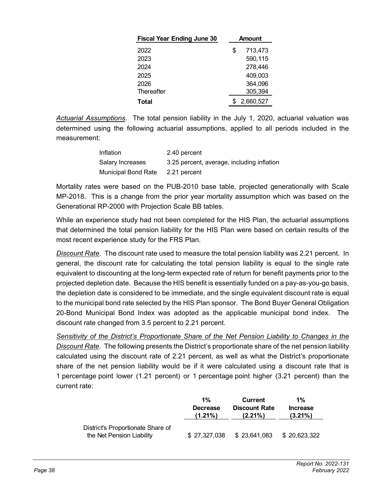| <b>Fiscal Year Ending June 30</b> |   | <b>Amount</b> |
|-----------------------------------|---|---------------|
| 2022                              | S | 713,473       |
| 2023                              |   | 590,115       |
| 2024                              |   | 278,446       |
| 2025                              |   | 409,003       |
| 2026                              |   | 364,096       |
| Thereafter                        |   | 305,394       |
| Total                             |   | 2,660,527     |

*Actuarial Assumptions*. The total pension liability in the July 1, 2020, actuarial valuation was determined using the following actuarial assumptions, applied to all periods included in the measurement:

| Inflation                  | 2.40 percent                               |
|----------------------------|--------------------------------------------|
| Salary Increases           | 3.25 percent, average, including inflation |
| <b>Municipal Bond Rate</b> | 2.21 percent                               |

Mortality rates were based on the PUB-2010 base table, projected generationally with Scale MP-2018. This is a change from the prior year mortality assumption which was based on the Generational RP-2000 with Projection Scale BB tables.

While an experience study had not been completed for the HIS Plan, the actuarial assumptions that determined the total pension liability for the HIS Plan were based on certain results of the most recent experience study for the FRS Plan.

*Discount Rate*. The discount rate used to measure the total pension liability was 2.21 percent. In general, the discount rate for calculating the total pension liability is equal to the single rate equivalent to discounting at the long-term expected rate of return for benefit payments prior to the projected depletion date. Because the HIS benefit is essentially funded on a pay-as-you-go basis, the depletion date is considered to be immediate, and the single equivalent discount rate is equal to the municipal bond rate selected by the HIS Plan sponsor. The Bond Buyer General Obligation 20-Bond Municipal Bond Index was adopted as the applicable municipal bond index. The discount rate changed from 3.5 percent to 2.21 percent.

*Sensitivity of the District's Proportionate Share of the Net Pension Liability to Changes in the Discount Rate*. The following presents the District's proportionate share of the net pension liability calculated using the discount rate of 2.21 percent, as well as what the District's proportionate share of the net pension liability would be if it were calculated using a discount rate that is 1 percentage point lower (1.21 percent) or 1 percentage point higher (3.21 percent) than the current rate:

|                                                                | $1\%$                         | <b>Current</b>                     | $1\%$                         |
|----------------------------------------------------------------|-------------------------------|------------------------------------|-------------------------------|
|                                                                | <b>Decrease</b><br>$(1.21\%)$ | <b>Discount Rate</b><br>$(2.21\%)$ | <b>Increase</b><br>$(3.21\%)$ |
| District's Proportionate Share of<br>the Net Pension Liability | \$27,327,038                  | \$23,641,083                       | \$20,623,322                  |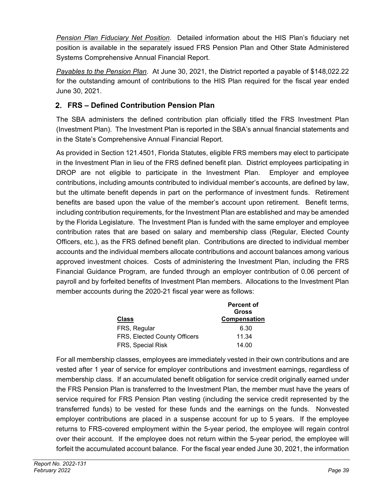*Pension Plan Fiduciary Net Position*. Detailed information about the HIS Plan's fiduciary net position is available in the separately issued FRS Pension Plan and Other State Administered Systems Comprehensive Annual Financial Report.

*Payables to the Pension Plan*. At June 30, 2021, the District reported a payable of \$148,022.22 for the outstanding amount of contributions to the HIS Plan required for the fiscal year ended June 30, 2021.

### **FRS – Defined Contribution Pension Plan**

The SBA administers the defined contribution plan officially titled the FRS Investment Plan (Investment Plan). The Investment Plan is reported in the SBA's annual financial statements and in the State's Comprehensive Annual Financial Report.

As provided in Section 121.4501, Florida Statutes, eligible FRS members may elect to participate in the Investment Plan in lieu of the FRS defined benefit plan. District employees participating in DROP are not eligible to participate in the Investment Plan. Employer and employee contributions, including amounts contributed to individual member's accounts, are defined by law, but the ultimate benefit depends in part on the performance of investment funds. Retirement benefits are based upon the value of the member's account upon retirement. Benefit terms, including contribution requirements, for the Investment Plan are established and may be amended by the Florida Legislature. The Investment Plan is funded with the same employer and employee contribution rates that are based on salary and membership class (Regular, Elected County Officers, etc.), as the FRS defined benefit plan. Contributions are directed to individual member accounts and the individual members allocate contributions and account balances among various approved investment choices. Costs of administering the Investment Plan, including the FRS Financial Guidance Program, are funded through an employer contribution of 0.06 percent of payroll and by forfeited benefits of Investment Plan members. Allocations to the Investment Plan member accounts during the 2020-21 fiscal year were as follows:

|                              | <b>Percent of</b> |
|------------------------------|-------------------|
|                              | Gross             |
| Class                        | Compensation      |
| FRS, Regular                 | 6.30              |
| FRS, Elected County Officers | 11.34             |
| FRS, Special Risk            | 14.00             |

For all membership classes, employees are immediately vested in their own contributions and are vested after 1 year of service for employer contributions and investment earnings, regardless of membership class. If an accumulated benefit obligation for service credit originally earned under the FRS Pension Plan is transferred to the Investment Plan, the member must have the years of service required for FRS Pension Plan vesting (including the service credit represented by the transferred funds) to be vested for these funds and the earnings on the funds. Nonvested employer contributions are placed in a suspense account for up to 5 years. If the employee returns to FRS-covered employment within the 5-year period, the employee will regain control over their account. If the employee does not return within the 5-year period, the employee will forfeit the accumulated account balance. For the fiscal year ended June 30, 2021, the information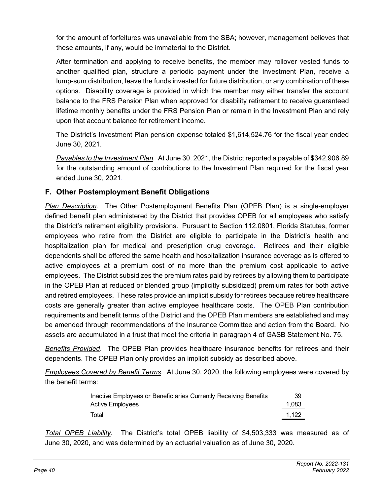for the amount of forfeitures was unavailable from the SBA; however, management believes that these amounts, if any, would be immaterial to the District.

After termination and applying to receive benefits, the member may rollover vested funds to another qualified plan, structure a periodic payment under the Investment Plan, receive a lump-sum distribution, leave the funds invested for future distribution, or any combination of these options. Disability coverage is provided in which the member may either transfer the account balance to the FRS Pension Plan when approved for disability retirement to receive guaranteed lifetime monthly benefits under the FRS Pension Plan or remain in the Investment Plan and rely upon that account balance for retirement income.

The District's Investment Plan pension expense totaled \$1,614,524.76 for the fiscal year ended June 30, 2021.

*Payables to the Investment Plan.* At June 30, 2021, the District reported a payable of \$342,906.89 for the outstanding amount of contributions to the Investment Plan required for the fiscal year ended June 30, 2021.

### **F. Other Postemployment Benefit Obligations**

*Plan Description*. The Other Postemployment Benefits Plan (OPEB Plan) is a single-employer defined benefit plan administered by the District that provides OPEB for all employees who satisfy the District's retirement eligibility provisions. Pursuant to Section 112.0801, Florida Statutes, former employees who retire from the District are eligible to participate in the District's health and hospitalization plan for medical and prescription drug coverage. Retirees and their eligible dependents shall be offered the same health and hospitalization insurance coverage as is offered to active employees at a premium cost of no more than the premium cost applicable to active employees. The District subsidizes the premium rates paid by retirees by allowing them to participate in the OPEB Plan at reduced or blended group (implicitly subsidized) premium rates for both active and retired employees. These rates provide an implicit subsidy for retirees because retiree healthcare costs are generally greater than active employee healthcare costs. The OPEB Plan contribution requirements and benefit terms of the District and the OPEB Plan members are established and may be amended through recommendations of the Insurance Committee and action from the Board. No assets are accumulated in a trust that meet the criteria in paragraph 4 of GASB Statement No. 75.

*Benefits Provided*.The OPEB Plan provides healthcare insurance benefits for retirees and their dependents. The OPEB Plan only provides an implicit subsidy as described above.

*Employees Covered by Benefit Terms*. At June 30, 2020, the following employees were covered by the benefit terms:

| Inactive Employees or Beneficiaries Currently Receiving Benefits | 39    |
|------------------------------------------------------------------|-------|
| Active Employees                                                 | 1,083 |
| Total                                                            | 1.122 |

*Total OPEB Liability*. The District's total OPEB liability of \$4,503,333 was measured as of June 30, 2020, and was determined by an actuarial valuation as of June 30, 2020.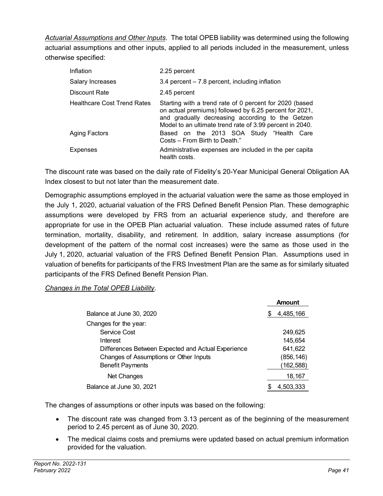*Actuarial Assumptions and Other Inputs*. The total OPEB liability was determined using the following actuarial assumptions and other inputs, applied to all periods included in the measurement, unless otherwise specified:

| Inflation                          | 2.25 percent                                                                                                                                                                                                                      |
|------------------------------------|-----------------------------------------------------------------------------------------------------------------------------------------------------------------------------------------------------------------------------------|
| Salary Increases                   | 3.4 percent – 7.8 percent, including inflation                                                                                                                                                                                    |
| Discount Rate                      | 2.45 percent                                                                                                                                                                                                                      |
| <b>Healthcare Cost Trend Rates</b> | Starting with a trend rate of 0 percent for 2020 (based<br>on actual premiums) followed by 6.25 percent for 2021,<br>and gradually decreasing according to the Getzen<br>Model to an ultimate trend rate of 3.99 percent in 2040. |
| <b>Aging Factors</b>               | Based on the 2013 SOA Study "Health Care<br>Costs – From Birth to Death."                                                                                                                                                         |
| <b>Expenses</b>                    | Administrative expenses are included in the per capita<br>health costs.                                                                                                                                                           |

The discount rate was based on the daily rate of Fidelity's 20-Year Municipal General Obligation AA Index closest to but not later than the measurement date.

Demographic assumptions employed in the actuarial valuation were the same as those employed in the July 1, 2020, actuarial valuation of the FRS Defined Benefit Pension Plan. These demographic assumptions were developed by FRS from an actuarial experience study, and therefore are appropriate for use in the OPEB Plan actuarial valuation. These include assumed rates of future termination, mortality, disability, and retirement. In addition, salary increase assumptions (for development of the pattern of the normal cost increases) were the same as those used in the July 1, 2020, actuarial valuation of the FRS Defined Benefit Pension Plan. Assumptions used in valuation of benefits for participants of the FRS Investment Plan are the same as for similarly situated participants of the FRS Defined Benefit Pension Plan.

#### *Changes in the Total OPEB Liability*.

|                                                    | <b>Amount</b> |
|----------------------------------------------------|---------------|
| Balance at June 30, 2020                           | 4,485,166     |
| Changes for the year:                              |               |
| Service Cost                                       | 249,625       |
| Interest                                           | 145,654       |
| Differences Between Expected and Actual Experience | 641,622       |
| Changes of Assumptions or Other Inputs             | (856, 146)    |
| <b>Benefit Payments</b>                            | (162, 588)    |
| Net Changes                                        | 18,167        |
| Balance at June 30, 2021                           | 4.503.333     |

The changes of assumptions or other inputs was based on the following:

- The discount rate was changed from 3.13 percent as of the beginning of the measurement period to 2.45 percent as of June 30, 2020.
- The medical claims costs and premiums were updated based on actual premium information provided for the valuation.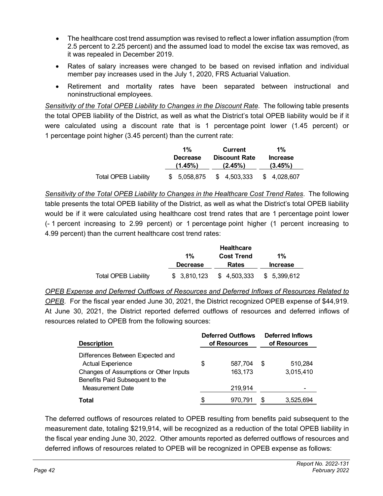- The healthcare cost trend assumption was revised to reflect a lower inflation assumption (from 2.5 percent to 2.25 percent) and the assumed load to model the excise tax was removed, as it was repealed in December 2019.
- Rates of salary increases were changed to be based on revised inflation and individual member pay increases used in the July 1, 2020, FRS Actuarial Valuation.
- Retirement and mortality rates have been separated between instructional and noninstructional employees.

*Sensitivity of the Total OPEB Liability to Changes in the Discount Rate*. The following table presents the total OPEB liability of the District, as well as what the District's total OPEB liability would be if it were calculated using a discount rate that is 1 percentage point lower (1.45 percent) or 1 percentage point higher (3.45 percent) than the current rate:

|                      | $1\%$                         | <b>Current</b>                     | $1\%$                         |  |  |
|----------------------|-------------------------------|------------------------------------|-------------------------------|--|--|
|                      | <b>Decrease</b><br>$(1.45\%)$ | <b>Discount Rate</b><br>$(2.45\%)$ | <b>Increase</b><br>$(3.45\%)$ |  |  |
| Total OPEB Liability | \$ 5.058.875                  | \$4,503,333                        | \$4,028,607                   |  |  |

*Sensitivity of the Total OPEB Liability to Changes in the Healthcare Cost Trend Rates*. The following table presents the total OPEB liability of the District, as well as what the District's total OPEB liability would be if it were calculated using healthcare cost trend rates that are 1 percentage point lower (- 1 percent increasing to 2.99 percent) or 1 percentage point higher (1 percent increasing to 4.99 percent) than the current healthcare cost trend rates:

|                      |                 | <b>Healthcare</b> |                 |
|----------------------|-----------------|-------------------|-----------------|
|                      | $1\%$           | <b>Cost Trend</b> | $1\%$           |
|                      | <b>Decrease</b> | <b>Rates</b>      | <b>Increase</b> |
| Total OPEB Liability | \$ 3.810.123    | \$4,503,333       | \$ 5.399.612    |

*OPEB Expense and Deferred Outflows of Resources and Deferred Inflows of Resources Related to OPEB*. For the fiscal year ended June 30, 2021, the District recognized OPEB expense of \$44,919. At June 30, 2021, the District reported deferred outflows of resources and deferred inflows of resources related to OPEB from the following sources:

| <b>Description</b>                     |    | <b>Deferred Outflows</b><br>of Resources |    | <b>Deferred Inflows</b><br>of Resources |
|----------------------------------------|----|------------------------------------------|----|-----------------------------------------|
| Differences Between Expected and       |    |                                          |    |                                         |
| <b>Actual Experience</b>               | S  | 587,704                                  | S  | 510,284                                 |
| Changes of Assumptions or Other Inputs |    | 163,173                                  |    | 3,015,410                               |
| Benefits Paid Subsequent to the        |    |                                          |    |                                         |
| Measurement Date                       |    | 219,914                                  |    |                                         |
| Total                                  | \$ | 970,791                                  | \$ | 3,525,694                               |

The deferred outflows of resources related to OPEB resulting from benefits paid subsequent to the measurement date, totaling \$219,914, will be recognized as a reduction of the total OPEB liability in the fiscal year ending June 30, 2022. Other amounts reported as deferred outflows of resources and deferred inflows of resources related to OPEB will be recognized in OPEB expense as follows: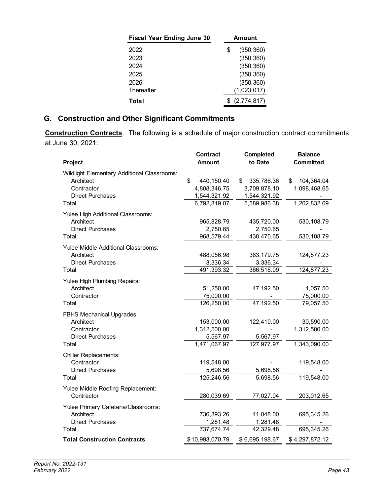| <b>Fiscal Year Ending June 30</b> | Amount           |
|-----------------------------------|------------------|
| 2022                              | \$<br>(350, 360) |
| 2023                              | (350, 360)       |
| 2024                              | (350, 360)       |
| 2025                              | (350, 360)       |
| 2026                              | (350, 360)       |
| Thereafter                        | (1,023,017)      |
| Total                             | (2,774,817)      |

### **G. Construction and Other Significant Commitments**

**Construction Contracts**. The following is a schedule of major construction contract commitments at June 30, 2021:

| Project                                                                                                  | <b>Contract</b><br>Amount                              | Completed<br>to Date                             | <b>Balance</b><br><b>Committed</b>        |
|----------------------------------------------------------------------------------------------------------|--------------------------------------------------------|--------------------------------------------------|-------------------------------------------|
| <b>Wildlight Elementary Additional Classrooms:</b><br>Architect<br>Contractor<br><b>Direct Purchases</b> | \$<br>440,150.40<br>4,808,346.75<br>1,544,321.92       | \$<br>335,786.36<br>3,709,878.10<br>1,544,321.92 | \$<br>104,364.04<br>1,098,468.65          |
| Total                                                                                                    | 6,792,819.07                                           | 5,589,986.38                                     | 1,202,832.69                              |
| Yulee High Additional Classrooms:<br>Architect<br><b>Direct Purchases</b><br>Total                       | 965,828.79<br>2,750.65<br>968,579.44                   | 435,720.00<br>2,750.65<br>438,470.65             | 530,108.79<br>530,108.79                  |
| Yulee Middle Additional Classrooms:<br>Architect<br><b>Direct Purchases</b><br>Total                     | 488,056.98<br>3,336.34<br>491,393.32                   | 363,179.75<br>3,336.34<br>366,516.09             | 124,877.23<br>124,877.23                  |
| Yulee High Plumbing Repairs:<br>Architect<br>Contractor<br>Total                                         | 51,250.00<br>75,000.00<br>126,250.00                   | 47,192.50<br>47,192.50                           | 4,057.50<br>75,000.00<br>79,057.50        |
| <b>FBHS Mechanical Upgrades:</b><br>Architect<br>Contractor<br><b>Direct Purchases</b><br>Total          | 153,000.00<br>1,312,500.00<br>5,567.97<br>1,471,067.97 | 122,410.00<br>5,567.97<br>127,977.97             | 30,590.00<br>1,312,500.00<br>1,343,090.00 |
| <b>Chiller Replacements:</b><br>Contractor<br><b>Direct Purchases</b><br>Total                           | 119,548.00<br>5,698.56<br>125,246.56                   | 5,698.56<br>5,698.56                             | 119,548.00<br>119,548.00                  |
| Yulee Middle Roofing Replacement:<br>Contractor                                                          | 280,039.69                                             | 77,027.04                                        | 203,012.65                                |
| Yulee Primary Cafeteria/Classrooms:<br>Architect<br><b>Direct Purchases</b>                              | 736,393.26<br>1,281.48                                 | 41,048.00<br>1,281.48                            | 695,345.26                                |
| Total                                                                                                    | 737,674.74                                             | 42,329.48                                        | 695,345.26                                |
| <b>Total Construction Contracts</b>                                                                      | \$10,993,070.79                                        | \$6,695,198.67                                   | \$4,297,872.12                            |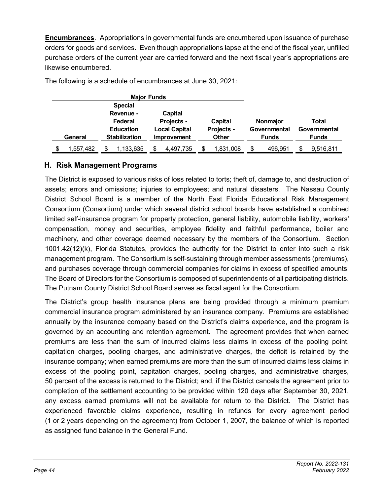**Encumbrances**. Appropriations in governmental funds are encumbered upon issuance of purchase orders for goods and services. Even though appropriations lapse at the end of the fiscal year, unfilled purchase orders of the current year are carried forward and the next fiscal year's appropriations are likewise encumbered.

|                | <b>Major Funds</b>   |                      |              |               |    |              |
|----------------|----------------------|----------------------|--------------|---------------|----|--------------|
|                | <b>Special</b>       |                      |              |               |    |              |
|                | Revenue -            | Capital              |              |               |    |              |
|                | Federal              | Projects -           | Capital      | Nonmajor      |    | <b>Total</b> |
|                | <b>Education</b>     | <b>Local Capital</b> | Projects -   | Governmental  |    | Governmental |
| General        | <b>Stabilization</b> | <b>Improvement</b>   | <b>Other</b> | <b>Funds</b>  |    | <b>Funds</b> |
| \$<br>,557,482 | 1,133,635            | 4,497,735            | 1,831,008    | \$<br>496.951 | S. | 9,516,811    |

The following is a schedule of encumbrances at June 30, 2021:

#### **H. Risk Management Programs**

The District is exposed to various risks of loss related to torts; theft of, damage to, and destruction of assets; errors and omissions; injuries to employees; and natural disasters. The Nassau County District School Board is a member of the North East Florida Educational Risk Management Consortium (Consortium) under which several district school boards have established a combined limited self-insurance program for property protection, general liability, automobile liability, workers' compensation, money and securities, employee fidelity and faithful performance, boiler and machinery, and other coverage deemed necessary by the members of the Consortium. Section 1001.42(12)(k), Florida Statutes, provides the authority for the District to enter into such a risk management program. The Consortium is self-sustaining through member assessments (premiums), and purchases coverage through commercial companies for claims in excess of specified amounts. The Board of Directors for the Consortium is composed of superintendents of all participating districts. The Putnam County District School Board serves as fiscal agent for the Consortium.

The District's group health insurance plans are being provided through a minimum premium commercial insurance program administered by an insurance company. Premiums are established annually by the insurance company based on the District's claims experience, and the program is governed by an accounting and retention agreement. The agreement provides that when earned premiums are less than the sum of incurred claims less claims in excess of the pooling point, capitation charges, pooling charges, and administrative charges, the deficit is retained by the insurance company; when earned premiums are more than the sum of incurred claims less claims in excess of the pooling point, capitation charges, pooling charges, and administrative charges, 50 percent of the excess is returned to the District; and, if the District cancels the agreement prior to completion of the settlement accounting to be provided within 120 days after September 30, 2021, any excess earned premiums will not be available for return to the District. The District has experienced favorable claims experience, resulting in refunds for every agreement period (1 or 2 years depending on the agreement) from October 1, 2007, the balance of which is reported as assigned fund balance in the General Fund.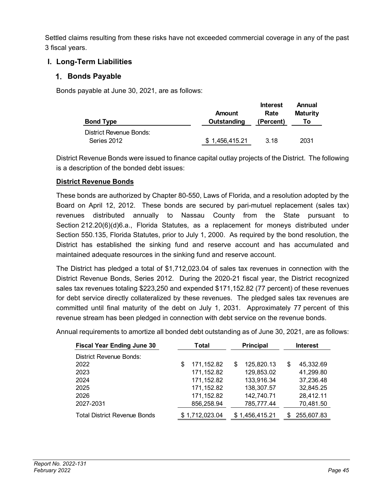Settled claims resulting from these risks have not exceeded commercial coverage in any of the past 3 fiscal years.

### **I. Long-Term Liabilities**

### **Bonds Payable**

Bonds payable at June 30, 2021, are as follows:

| <b>Bond Type</b>        | <b>Amount</b><br>Outstanding | <b>Interest</b><br>Rate<br>(Percent) | Annual<br><b>Maturity</b><br>Τo |
|-------------------------|------------------------------|--------------------------------------|---------------------------------|
| District Revenue Bonds: |                              |                                      |                                 |
| Series 2012             | \$1,456,415.21               | -3.18                                | 2031                            |

District Revenue Bonds were issued to finance capital outlay projects of the District. The following is a description of the bonded debt issues:

### **District Revenue Bonds**

These bonds are authorized by Chapter 80-550, Laws of Florida, and a resolution adopted by the Board on April 12, 2012. These bonds are secured by pari-mutuel replacement (sales tax) revenues distributed annually to Nassau County from the State pursuant to Section 212.20(6)(d)6.a., Florida Statutes, as a replacement for moneys distributed under Section 550.135, Florida Statutes, prior to July 1, 2000. As required by the bond resolution, the District has established the sinking fund and reserve account and has accumulated and maintained adequate resources in the sinking fund and reserve account.

The District has pledged a total of \$1,712,023.04 of sales tax revenues in connection with the District Revenue Bonds, Series 2012. During the 2020-21 fiscal year, the District recognized sales tax revenues totaling \$223,250 and expended \$171,152.82 (77 percent) of these revenues for debt service directly collateralized by these revenues. The pledged sales tax revenues are committed until final maturity of the debt on July 1, 2031. Approximately 77 percent of this revenue stream has been pledged in connection with debt service on the revenue bonds.

Annual requirements to amortize all bonded debt outstanding as of June 30, 2021, are as follows:

| <b>Fiscal Year Ending June 30</b>   |   | Total          | Principal |                |     | <b>Interest</b> |  |
|-------------------------------------|---|----------------|-----------|----------------|-----|-----------------|--|
| District Revenue Bonds:             |   |                |           |                |     |                 |  |
| 2022                                | S | 171,152.82     | S         | 125,820.13     | S   | 45,332.69       |  |
| 2023                                |   | 171,152.82     |           | 129,853.02     |     | 41,299.80       |  |
| 2024                                |   | 171,152.82     |           | 133,916.34     |     | 37,236.48       |  |
| 2025                                |   | 171,152.82     |           | 138,307.57     |     | 32,845.25       |  |
| 2026                                |   | 171,152.82     |           | 142,740.71     |     | 28,412.11       |  |
| 2027-2031                           |   | 856,258.94     |           | 785,777.44     |     | 70,481.50       |  |
| <b>Total District Revenue Bonds</b> |   | \$1,712,023.04 |           | \$1,456,415.21 | \$. | 255,607.83      |  |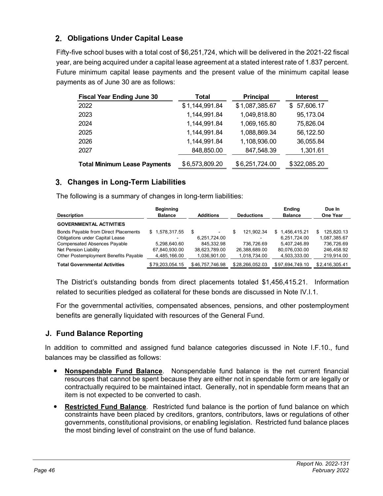### **Obligations Under Capital Lease**

Fifty-five school buses with a total cost of \$6,251,724, which will be delivered in the 2021-22 fiscal year, are being acquired under a capital lease agreement at a stated interest rate of 1.837 percent. Future minimum capital lease payments and the present value of the minimum capital lease payments as of June 30 are as follows:

| <b>Fiscal Year Ending June 30</b>   | Total          | <b>Principal</b> | <b>Interest</b> |
|-------------------------------------|----------------|------------------|-----------------|
| 2022                                | \$1,144,991.84 | \$1,087,385.67   | 57,606.17<br>\$ |
| 2023                                | 1,144,991.84   | 1,049,818.80     | 95, 173.04      |
| 2024                                | 1,144,991.84   | 1,069,165.80     | 75,826.04       |
| 2025                                | 1,144,991.84   | 1,088,869.34     | 56,122.50       |
| 2026                                | 1,144,991.84   | 1,108,936.00     | 36,055.84       |
| 2027                                | 848,850.00     | 847,548.39       | 1,301.61        |
| <b>Total Minimum Lease Payments</b> | \$6,573,809.20 | \$6,251,724.00   | \$322,085.20    |

### **Changes in Long-Term Liabilities**

The following is a summary of changes in long-term liabilities:

| <b>Description</b>                     | <b>Beginning</b><br><b>Balance</b> | <b>Additions</b> | <b>Deductions</b> | Ending<br><b>Balance</b> | Due In<br><b>One Year</b> |
|----------------------------------------|------------------------------------|------------------|-------------------|--------------------------|---------------------------|
| <b>GOVERNMENTAL ACTIVITIES</b>         |                                    |                  |                   |                          |                           |
| Bonds Payable from Direct Placements   | \$1,578,317.55                     | \$.<br>۰         | 121,902.34<br>S   | \$1.456.415.21           | 125.820.13<br>S           |
| <b>Obligations under Capital Lease</b> | -                                  | 6.251.724.00     | ۰                 | 6.251.724.00             | 1.087.385.67              |
| <b>Compensated Absences Payable</b>    | 5.298.640.60                       | 845.332.98       | 736.726.69        | 5.407.246.89             | 736.726.69                |
| Net Pension Liability                  | 67.840.930.00                      | 38.623.789.00    | 26.388.689.00     | 80.076.030.00            | 246.458.92                |
| Other Postemployment Benefits Payable  | 4,485,166.00                       | 1,036,901.00     | 1,018,734.00      | 4.503.333.00             | 219,914.00                |
| <b>Total Governmental Activities</b>   | \$79.203.054.15                    | \$46,757,746.98  | \$28.266.052.03   | \$97.694.749.10          | \$2.416.305.41            |

The District's outstanding bonds from direct placements totaled \$1,456,415.21. Information related to securities pledged as collateral for these bonds are discussed in Note IV.I.1.

For the governmental activities, compensated absences, pensions, and other postemployment benefits are generally liquidated with resources of the General Fund.

### **J. Fund Balance Reporting**

In addition to committed and assigned fund balance categories discussed in Note I.F.10., fund balances may be classified as follows:

- **Nonspendable Fund Balance**. Nonspendable fund balance is the net current financial resources that cannot be spent because they are either not in spendable form or are legally or contractually required to be maintained intact. Generally, not in spendable form means that an item is not expected to be converted to cash.
- **Restricted Fund Balance**. Restricted fund balance is the portion of fund balance on which constraints have been placed by creditors, grantors, contributors, laws or regulations of other governments, constitutional provisions, or enabling legislation. Restricted fund balance places the most binding level of constraint on the use of fund balance.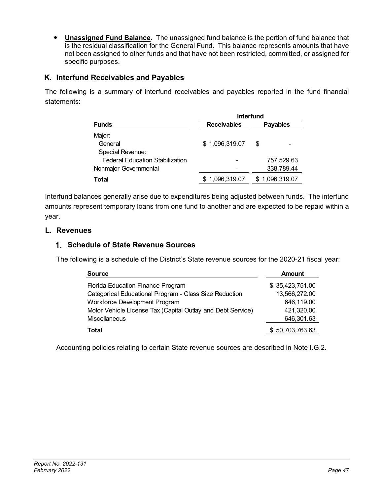**Unassigned Fund Balance**. The unassigned fund balance is the portion of fund balance that is the residual classification for the General Fund. This balance represents amounts that have not been assigned to other funds and that have not been restricted, committed, or assigned for specific purposes.

### **K. Interfund Receivables and Payables**

The following is a summary of interfund receivables and payables reported in the fund financial statements:

|                                        | <b>Interfund</b>   |                 |  |  |  |
|----------------------------------------|--------------------|-----------------|--|--|--|
| <b>Funds</b>                           | <b>Receivables</b> | <b>Payables</b> |  |  |  |
| Major:                                 |                    |                 |  |  |  |
| General                                | \$1,096,319.07     | S               |  |  |  |
| Special Revenue:                       |                    |                 |  |  |  |
| <b>Federal Education Stabilization</b> |                    | 757,529.63      |  |  |  |
| Nonmajor Governmental                  |                    | 338,789.44      |  |  |  |
| <b>Total</b>                           | \$1,096,319.07     | \$1,096,319.07  |  |  |  |

Interfund balances generally arise due to expenditures being adjusted between funds. The interfund amounts represent temporary loans from one fund to another and are expected to be repaid within a year.

#### **L. Revenues**

### **Schedule of State Revenue Sources**

The following is a schedule of the District's State revenue sources for the 2020-21 fiscal year:

| <b>Source</b>                                               | <b>Amount</b>   |
|-------------------------------------------------------------|-----------------|
| Florida Education Finance Program                           | \$35,423,751.00 |
| Categorical Educational Program - Class Size Reduction      | 13,566,272.00   |
| Workforce Development Program                               | 646,119.00      |
| Motor Vehicle License Tax (Capital Outlay and Debt Service) | 421,320.00      |
| Miscellaneous                                               | 646,301.63      |
| Total                                                       | \$50,703,763.63 |

Accounting policies relating to certain State revenue sources are described in Note I.G.2.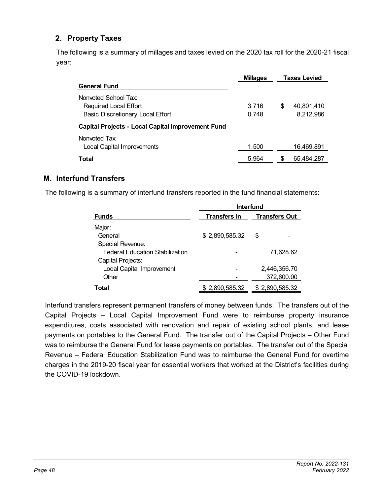### **Property Taxes**

The following is a summary of millages and taxes levied on the 2020 tax roll for the 2020-21 fiscal year:

|                                                          | <b>Millages</b> |   | <b>Taxes Levied</b> |
|----------------------------------------------------------|-----------------|---|---------------------|
| <b>General Fund</b>                                      |                 |   |                     |
| Nonvoted School Tax:                                     |                 |   |                     |
| Required Local Effort                                    | 3.716           | S | 40,801,410          |
| <b>Basic Discretionary Local Effort</b>                  | 0.748           |   | 8,212,986           |
| <b>Capital Projects - Local Capital Improvement Fund</b> |                 |   |                     |
| Nonvoted Tax:                                            |                 |   |                     |
| Local Capital Improvements                               | 1.500           |   | 16,469,891          |
| Total                                                    | 5.964           |   | 65,484,287          |

#### **M. Interfund Transfers**

The following is a summary of interfund transfers reported in the fund financial statements:

|                                        | <b>Interfund</b>    |                      |  |  |
|----------------------------------------|---------------------|----------------------|--|--|
| <b>Funds</b>                           | <b>Transfers In</b> | <b>Transfers Out</b> |  |  |
| Major:                                 |                     |                      |  |  |
| General                                | \$2,890,585.32      | S                    |  |  |
| Special Revenue:                       |                     |                      |  |  |
| <b>Federal Education Stabilization</b> |                     | 71,628.62            |  |  |
| Capital Projects:                      |                     |                      |  |  |
| <b>Local Capital Improvement</b>       |                     | 2,446,356.70         |  |  |
| Other                                  |                     | 372,600.00           |  |  |
| Total                                  | \$2,890,585.32      | \$2,890,585.32       |  |  |

Interfund transfers represent permanent transfers of money between funds. The transfers out of the Capital Projects – Local Capital Improvement Fund were to reimburse property insurance expenditures, costs associated with renovation and repair of existing school plants, and lease payments on portables to the General Fund. The transfer out of the Capital Projects – Other Fund was to reimburse the General Fund for lease payments on portables. The transfer out of the Special Revenue – Federal Education Stabilization Fund was to reimburse the General Fund for overtime charges in the 2019-20 fiscal year for essential workers that worked at the District's facilities during the COVID-19 lockdown.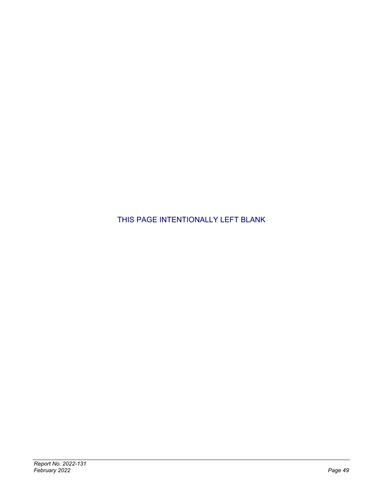THIS PAGE INTENTIONALLY LEFT BLANK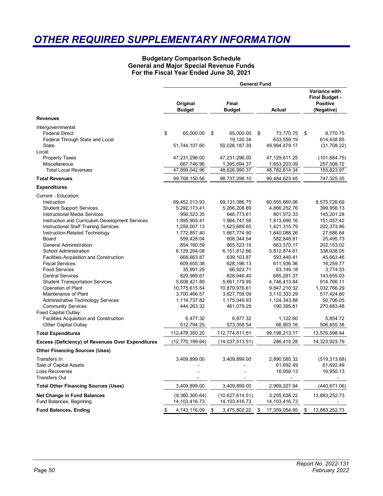## <span id="page-55-0"></span>*OTHER REQUIRED SUPPLEMENTARY INFORMATION*

#### **Budgetary Comparison Schedule General and Major Special Revenue Funds For the Fiscal Year Ended June 30, 2021**

|                                                              | <b>General Fund</b>       |                               |    |                               |        |                              |    |                                                                  |
|--------------------------------------------------------------|---------------------------|-------------------------------|----|-------------------------------|--------|------------------------------|----|------------------------------------------------------------------|
|                                                              | Original<br><b>Budget</b> |                               |    | Final<br><b>Budget</b>        | Actual |                              |    | Variance with<br>Final Budget -<br><b>Positive</b><br>(Negative) |
| <b>Revenues</b>                                              |                           |                               |    |                               |        |                              |    |                                                                  |
| Intergovernmental:                                           |                           |                               |    |                               |        |                              |    |                                                                  |
| <b>Federal Direct</b>                                        | \$                        | 65,000.00                     | \$ | 65,000.00                     | \$     | 73,770.75                    | \$ | 8,770.75                                                         |
| Federal Through State and Local                              |                           |                               |    | 19,120.34                     |        | 633,559.19                   |    | 614,438.85                                                       |
| State                                                        |                           | 51,744,107.60                 |    | 50,026,187.39                 |        | 49,994,479.17                |    | (31,708.22)                                                      |
| Local:                                                       |                           |                               |    |                               |        |                              |    |                                                                  |
| <b>Property Taxes</b>                                        |                           | 47,231,296.00                 |    | 47,231,296.00                 |        | 47,129,611.25                |    | (101, 684.75)                                                    |
| Miscellaneous                                                |                           | 667,746.96                    |    | 1,395,694.37                  |        | 1,653,203.09                 |    | 257,508.72                                                       |
| <b>Total Local Revenues</b>                                  |                           | 47,899,042.96                 |    | 48,626,990.37                 |        | 48,782,814.34                |    | 155,823.97                                                       |
| <b>Total Revenues</b>                                        |                           | 99,708,150.56                 |    | 98,737,298.10                 |        | 99,484,623.45                |    | 747,325.35                                                       |
| <b>Expenditures</b>                                          |                           |                               |    |                               |        |                              |    |                                                                  |
| Current - Education:                                         |                           |                               |    |                               |        |                              |    |                                                                  |
| Instruction                                                  |                           | 69,452,013.93                 |    | 69, 131, 386. 75              |        | 60,555,660.06                |    | 8,575,726.69                                                     |
| <b>Student Support Services</b>                              |                           | 5,292,173.41                  |    | 5,266,208.89                  |        | 4,866,252.76                 |    | 399,956.13                                                       |
| <b>Instructional Media Services</b>                          |                           | 956,523.35                    |    | 946,773.61                    |        | 801,572.33                   |    | 145,201.28                                                       |
| Instruction and Curriculum Development Services              |                           | 1,895,905.41                  |    | 1,964,747.58                  |        | 1,813,690.16                 |    | 151,057.42                                                       |
| <b>Instructional Staff Training Services</b>                 |                           | 1,259,007.13                  |    | 1,623,689.65                  |        | 1,421,315.79                 |    | 202,373.86                                                       |
| Instruction-Related Technology                               |                           | 1,772,857.40                  |    | 1,667,774.90                  |        | 1,640,088.26                 |    | 27,686.64                                                        |
| Board                                                        |                           | 559,428.04                    |    | 608,344.54                    |        | 582,848.81                   |    | 25,495.73                                                        |
| <b>General Administration</b>                                |                           | 854,160.59                    |    | 865,523.19                    |        | 663,370.17                   |    | 202,153.02                                                       |
| School Administration                                        |                           | 6,129,204.08                  |    | 6,151,812.66                  |        | 5,812,874.61                 |    | 338,938.05                                                       |
| Facilities Acquisition and Construction                      |                           | 668,663.87                    |    | 639,103.87                    |        | 593,440.41                   |    | 45,663.46                                                        |
| <b>Fiscal Services</b>                                       |                           | 609,655.38                    |    | 628,196.13                    |        | 611,936.36                   |    | 16,259.77                                                        |
| <b>Food Services</b>                                         |                           | 35,991.29                     |    | 66,923.71                     |        | 63,149.18                    |    | 3,774.53                                                         |
| <b>Central Services</b>                                      |                           | 829,989.61                    |    | 828,946.40                    |        | 685,291.37                   |    | 143,655.03                                                       |
| <b>Student Transportation Services</b><br>Operation of Plant |                           | 5,608,421.89<br>10,775,615.54 |    | 5,661,179.95<br>10,879,976.61 |        | 4,746,413.84<br>9,847,210.32 |    | 914,766.11<br>1,032,766.29                                       |
| Maintenance of Plant                                         |                           | 3,700,466.57                  |    | 3,627,758.09                  |        | 3,110,333.29                 |    | 517,424.80                                                       |
| <b>Administrative Technology Services</b>                    |                           | 1,114,737.82                  |    | 1,175,049.93                  |        | 1,124,343.88                 |    | 50,706.05                                                        |
| <b>Community Services</b>                                    |                           | 444,263.32                    |    | 461,079.29                    |        | 190,395.81                   |    | 270,683.48                                                       |
| Fixed Capital Outlay:                                        |                           |                               |    |                               |        |                              |    |                                                                  |
| Facilities Acquisition and Construction                      |                           | 6,477.32                      |    | 6,977.32                      |        | 1,122.60                     |    | 5,854.72                                                         |
| Other Capital Outlay                                         |                           | 512,794.25                    |    | 573,358.54                    |        | 66,903.16                    |    | 506,455.38                                                       |
| <b>Total Expenditures</b>                                    |                           | 112,478,350.20                |    | 112,774,811.61                |        | 99, 198, 213. 17             |    | 13,576,598.44                                                    |
| <b>Excess (Deficiency) of Revenues Over Expenditures</b>     |                           | (12, 770, 199.64)             |    | (14,037,513.51)               |        | 286,410.28                   |    | 14,323,923.79                                                    |
| <b>Other Financing Sources (Uses)</b>                        |                           |                               |    |                               |        |                              |    |                                                                  |
|                                                              |                           |                               |    |                               |        |                              |    |                                                                  |
| Transfers In<br>Sale of Capital Assets                       |                           | 3,409,899.00                  |    | 3,409,899.00                  |        | 2,890,585.32<br>61,692.49    |    | (519, 313.68)<br>61,692.49                                       |
| <b>Loss Recoveries</b>                                       |                           |                               |    |                               |        | 16,950.13                    |    | 16,950.13                                                        |
| <b>Transfers Out</b>                                         |                           |                               |    |                               |        |                              |    |                                                                  |
| <b>Total Other Financing Sources (Uses)</b>                  |                           | 3,409,899.00                  |    | 3,409,899.00                  |        | 2,969,227.94                 |    | (440, 671.06)                                                    |
|                                                              |                           |                               |    |                               |        |                              |    |                                                                  |
| <b>Net Change in Fund Balances</b>                           |                           | (9,360,300.64)                |    | (10,627,614.51)               |        | 3,255,638.22                 |    | 13,883,252.73                                                    |
| Fund Balances, Beginning                                     |                           | 14, 103, 416. 73              |    | 14, 103, 416. 73              |        | 14, 103, 416. 73             |    |                                                                  |
| <b>Fund Balances, Ending</b>                                 | \$                        | 4,743,116.09                  | \$ | 3,475,802.22                  | \$     | 17,359,054.95                | \$ | 13,883,252.73                                                    |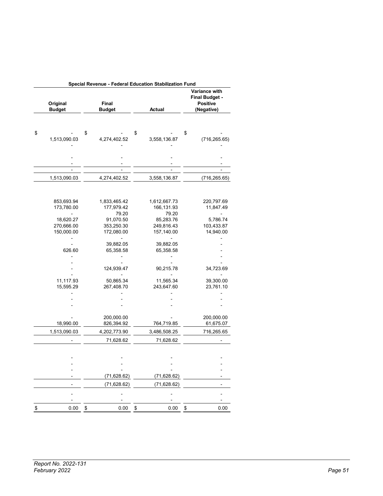| Original<br><b>Budget</b> | Final<br><b>Budget</b>     | Special Revenue - Federal Education Stabilization Fund<br><b>Actual</b> | Variance with<br>Final Budget -<br><b>Positive</b><br>(Negative) |
|---------------------------|----------------------------|-------------------------------------------------------------------------|------------------------------------------------------------------|
| \$<br>1,513,090.03        | \$<br>4,274,402.52         | \$<br>3,558,136.87                                                      | \$<br>(716, 265.65)                                              |
|                           |                            |                                                                         |                                                                  |
|                           |                            |                                                                         |                                                                  |
|                           |                            |                                                                         |                                                                  |
| 1,513,090.03              | 4,274,402.52               | 3,558,136.87                                                            | (716, 265.65)                                                    |
|                           |                            |                                                                         |                                                                  |
| 853,693.94<br>173,780.00  | 1,833,465.42<br>177,979.42 | 1,612,667.73<br>166,131.93                                              | 220,797.69<br>11,847.49                                          |
|                           | 79.20                      | 79.20                                                                   |                                                                  |
| 18,620.27                 | 91,070.50                  | 85,283.76                                                               | 5,786.74                                                         |
| 270,666.00                | 353,250.30                 | 249,816.43                                                              | 103,433.87                                                       |
| 150,000.00                | 172,080.00                 | 157,140.00                                                              | 14,940.00                                                        |
|                           | 39,882.05                  | 39,882.05                                                               |                                                                  |
| 626.60                    | 65,358.58                  | 65,358.58                                                               |                                                                  |
|                           |                            |                                                                         |                                                                  |
|                           |                            |                                                                         |                                                                  |
|                           | 124,939.47                 | 90,215.78                                                               | 34,723.69                                                        |
|                           |                            |                                                                         |                                                                  |
| 11,117.93                 | 50,865.34                  | 11,565.34                                                               | 39,300.00                                                        |
| 15,595.29                 | 267,408.70                 | 243,647.60                                                              | 23,761.10                                                        |
|                           |                            |                                                                         |                                                                  |
|                           |                            |                                                                         |                                                                  |
|                           | 200,000.00                 |                                                                         | 200,000.00                                                       |
| 18,990.00                 | 826,394.92                 | 764,719.85                                                              | 61,675.07                                                        |
| 1,513,090.03              | 4,202,773.90               | 3,486,508.25                                                            | 716,265.65                                                       |
|                           | 71,628.62                  | 71,628.62                                                               |                                                                  |
|                           |                            |                                                                         |                                                                  |
|                           |                            |                                                                         |                                                                  |
|                           |                            |                                                                         |                                                                  |
|                           | (71,628.62)                | (71,628.62)                                                             |                                                                  |
|                           | (71, 628.62)               | (71,628.62)                                                             |                                                                  |
|                           |                            |                                                                         |                                                                  |
|                           |                            |                                                                         |                                                                  |
| \$<br>0.00                | \$<br>0.00                 | \$<br>0.00                                                              | \$<br>0.00                                                       |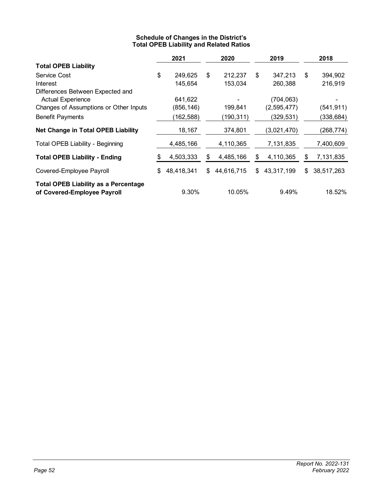#### **Schedule of Changes in the District's Total OPEB Liability and Related Ratios**

<span id="page-57-0"></span>

|                                                                            | 2021 |            | 2020 |            | 2019 |               | 2018 |            |
|----------------------------------------------------------------------------|------|------------|------|------------|------|---------------|------|------------|
| <b>Total OPEB Liability</b>                                                |      |            |      |            |      |               |      |            |
| Service Cost                                                               | \$   | 249,625    | \$   | 212,237    | \$   | 347.213       | \$   | 394,902    |
| Interest                                                                   |      | 145,654    |      | 153,034    |      | 260,388       |      | 216,919    |
| Differences Between Expected and                                           |      |            |      |            |      |               |      |            |
| <b>Actual Experience</b>                                                   |      | 641,622    |      |            |      | (704, 063)    |      |            |
| Changes of Assumptions or Other Inputs                                     |      | (856, 146) |      | 199,841    |      | (2, 595, 477) |      | (541, 911) |
| <b>Benefit Payments</b>                                                    |      | (162, 588) |      | (190, 311) |      | (329, 531)    |      | (338, 684) |
| <b>Net Change in Total OPEB Liability</b>                                  |      | 18,167     |      | 374,801    |      | (3,021,470)   |      | (268, 774) |
| <b>Total OPEB Liability - Beginning</b>                                    |      | 4,485,166  |      | 4,110,365  |      | 7,131,835     |      | 7,400,609  |
| <b>Total OPEB Liability - Ending</b>                                       |      | 4,503,333  | S    | 4,485,166  | \$   | 4,110,365     | \$   | 7,131,835  |
| Covered-Employee Payroll                                                   | \$   | 48,418,341 | \$   | 44,616,715 | \$.  | 43,317,199    | \$   | 38,517,263 |
| <b>Total OPEB Liability as a Percentage</b><br>of Covered-Employee Payroll |      | 9.30%      |      | 10.05%     |      | 9.49%         |      | 18.52%     |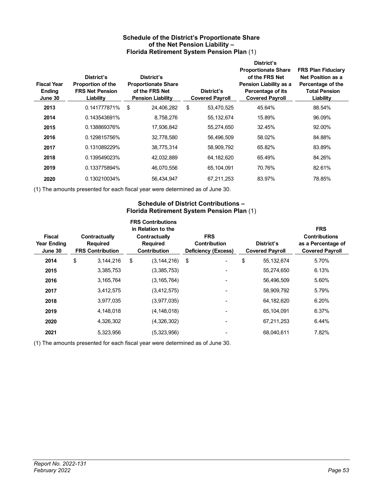#### **Schedule of the District's Proportionate Share of the Net Pension Liability – Florida Retirement System Pension Plan** (1)

<span id="page-58-0"></span>

| <b>Fiscal Year</b>       | District's<br><b>Proportion of the</b> |     | District's<br><b>Proportionate Share</b>   |                                      | District's<br><b>Proportionate Share</b><br>of the FRS Net<br>Pension Liability as a | <b>FRS Plan Fiduciary</b><br>Net Position as a<br>Percentage of the |
|--------------------------|----------------------------------------|-----|--------------------------------------------|--------------------------------------|--------------------------------------------------------------------------------------|---------------------------------------------------------------------|
| <b>Ending</b><br>June 30 | <b>FRS Net Pension</b><br>Liability    |     | of the FRS Net<br><b>Pension Liability</b> | District's<br><b>Covered Payroll</b> | Percentage of its<br><b>Covered Payroll</b>                                          | <b>Total Pension</b><br>Liability                                   |
| 2013                     | 0.141777871%                           | -\$ | 24,406,282                                 | \$<br>53,470,525                     | 45.64%                                                                               | 88.54%                                                              |
| 2014                     | 0.143543691%                           |     | 8,758,276                                  | 55, 132, 674                         | 15.89%                                                                               | 96.09%                                                              |
| 2015                     | 0.138869376%                           |     | 17,936,842                                 | 55,274,650                           | 32.45%                                                                               | 92.00%                                                              |
| 2016                     | 0.129815756%                           |     | 32,778,580                                 | 56,496,509                           | 58.02%                                                                               | 84.88%                                                              |
| 2017                     | 0.131089229%                           |     | 38,775,314                                 | 58,909,792                           | 65.82%                                                                               | 83.89%                                                              |
| 2018                     | 0.139549023%                           |     | 42,032,889                                 | 64, 182, 620                         | 65.49%                                                                               | 84.26%                                                              |
| 2019                     | 0.133775894%                           |     | 46.070.556                                 | 65.104.091                           | 70.76%                                                                               | 82.61%                                                              |
| 2020                     | 0.130210034%                           |     | 56.434.947                                 | 67,211,253                           | 83.97%                                                                               | 78.85%                                                              |

(1) The amounts presented for each fiscal year were determined as of June 30.

#### **Schedule of District Contributions – Florida Retirement System Pension Plan** (1)

| <b>Fiscal</b><br><b>Year Ending</b><br>June 30 | Contractually<br><b>Required</b><br><b>FRS Contribution</b> | <b>FRS Contributions</b><br>in Relation to the<br>Contractually<br><b>Required</b><br><b>Contribution</b> | <b>FRS</b><br><b>Contribution</b><br><b>Deficiency (Excess)</b> | District's<br><b>Covered Payroll</b> | <b>FRS</b><br><b>Contributions</b><br>as a Percentage of<br><b>Covered Payroll</b> |
|------------------------------------------------|-------------------------------------------------------------|-----------------------------------------------------------------------------------------------------------|-----------------------------------------------------------------|--------------------------------------|------------------------------------------------------------------------------------|
| 2014                                           | \$<br>3,144,216                                             | \$<br>(3, 144, 216)                                                                                       | \$<br>$\overline{\phantom{0}}$                                  | \$<br>55, 132, 674                   | 5.70%                                                                              |
| 2015                                           | 3,385,753                                                   | (3,385,753)                                                                                               |                                                                 | 55,274,650                           | 6.13%                                                                              |
| 2016                                           | 3, 165, 764                                                 | (3, 165, 764)                                                                                             |                                                                 | 56,496,509                           | 5.60%                                                                              |
| 2017                                           | 3,412,575                                                   | (3, 412, 575)                                                                                             |                                                                 | 58,909,792                           | 5.79%                                                                              |
| 2018                                           | 3,977,035                                                   | (3,977,035)                                                                                               |                                                                 | 64,182,620                           | 6.20%                                                                              |
| 2019                                           | 4,148,018                                                   | (4,148,018)                                                                                               |                                                                 | 65,104,091                           | 6.37%                                                                              |
| 2020                                           | 4,326,302                                                   | (4,326,302)                                                                                               |                                                                 | 67.211.253                           | 6.44%                                                                              |
| 2021                                           | 5,323,956                                                   | (5,323,956)                                                                                               |                                                                 | 68.040.611                           | 7.82%                                                                              |

(1) The amounts presented for each fiscal year were determined as of June 30.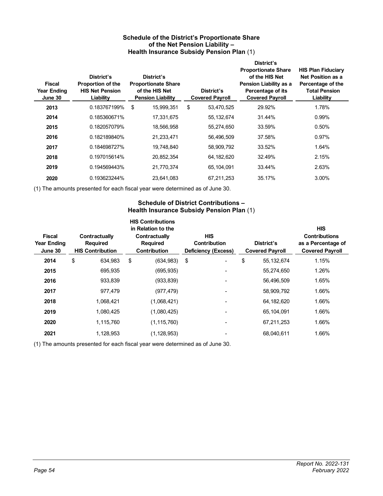#### **Schedule of the District's Proportionate Share of the Net Pension Liability – Health Insurance Subsidy Pension Plan** (1)

<span id="page-59-0"></span>

| <b>Fiscal</b><br><b>Year Ending</b><br>June 30 | District's<br><b>Proportion of the</b><br><b>HIS Net Pension</b><br>Liability | District's<br><b>Proportionate Share</b><br>of the HIS Net<br><b>Pension Liability</b> | District's<br><b>Covered Payroll</b> | District's<br><b>Proportionate Share</b><br>of the HIS Net<br>Pension Liability as a<br>Percentage of its<br><b>Covered Payroll</b> | <b>HIS Plan Fiduciary</b><br>Net Position as a<br>Percentage of the<br><b>Total Pension</b><br>Liability |
|------------------------------------------------|-------------------------------------------------------------------------------|----------------------------------------------------------------------------------------|--------------------------------------|-------------------------------------------------------------------------------------------------------------------------------------|----------------------------------------------------------------------------------------------------------|
| 2013                                           | 0.183767199%                                                                  | \$<br>15,999,351                                                                       | \$<br>53,470,525                     | 29.92%                                                                                                                              | 1.78%                                                                                                    |
| 2014                                           | 0.185360671%                                                                  | 17,331,675                                                                             | 55, 132, 674                         | 31.44%                                                                                                                              | 0.99%                                                                                                    |
| 2015                                           | 0.182057079%                                                                  | 18,566,958                                                                             | 55,274,650                           | 33.59%                                                                                                                              | 0.50%                                                                                                    |
| 2016                                           | 0.182189840%                                                                  | 21,233,471                                                                             | 56,496,509                           | 37.58%                                                                                                                              | 0.97%                                                                                                    |
| 2017                                           | 0.184698727%                                                                  | 19.748.840                                                                             | 58,909,792                           | 33.52%                                                                                                                              | 1.64%                                                                                                    |
| 2018                                           | 0.197015614%                                                                  | 20,852,354                                                                             | 64, 182, 620                         | 32.49%                                                                                                                              | 2.15%                                                                                                    |
| 2019                                           | 0.194569443%                                                                  | 21.770.374                                                                             | 65.104.091                           | 33.44%                                                                                                                              | 2.63%                                                                                                    |
| 2020                                           | 0.193623244%                                                                  | 23.641.083                                                                             | 67,211,253                           | 35.17%                                                                                                                              | 3.00%                                                                                                    |

(1) The amounts presented for each fiscal year were determined as of June 30.

#### **Schedule of District Contributions – Health Insurance Subsidy Pension Plan** (1)

| <b>Fiscal</b><br><b>Year Ending</b><br>June 30 | Contractually<br><b>Required</b><br><b>HIS Contribution</b> | <b>HIS Contributions</b><br>in Relation to the<br>Contractually<br><b>Required</b><br><b>Contribution</b> | <b>HIS</b><br><b>Contribution</b><br><b>Deficiency (Excess)</b> | District's<br><b>Covered Payroll</b> | <b>HIS</b><br><b>Contributions</b><br>as a Percentage of<br><b>Covered Payroll</b> |
|------------------------------------------------|-------------------------------------------------------------|-----------------------------------------------------------------------------------------------------------|-----------------------------------------------------------------|--------------------------------------|------------------------------------------------------------------------------------|
| 2014                                           | \$<br>634.983                                               | \$<br>(634, 983)                                                                                          | \$<br>$\blacksquare$                                            | \$<br>55.132.674                     | 1.15%                                                                              |
| 2015                                           | 695,935                                                     | (695, 935)                                                                                                |                                                                 | 55,274,650                           | 1.26%                                                                              |
| 2016                                           | 933,839                                                     | (933, 839)                                                                                                |                                                                 | 56,496,509                           | 1.65%                                                                              |
| 2017                                           | 977,479                                                     | (977,479)                                                                                                 |                                                                 | 58,909,792                           | 1.66%                                                                              |
| 2018                                           | 1,068,421                                                   | (1,068,421)                                                                                               |                                                                 | 64, 182, 620                         | 1.66%                                                                              |
| 2019                                           | 1,080,425                                                   | (1,080,425)                                                                                               |                                                                 | 65.104.091                           | 1.66%                                                                              |
| 2020                                           | 1,115,760                                                   | (1, 115, 760)                                                                                             |                                                                 | 67,211,253                           | 1.66%                                                                              |
| 2021                                           | 1.128.953                                                   | (1, 128, 953)                                                                                             |                                                                 | 68.040.611                           | 1.66%                                                                              |

(1) The amounts presented for each fiscal year were determined as of June 30.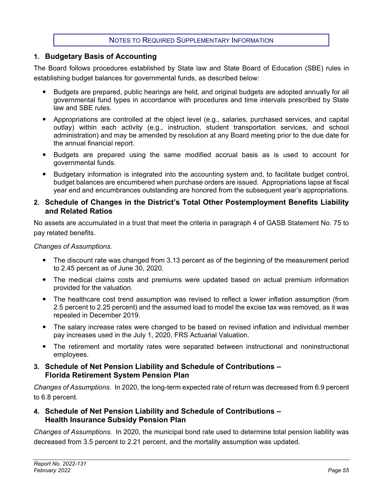#### NOTES TO REQUIRED SUPPLEMENTARY INFORMATION

#### <span id="page-60-0"></span>**1. Budgetary Basis of Accounting**

The Board follows procedures established by State law and State Board of Education (SBE) rules in establishing budget balances for governmental funds, as described below:

- Budgets are prepared, public hearings are held, and original budgets are adopted annually for all governmental fund types in accordance with procedures and time intervals prescribed by State law and SBE rules.
- Appropriations are controlled at the object level (e.g., salaries, purchased services, and capital outlay) within each activity (e.g., instruction, student transportation services, and school administration) and may be amended by resolution at any Board meeting prior to the due date for the annual financial report.
- Budgets are prepared using the same modified accrual basis as is used to account for governmental funds.
- Budgetary information is integrated into the accounting system and, to facilitate budget control, budget balances are encumbered when purchase orders are issued. Appropriations lapse at fiscal year end and encumbrances outstanding are honored from the subsequent year's appropriations.

#### **2. Schedule of Changes in the District's Total Other Postemployment Benefits Liability and Related Ratios**

No assets are accumulated in a trust that meet the criteria in paragraph 4 of GASB Statement No. 75 to pay related benefits.

#### *Changes of Assumptions.*

- The discount rate was changed from 3.13 percent as of the beginning of the measurement period to 2.45 percent as of June 30, 2020.
- The medical claims costs and premiums were updated based on actual premium information provided for the valuation.
- The healthcare cost trend assumption was revised to reflect a lower inflation assumption (from 2.5 percent to 2.25 percent) and the assumed load to model the excise tax was removed, as it was repealed in December 2019.
- The salary increase rates were changed to be based on revised inflation and individual member pay increases used in the July 1, 2020, FRS Actuarial Valuation.
- The retirement and mortality rates were separated between instructional and noninstructional employees.

#### **3. Schedule of Net Pension Liability and Schedule of Contributions – Florida Retirement System Pension Plan**

*Changes of Assumptions.* In 2020, the long-term expected rate of return was decreased from 6.9 percent to 6.8 percent.

#### **4. Schedule of Net Pension Liability and Schedule of Contributions – Health Insurance Subsidy Pension Plan**

*Changes of Assumptions.* In 2020, the municipal bond rate used to determine total pension liability was decreased from 3.5 percent to 2.21 percent, and the mortality assumption was updated.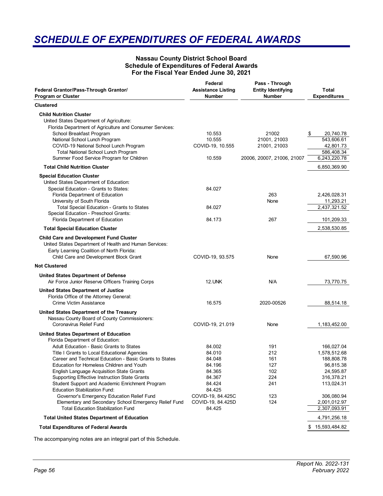## <span id="page-61-0"></span>*SCHEDULE OF EXPENDITURES OF FEDERAL AWARDS*

#### **Nassau County District School Board Schedule of Expenditures of Federal Awards For the Fiscal Year Ended June 30, 2021**

| Federal Grantor/Pass-Through Grantor/<br><b>Program or Cluster</b>                                                                                                                               | Federal<br><b>Assistance Listing</b><br><b>Number</b> | Pass - Through<br><b>Entity Identifying</b><br><b>Number</b> | <b>Total</b><br><b>Expenditures</b> |
|--------------------------------------------------------------------------------------------------------------------------------------------------------------------------------------------------|-------------------------------------------------------|--------------------------------------------------------------|-------------------------------------|
| <b>Clustered</b>                                                                                                                                                                                 |                                                       |                                                              |                                     |
| <b>Child Nutrition Cluster</b><br>United States Department of Agriculture:<br>Florida Department of Agriculture and Consumer Services:                                                           |                                                       |                                                              |                                     |
| School Breakfast Program                                                                                                                                                                         | 10.553                                                | 21002                                                        | \$<br>20,740.78                     |
| National School Lunch Program                                                                                                                                                                    | 10.555                                                | 21001, 21003                                                 | 543,606.61                          |
| COVID-19 National School Lunch Program<br><b>Total National School Lunch Program</b>                                                                                                             | COVID-19, 10.555                                      | 21001, 21003                                                 | 42,801.73<br>586,408.34             |
| Summer Food Service Program for Children                                                                                                                                                         | 10.559                                                | 20006, 20007, 21006, 21007                                   | 6,243,220.78                        |
| <b>Total Child Nutrition Cluster</b>                                                                                                                                                             |                                                       |                                                              | 6,850,369.90                        |
| <b>Special Education Cluster</b>                                                                                                                                                                 |                                                       |                                                              |                                     |
| United States Department of Education:<br>Special Education - Grants to States:<br>Florida Department of Education                                                                               | 84.027                                                | 263                                                          | 2,426,028.31                        |
| University of South Florida                                                                                                                                                                      |                                                       | None                                                         | 11,293.21                           |
| Total Special Education - Grants to States                                                                                                                                                       | 84.027                                                |                                                              | 2,437,321.52                        |
| Special Education - Preschool Grants:                                                                                                                                                            |                                                       | 267                                                          |                                     |
| Florida Department of Education                                                                                                                                                                  | 84.173                                                |                                                              | 101,209.33                          |
| <b>Total Special Education Cluster</b>                                                                                                                                                           |                                                       |                                                              | 2,538,530.85                        |
| <b>Child Care and Development Fund Cluster</b><br>United States Department of Health and Human Services:<br>Early Learning Coalition of North Florida:<br>Child Care and Development Block Grant | COVID-19, 93.575                                      | None                                                         | 67.590.96                           |
| <b>Not Clustered</b>                                                                                                                                                                             |                                                       |                                                              |                                     |
| <b>United States Department of Defense</b><br>Air Force Junior Reserve Officers Training Corps                                                                                                   | <b>12.UNK</b>                                         | N/A                                                          | 73,770.75                           |
| <b>United States Department of Justice</b><br>Florida Office of the Attorney General:<br>Crime Victim Assistance                                                                                 | 16.575                                                | 2020-00526                                                   | 88,514.18                           |
| United States Department of the Treasury                                                                                                                                                         |                                                       |                                                              |                                     |
| Nassau County Board of County Commissioners:<br><b>Coronavirus Relief Fund</b>                                                                                                                   | COVID-19, 21.019                                      | None                                                         | 1,183,452.00                        |
| <b>United States Department of Education</b><br>Florida Department of Education:                                                                                                                 |                                                       |                                                              |                                     |
| Adult Education - Basic Grants to States                                                                                                                                                         | 84.002                                                | 191                                                          | 166,027.04                          |
| Title I Grants to Local Educational Agencies                                                                                                                                                     | 84.010                                                | 212                                                          | 1,578,512.68                        |
| Career and Technical Education - Basic Grants to States                                                                                                                                          | 84.048                                                | 161                                                          | 188,808.78                          |
| Education for Homeless Children and Youth                                                                                                                                                        | 84.196                                                | 127                                                          | 96,815.38                           |
| <b>English Language Acquisition State Grants</b><br>Supporting Effective Instruction State Grants                                                                                                | 84.365<br>84.367                                      | 102<br>224                                                   | 24,595.87<br>316,378.21             |
| Student Support and Academic Enrichment Program                                                                                                                                                  | 84.424                                                | 241                                                          | 113,024.31                          |
| <b>Education Stabilization Fund:</b>                                                                                                                                                             | 84.425                                                |                                                              |                                     |
| Governor's Emergency Education Relief Fund                                                                                                                                                       | COVID-19, 84.425C                                     | 123                                                          | 306,080.94                          |
| Elementary and Secondary School Emergency Relief Fund                                                                                                                                            | COVID-19, 84.425D                                     | 124                                                          | 2,001,012.97                        |
| <b>Total Education Stabilization Fund</b>                                                                                                                                                        | 84.425                                                |                                                              | 2,307,093.91                        |
| <b>Total United States Department of Education</b>                                                                                                                                               |                                                       |                                                              | 4,791,256.18                        |
| <b>Total Expenditures of Federal Awards</b>                                                                                                                                                      |                                                       |                                                              | \$15,593,484.82                     |

The accompanying notes are an integral part of this Schedule.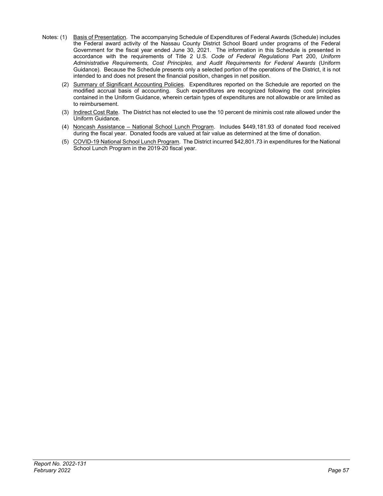- Notes: (1) Basis of Presentation. The accompanying Schedule of Expenditures of Federal Awards (Schedule) includes the Federal award activity of the Nassau County District School Board under programs of the Federal Government for the fiscal year ended June 30, 2021. The information in this Schedule is presented in accordance with the requirements of Title 2 U.S. *Code of Federal Regulations* Part 200, *Uniform Administrative Requirements, Cost Principles, and Audit Requirements for Federal Awards* (Uniform Guidance). Because the Schedule presents only a selected portion of the operations of the District, it is not intended to and does not present the financial position, changes in net position.
	- (2) Summary of Significant Accounting Policies. Expenditures reported on the Schedule are reported on the modified accrual basis of accounting. Such expenditures are recognized following the cost principles contained in the Uniform Guidance, wherein certain types of expenditures are not allowable or are limited as to reimbursement.
	- (3) Indirect Cost Rate. The District has not elected to use the 10 percent de minimis cost rate allowed under the Uniform Guidance.
	- (4) Noncash Assistance National School Lunch Program. Includes \$449,181.93 of donated food received during the fiscal year. Donated foods are valued at fair value as determined at the time of donation.
	- (5) COVID-19 National School Lunch Program. The District incurred \$42,801.73 in expenditures for the National School Lunch Program in the 2019-20 fiscal year.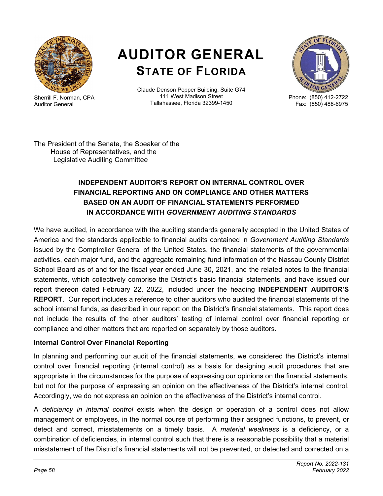<span id="page-63-0"></span>

Sherrill F. Norman, CPA Auditor General

# **AUDITOR GENERAL STATE OF FLORIDA**

Claude Denson Pepper Building, Suite G74 111 West Madison Street Tallahassee, Florida 32399-1450



Phone: (850) 412-2722 Fax: (850) 488-6975

The President of the Senate, the Speaker of the House of Representatives, and the Legislative Auditing Committee

### **INDEPENDENT AUDITOR'S REPORT ON INTERNAL CONTROL OVER FINANCIAL REPORTING AND ON COMPLIANCE AND OTHER MATTERS BASED ON AN AUDIT OF FINANCIAL STATEMENTS PERFORMED IN ACCORDANCE WITH** *GOVERNMENT AUDITING STANDARDS*

We have audited, in accordance with the auditing standards generally accepted in the United States of America and the standards applicable to financial audits contained in *Government Auditing Standards* issued by the Comptroller General of the United States, the financial statements of the governmental activities, each major fund, and the aggregate remaining fund information of the Nassau County District School Board as of and for the fiscal year ended June 30, 2021, and the related notes to the financial statements, which collectively comprise the District's basic financial statements, and have issued our report thereon dated February 22, 2022, included under the heading **INDEPENDENT AUDITOR'S REPORT**. Our report includes a reference to other auditors who audited the financial statements of the school internal funds, as described in our report on the District's financial statements. This report does not include the results of the other auditors' testing of internal control over financial reporting or compliance and other matters that are reported on separately by those auditors.

### **Internal Control Over Financial Reporting**

In planning and performing our audit of the financial statements, we considered the District's internal control over financial reporting (internal control) as a basis for designing audit procedures that are appropriate in the circumstances for the purpose of expressing our opinions on the financial statements, but not for the purpose of expressing an opinion on the effectiveness of the District's internal control. Accordingly, we do not express an opinion on the effectiveness of the District's internal control.

A *deficiency in internal control* exists when the design or operation of a control does not allow management or employees, in the normal course of performing their assigned functions, to prevent, or detect and correct, misstatements on a timely basis. A *material weakness* is a deficiency, or a combination of deficiencies, in internal control such that there is a reasonable possibility that a material misstatement of the District's financial statements will not be prevented, or detected and corrected on a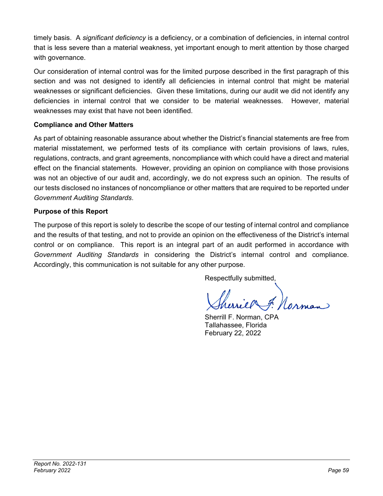timely basis. A *significant deficiency* is a deficiency, or a combination of deficiencies, in internal control that is less severe than a material weakness, yet important enough to merit attention by those charged with governance.

Our consideration of internal control was for the limited purpose described in the first paragraph of this section and was not designed to identify all deficiencies in internal control that might be material weaknesses or significant deficiencies. Given these limitations, during our audit we did not identify any deficiencies in internal control that we consider to be material weaknesses. However, material weaknesses may exist that have not been identified.

#### **Compliance and Other Matters**

As part of obtaining reasonable assurance about whether the District's financial statements are free from material misstatement, we performed tests of its compliance with certain provisions of laws, rules, regulations, contracts, and grant agreements, noncompliance with which could have a direct and material effect on the financial statements. However, providing an opinion on compliance with those provisions was not an objective of our audit and, accordingly, we do not express such an opinion. The results of our tests disclosed no instances of noncompliance or other matters that are required to be reported under *Government Auditing Standards*.

#### **Purpose of this Report**

The purpose of this report is solely to describe the scope of our testing of internal control and compliance and the results of that testing, and not to provide an opinion on the effectiveness of the District's internal control or on compliance. This report is an integral part of an audit performed in accordance with *Government Auditing Standards* in considering the District's internal control and compliance. Accordingly, this communication is not suitable for any other purpose.

Respectfully submitted,

Sherrill F. Norman, CPA Tallahassee, Florida February 22, 2022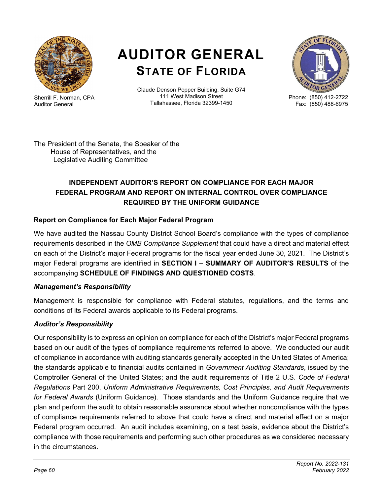<span id="page-65-0"></span>

Sherrill F. Norman, CPA Auditor General

# **AUDITOR GENERAL STATE OF FLORIDA**

Claude Denson Pepper Building, Suite G74 111 West Madison Street Tallahassee, Florida 32399-1450



Phone: (850) 412-2722 Fax: (850) 488-6975

The President of the Senate, the Speaker of the House of Representatives, and the Legislative Auditing Committee

### **INDEPENDENT AUDITOR'S REPORT ON COMPLIANCE FOR EACH MAJOR FEDERAL PROGRAM AND REPORT ON INTERNAL CONTROL OVER COMPLIANCE REQUIRED BY THE UNIFORM GUIDANCE**

### **Report on Compliance for Each Major Federal Program**

We have audited the Nassau County District School Board's compliance with the types of compliance requirements described in the *OMB Compliance Supplement* that could have a direct and material effect on each of the District's major Federal programs for the fiscal year ended June 30, 2021. The District's major Federal programs are identified in **SECTION I – SUMMARY OF AUDITOR'S RESULTS** of the accompanying **SCHEDULE OF FINDINGS AND QUESTIONED COSTS**.

#### *Management's Responsibility*

Management is responsible for compliance with Federal statutes, regulations, and the terms and conditions of its Federal awards applicable to its Federal programs.

#### *Auditor's Responsibility*

Our responsibility is to express an opinion on compliance for each of the District's major Federal programs based on our audit of the types of compliance requirements referred to above. We conducted our audit of compliance in accordance with auditing standards generally accepted in the United States of America; the standards applicable to financial audits contained in *Government Auditing Standards*, issued by the Comptroller General of the United States; and the audit requirements of Title 2 U.S. *Code of Federal Regulations* Part 200, *Uniform Administrative Requirements, Cost Principles, and Audit Requirements for Federal Awards* (Uniform Guidance). Those standards and the Uniform Guidance require that we plan and perform the audit to obtain reasonable assurance about whether noncompliance with the types of compliance requirements referred to above that could have a direct and material effect on a major Federal program occurred. An audit includes examining, on a test basis, evidence about the District's compliance with those requirements and performing such other procedures as we considered necessary in the circumstances.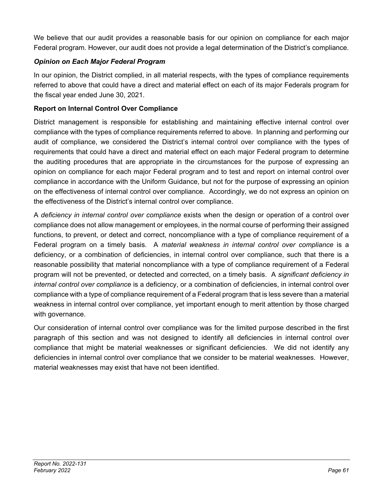We believe that our audit provides a reasonable basis for our opinion on compliance for each major Federal program. However, our audit does not provide a legal determination of the District's compliance.

### *Opinion on Each Major Federal Program*

In our opinion, the District complied, in all material respects, with the types of compliance requirements referred to above that could have a direct and material effect on each of its major Federals program for the fiscal year ended June 30, 2021.

#### **Report on Internal Control Over Compliance**

District management is responsible for establishing and maintaining effective internal control over compliance with the types of compliance requirements referred to above. In planning and performing our audit of compliance, we considered the District's internal control over compliance with the types of requirements that could have a direct and material effect on each major Federal program to determine the auditing procedures that are appropriate in the circumstances for the purpose of expressing an opinion on compliance for each major Federal program and to test and report on internal control over compliance in accordance with the Uniform Guidance, but not for the purpose of expressing an opinion on the effectiveness of internal control over compliance. Accordingly, we do not express an opinion on the effectiveness of the District's internal control over compliance.

A *deficiency in internal control over compliance* exists when the design or operation of a control over compliance does not allow management or employees, in the normal course of performing their assigned functions, to prevent, or detect and correct, noncompliance with a type of compliance requirement of a Federal program on a timely basis. A *material weakness in internal control over compliance* is a deficiency, or a combination of deficiencies, in internal control over compliance, such that there is a reasonable possibility that material noncompliance with a type of compliance requirement of a Federal program will not be prevented, or detected and corrected, on a timely basis. A *significant deficiency in internal control over compliance* is a deficiency, or a combination of deficiencies, in internal control over compliance with a type of compliance requirement of a Federal program that is less severe than a material weakness in internal control over compliance, yet important enough to merit attention by those charged with governance.

Our consideration of internal control over compliance was for the limited purpose described in the first paragraph of this section and was not designed to identify all deficiencies in internal control over compliance that might be material weaknesses or significant deficiencies. We did not identify any deficiencies in internal control over compliance that we consider to be material weaknesses. However, material weaknesses may exist that have not been identified.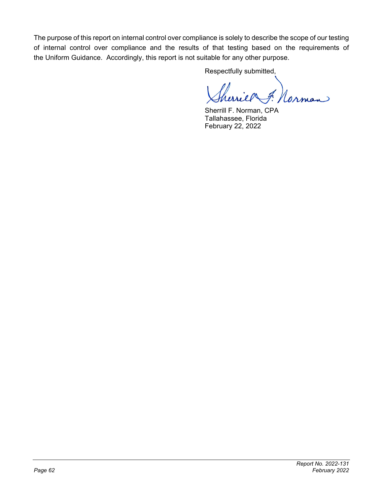The purpose of this report on internal control over compliance is solely to describe the scope of our testing of internal control over compliance and the results of that testing based on the requirements of the Uniform Guidance. Accordingly, this report is not suitable for any other purpose.

Respectfully submitted,

F. Norman

Sherrill F. Norman, CPA Tallahassee, Florida February 22, 2022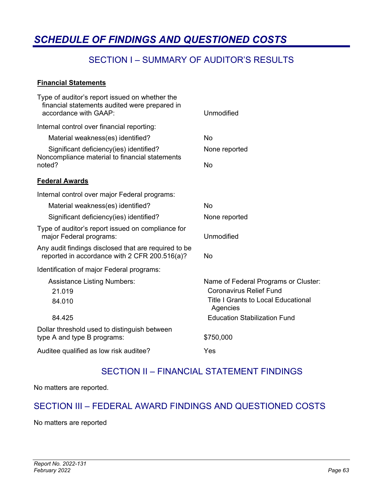# <span id="page-68-0"></span>*SCHEDULE OF FINDINGS AND QUESTIONED COSTS*

### SECTION I – SUMMARY OF AUDITOR'S RESULTS

#### **Financial Statements**

| Type of auditor's report issued on whether the<br>financial statements audited were prepared in<br>accordance with GAAP: | Unmodified                                                                                                                       |
|--------------------------------------------------------------------------------------------------------------------------|----------------------------------------------------------------------------------------------------------------------------------|
| Internal control over financial reporting:                                                                               |                                                                                                                                  |
| Material weakness(es) identified?                                                                                        | <b>No</b>                                                                                                                        |
| Significant deficiency(ies) identified?                                                                                  | None reported                                                                                                                    |
| Noncompliance material to financial statements<br>noted?                                                                 | <b>No</b>                                                                                                                        |
| <b>Federal Awards</b>                                                                                                    |                                                                                                                                  |
| Internal control over major Federal programs:                                                                            |                                                                                                                                  |
| Material weakness(es) identified?                                                                                        | <b>No</b>                                                                                                                        |
| Significant deficiency(ies) identified?                                                                                  | None reported                                                                                                                    |
| Type of auditor's report issued on compliance for<br>major Federal programs:                                             | Unmodified                                                                                                                       |
| Any audit findings disclosed that are required to be<br>reported in accordance with 2 CFR 200.516(a)?                    | No                                                                                                                               |
| Identification of major Federal programs:                                                                                |                                                                                                                                  |
| <b>Assistance Listing Numbers:</b><br>21.019<br>84.010                                                                   | Name of Federal Programs or Cluster:<br><b>Coronavirus Relief Fund</b><br><b>Title I Grants to Local Educational</b><br>Agencies |
| 84.425                                                                                                                   | <b>Education Stabilization Fund</b>                                                                                              |
| Dollar threshold used to distinguish between<br>type A and type B programs:                                              | \$750,000                                                                                                                        |
| Auditee qualified as low risk auditee?                                                                                   | Yes                                                                                                                              |
|                                                                                                                          |                                                                                                                                  |

### SECTION II – FINANCIAL STATEMENT FINDINGS

No matters are reported.

### SECTION III – FEDERAL AWARD FINDINGS AND QUESTIONED COSTS

No matters are reported